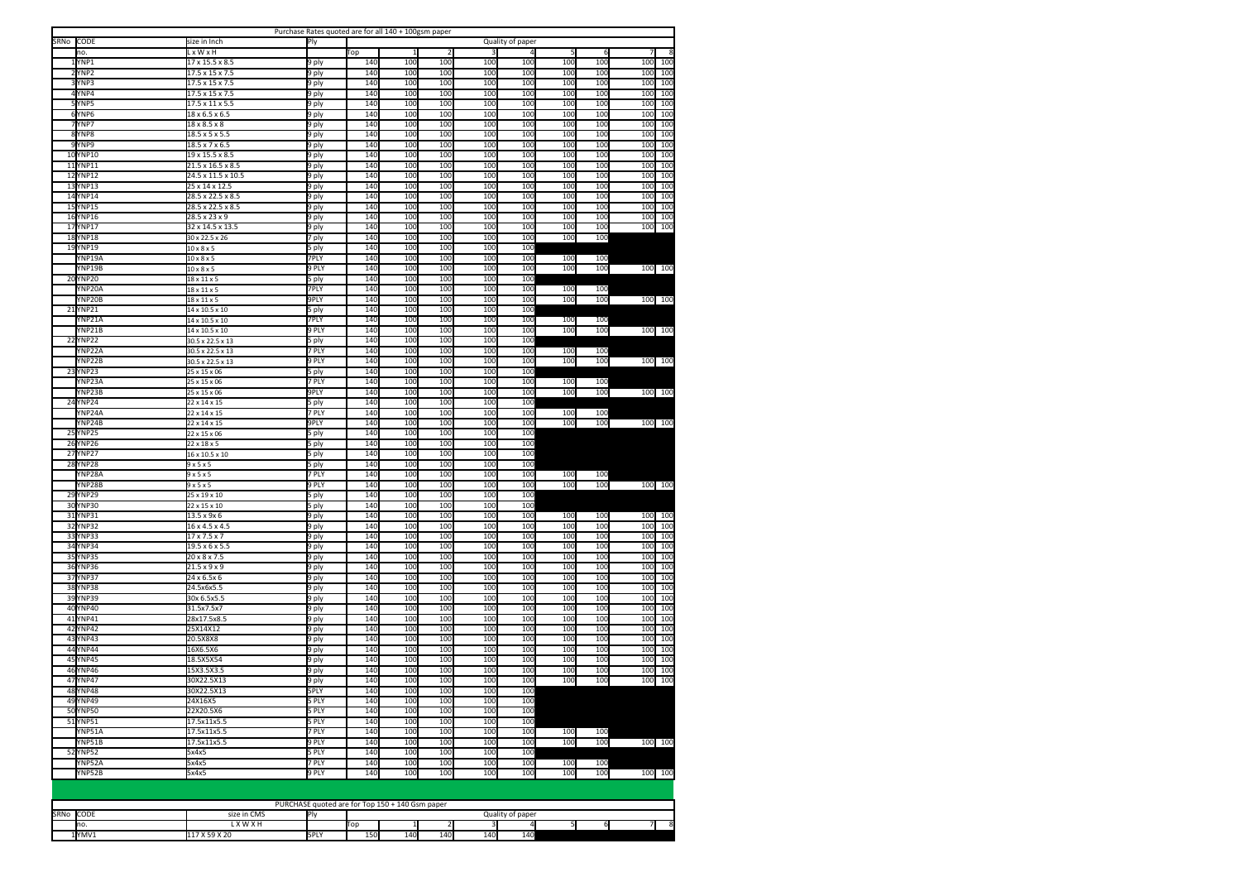| CODE<br>Quality of paper<br>10.<br>x W x H<br>Top<br>$\mathbf{1}$<br>5<br>6<br>YNP1<br>$\frac{17}{2}$ 15.5 x 8.5<br>140<br>100<br>100<br>100<br>100<br>100<br>100<br>100<br>100<br>9 ply<br>N <sub>P2</sub><br>140<br>100<br>100<br>100<br>100<br>100<br>100<br>100<br>17.5 x 15 x 7.5<br><b>J</b> ply<br>100<br>140<br>100<br>100<br>100<br>100<br>100<br>100<br>100<br>100<br>'NP3<br>17.5 x 15 x 7.5<br>9 ply<br>140<br>100<br>100<br>10 <sub>C</sub><br>4YNP4<br>17.5 x 15 x 7.5<br>9 ply<br>100<br>100<br>100<br>100<br>100<br>N <sub>P5</sub><br>140<br>100<br>100<br>100<br>100<br>100<br>100<br>100<br>100<br>17.5 x 11 x 5.5<br>9 ply<br>6YNP6<br>9 ply<br>140<br>100<br>100<br>100<br>100<br>100<br>100<br>10 <sub>C</sub><br>100<br>18 x 6.5 x 6.5<br>N <sub>P7</sub><br>140<br>100<br>100<br>100<br>10 <sub>0</sub><br>100<br>100<br>100<br>100<br>$\overline{18}$ x 8.5 x 8<br>9 ply<br>8YNP8<br>140<br>100<br>100<br>10 <sub>0</sub><br>10 <sub>0</sub><br>100<br>100<br>10 <sub>C</sub><br>100<br>$18.5 \times 5 \times 5.5$<br>9 ply<br>9YNP9<br>140<br>100<br>100<br>100<br>100<br>100<br>100<br>100<br>100<br>18.5 x 7 x 6.5<br>9 ply<br>140<br>10YNP10<br>100<br>100<br>10 <sub>C</sub><br>10 <sub>0</sub><br>100<br>100<br>100<br>100<br>19 x 15.5 x 8.5<br>9 ply<br>11YNP11<br>140<br>100<br>100<br>100<br>100<br>100<br>100<br>100<br>100<br>21.5 x 16.5 x 8.5<br>9 ply<br>100<br>12 YNP12<br>24.5 x 11.5 x 10.5<br>140<br>100<br>100<br>100<br>100<br>100<br>100<br>100<br>9 ply<br>13YNP13<br>140<br>10 <sub>C</sub><br>100<br>10 <sub>0</sub><br>10 <sub>C</sub><br>100<br>100<br>100<br>100<br>25 x 14 x 12.5<br>9 ply<br>14YNP14<br>28.5 x 22.5 x 8.5<br>140<br>100<br>100<br>100<br>100<br>100<br>100<br>100<br>100<br>9 ply<br><b>15 YNP15</b><br>140<br>100<br>100<br>100<br>10 <sub>C</sub><br>100<br>100<br>100<br>100<br>28.5 x 22.5 x 8.5<br>9 ply<br>16YNP16<br>140<br>100<br>100<br>100<br>10 <sub>0</sub><br>100<br>100<br>100<br>100<br>$28.5 \times 23 \times 9$<br>9 ply<br>100<br>100<br>100<br>17YNP17<br>32 x 14.5 x 13.5<br>9 ply<br>140<br>100<br>100<br>100<br>100<br>100<br><b>18YNP18</b><br>140<br>100<br>100<br>100<br>100<br>100<br>100<br>30 x 22.5 x 26<br>7 ply<br>19YNP19<br>140<br>100<br>100<br>10 <sub>0</sub><br>100<br>5 ply<br>$10 \times 8 \times 5$<br>100<br>/NP19A<br>7PLY<br>140<br>100<br>100<br>100<br>100<br>100<br>$10 \times 8 \times 5$<br>140<br>100<br>100<br>10 <sub>C</sub><br>100<br>100 100<br>YNP19B<br>9 PLY<br>100<br>100<br>10 x 8 x 5<br>140<br>100<br>100<br>10 <sub>C</sub><br>20YNP20<br>100<br>$18 \times 11 \times 5$<br>5 ply<br>140<br>10 <sub>C</sub><br>100<br>100<br>100<br>YNP20A<br>7PLY<br>100<br>100<br>$18 \times 11 \times 5$<br>YNP20B<br><b>JPLY</b><br>140<br>100<br>100<br>100<br>100<br>100<br>100<br>100 100<br>$18 \times 11 \times 5$<br>21YNP21<br>140<br>100<br>100<br>100<br>100<br>$4 \times 10.5 \times 10$<br>i ply<br>NP <sub>21</sub> A<br>7PLY<br>140<br>10 <sub>C</sub><br>100<br>10 <sub>0</sub><br>10 <sub>C</sub><br>100<br>100<br>$14 \times 10.5 \times 10$<br>140<br>100<br>100<br>100<br>100<br>100<br>100<br>100 100<br>NP <sub>21</sub> R<br>$14 \times 10.5 \times 10$<br>9 PLY<br>140<br>100<br>100<br>100<br>100<br>22<br>'NP <sub>22</sub><br>ply<br>30.5 x 22.5 x 13<br>NP <sub>22</sub> A<br>7 PLY<br><b>140</b><br>100<br>100<br>10 <sub>0</sub><br>100<br>100<br>100<br>30.5 x 22.5 x 13<br>NP <sub>22</sub> B<br><b>PLY</b><br>140<br>100<br>100<br>100<br>100<br>100<br>100<br>100 100<br>30.5 x 22.5 x 13<br>NP <sub>23</sub><br>ply<br>140<br>100<br>100<br>100<br>100<br>2 <sup>2</sup><br>25 x 15 x 06<br>7 PLY<br>140<br>100<br>100<br>100<br>$N$ P23A<br>10 <sub>C</sub><br>100<br>100<br>25 x 15 x 06<br>NP <sub>23</sub> B<br>9PLY<br>140<br>100<br>100<br>100<br>100<br>100<br>100 100<br>100<br>25 x 15 x 06<br>24YNP24<br>140<br>100<br>100<br>100<br>100<br>22 x 14 x 15<br>5 ply<br>140<br>100<br>100<br>100<br>100<br>YNP24A<br>22 x 14 x 15<br>7 PLY<br>100<br>100<br>9PLY<br>140<br>10 <sub>C</sub><br>10 <sub>C</sub><br>100<br>100 100<br>YNP24B<br>100<br>100<br>100<br>22 x 14 x 15<br><b>25 YNP25</b><br>22 x 15 x 06<br>140<br>100<br>100<br>100<br>100<br>5 ply<br><b>26YNP26</b><br>140<br>10 <sub>C</sub><br>100<br>10 <sub>0</sub><br>100<br>$22 \times 18 \times 5$<br>i ply<br><b>27YNP27</b><br>140<br>100<br>100<br>100<br>100<br>$16 \times 10.5 \times 10$<br>5 ply<br><b>140</b><br>100<br>100<br>10 <sub>0</sub><br><b>28 YNP28</b><br>9x5x5<br>5 ply<br>100<br>7 PLY<br>140<br>100<br>100<br>100<br>100<br>100<br>100<br>YNP28A<br>9x5x5<br>YNP28B<br>9x5x5<br>9 PLY<br>140<br>100<br>10 <sub>C</sub><br>100<br>100<br>100<br>100<br>100 100<br><b>29YNP29</b><br>140<br>10 <sub>C</sub><br>10 <sub>C</sub><br>10 <sub>0</sub><br>10 <sub>0</sub><br>25 x 19 x 10<br>ply<br>30YNP30<br>140<br>100<br>100<br>100<br>100<br>22 x 15 x 10<br>i ply<br>140<br>100<br>100<br>31YNP31<br>100<br>100<br>10 <sub>C</sub><br>100<br>100<br>100<br>13.5 x 9x 6<br>9 ply<br>140<br>100<br>100<br>100<br>100<br>32 YNP32<br>100<br>100<br>100<br>100<br>16 x 4.5 x 4.5<br>9 ply<br>33 YNP33<br>140<br>100<br>100<br>100<br>100<br>100<br>100<br>100<br>$17 \times 7.5 \times 7$<br>100<br>9 ply<br>140<br>10 <sub>C</sub><br>100<br>100<br>100<br>10 <sub>C</sub><br>100<br>34 YNP34<br>19.5 x 6 x 5.5<br>9 ply<br>100<br>100<br>140<br>10 <sub>C</sub><br>100<br>100<br>100<br>100<br>35 YNP35<br>20 x 8 x 7.5<br>9 ply<br>100<br>100<br>100<br>36YNP36<br>140<br>100<br>100<br>100<br>100<br>100<br>100<br>100<br>100<br>$21.5 \times 9 \times 9$<br>) ply<br>37 YNP37<br>140<br>100<br>100<br>10 <sub>0</sub><br>100<br>100<br>100<br>100<br>100<br>24 x 6.5x 6<br>J ply<br>38<br>NPS8<br>24.5x6x5.5<br>140<br>100<br>100<br>10 <sub>0</sub><br>100<br>100<br>100<br>100<br>100<br>) ply<br><b>140</b><br>100<br>100<br>100<br>10 <sub>C</sub><br>100<br>100<br>10 <sub>C</sub><br>100<br>39 YNP39<br>30x 6.5x5.5<br>9 ply<br>100<br>40YNP40<br>31.5x7.5x7<br>9 ply<br>140<br>100<br>10 <sub>0</sub><br>10 <sub>0</sub><br>100<br>100<br>10 <sub>0</sub><br>100<br>41YNP41<br>140<br>100<br>100<br>100<br>100<br>100<br>100<br>10 <sub>C</sub><br>100<br>28x17.5x8.5<br>9 ply<br>42 YNP42<br>140<br>100<br>100<br>10 <sub>0</sub><br>100<br>100<br>100<br>100<br>100<br>25X14X12<br>9 ply<br>140<br>100<br>100<br>43 YNP43<br>100<br>10 <sub>C</sub><br>100<br>100<br>100<br>100<br>20.5X8X8<br>9 ply<br>44 YNP44<br>140<br>100<br>100<br>100<br>100<br>10 <sub>0</sub><br>10 <sub>0</sub><br>100<br>100<br>16X6.5X6<br>9 ply<br><b>45 YNP45</b><br>140<br>100<br>100<br>10 <sub>0</sub><br>100<br>100<br>100<br>100<br>100<br>18.5X5X54<br>9 ply<br>46YNP46<br>140<br>100<br>100<br>100<br>100<br>100<br>100<br>100<br>100<br>15X3.5X3.5<br>9 ply<br>47YNP47<br>140<br>100<br>100<br>100<br>100<br>100<br>30X22.5X13<br>9 ply<br>100<br>100<br>100<br>48YNP48<br>30X22.5X13<br>5PLY<br>140<br>100<br>100<br>100<br>100<br>49 YNP49<br>5 PLY<br>140<br>100<br>100<br>100<br>100<br>24X16X5<br>50YNP50<br>5 PLY<br>140<br>100<br>100<br>100<br>100<br>22X20.5X6<br>51 YNP51<br>17.5x11x5.5<br>5 PLY<br>140<br>100<br>100<br>100<br>100<br>7 PLY<br>140<br>100<br>100<br>10 <sub>0</sub><br>/NP51A<br>17.5x11x5.5<br>100<br>100<br>100<br>YNP51B<br>17.5x11x5.5<br>9 PLY<br><b>140</b><br>100<br>100<br>10 <sub>0</sub><br>10 <sub>0</sub><br>100<br>100<br>100 100<br>52 YNP52<br>5 PLY<br>140<br>100<br>100<br>100<br>100<br>5x4x5<br>7 PLY<br>140<br>100<br>100<br>100<br>10 <sub>C</sub><br>100<br>100<br>/NP52A<br>5x4x5<br>YNP52B<br>5x4x5<br>9 PLY<br>140<br>100<br>100<br>10 <sub>C</sub><br>100<br>100<br>100<br>100 100 |      |              | Purchase Rates quoted are for all 140 + 100gsm paper |  |  |  |  |  |
|---------------------------------------------------------------------------------------------------------------------------------------------------------------------------------------------------------------------------------------------------------------------------------------------------------------------------------------------------------------------------------------------------------------------------------------------------------------------------------------------------------------------------------------------------------------------------------------------------------------------------------------------------------------------------------------------------------------------------------------------------------------------------------------------------------------------------------------------------------------------------------------------------------------------------------------------------------------------------------------------------------------------------------------------------------------------------------------------------------------------------------------------------------------------------------------------------------------------------------------------------------------------------------------------------------------------------------------------------------------------------------------------------------------------------------------------------------------------------------------------------------------------------------------------------------------------------------------------------------------------------------------------------------------------------------------------------------------------------------------------------------------------------------------------------------------------------------------------------------------------------------------------------------------------------------------------------------------------------------------------------------------------------------------------------------------------------------------------------------------------------------------------------------------------------------------------------------------------------------------------------------------------------------------------------------------------------------------------------------------------------------------------------------------------------------------------------------------------------------------------------------------------------------------------------------------------------------------------------------------------------------------------------------------------------------------------------------------------------------------------------------------------------------------------------------------------------------------------------------------------------------------------------------------------------------------------------------------------------------------------------------------------------------------------------------------------------------------------------------------------------------------------------------------------------------------------------------------------------------------------------------------------------------------------------------------------------------------------------------------------------------------------------------------------------------------------------------------------------------------------------------------------------------------------------------------------------------------------------------------------------------------------------------------------------------------------------------------------------------------------------------------------------------------------------------------------------------------------------------------------------------------------------------------------------------------------------------------------------------------------------------------------------------------------------------------------------------------------------------------------------------------------------------------------------------------------------------------------------------------------------------------------------------------------------------------------------------------------------------------------------------------------------------------------------------------------------------------------------------------------------------------------------------------------------------------------------------------------------------------------------------------------------------------------------------------------------------------------------------------------------------------------------------------------------------------------------------------------------------------------------------------------------------------------------------------------------------------------------------------------------------------------------------------------------------------------------------------------------------------------------------------------------------------------------------------------------------------------------------------------------------------------------------------------------------------------------------------------------------------------------------------------------------------------------------------------------------------------------------------------------------------------------------------------------------------------------------------------------------------------------------------------------------------------------------------------------------------------------------------------------------------------------------------------------------------------------------------------------------------------------------------------------------------------------------------------------------------------------------------------------------------------------------------------------------------------------------------------------------------------------------------------------------------------------------------------------------------------------------------------------------------------------------------------------------------------------------------------------------------------------------------------------------------------------------------------------------------------------------------------------------------------------------------------------------------------------------------------------------------------------------------------------------------------------------------------------------------------------------------------------------------------------------------------------------------------------------------------------------------------------------------------------------------------------------------------------------------------------------------------------------------------------------------------------------------------------------------------------------------------------------------------------------------------------------------------------------------------------------------------------------------------------------------------------------------------------------------------------------------------------------------------------------------------------------------------------------------------------------------------------------------------------------------------------------------------------------------------------------------------------------------------------------------------------------------------------|------|--------------|------------------------------------------------------|--|--|--|--|--|
|                                                                                                                                                                                                                                                                                                                                                                                                                                                                                                                                                                                                                                                                                                                                                                                                                                                                                                                                                                                                                                                                                                                                                                                                                                                                                                                                                                                                                                                                                                                                                                                                                                                                                                                                                                                                                                                                                                                                                                                                                                                                                                                                                                                                                                                                                                                                                                                                                                                                                                                                                                                                                                                                                                                                                                                                                                                                                                                                                                                                                                                                                                                                                                                                                                                                                                                                                                                                                                                                                                                                                                                                                                                                                                                                                                                                                                                                                                                                                                                                                                                                                                                                                                                                                                                                                                                                                                                                                                                                                                                                                                                                                                                                                                                                                                                                                                                                                                                                                                                                                                                                                                                                                                                                                                                                                                                                                                                                                                                                                                                                                                                                                                                                                                                                                                                                                                                                                                                                                                                                                                                                                                                                                                                                                                                                                                                                                                                                                                                                                                                                                                                                                                                                                                                                                                                                                                                                                                                                                                                                                                                                                                                                                                                                                                                                                                                                                                                                                                                                                                                                                                                                                                                                                                   | SRNo | size in Inch | Ply                                                  |  |  |  |  |  |
|                                                                                                                                                                                                                                                                                                                                                                                                                                                                                                                                                                                                                                                                                                                                                                                                                                                                                                                                                                                                                                                                                                                                                                                                                                                                                                                                                                                                                                                                                                                                                                                                                                                                                                                                                                                                                                                                                                                                                                                                                                                                                                                                                                                                                                                                                                                                                                                                                                                                                                                                                                                                                                                                                                                                                                                                                                                                                                                                                                                                                                                                                                                                                                                                                                                                                                                                                                                                                                                                                                                                                                                                                                                                                                                                                                                                                                                                                                                                                                                                                                                                                                                                                                                                                                                                                                                                                                                                                                                                                                                                                                                                                                                                                                                                                                                                                                                                                                                                                                                                                                                                                                                                                                                                                                                                                                                                                                                                                                                                                                                                                                                                                                                                                                                                                                                                                                                                                                                                                                                                                                                                                                                                                                                                                                                                                                                                                                                                                                                                                                                                                                                                                                                                                                                                                                                                                                                                                                                                                                                                                                                                                                                                                                                                                                                                                                                                                                                                                                                                                                                                                                                                                                                                                                   |      |              |                                                      |  |  |  |  |  |
|                                                                                                                                                                                                                                                                                                                                                                                                                                                                                                                                                                                                                                                                                                                                                                                                                                                                                                                                                                                                                                                                                                                                                                                                                                                                                                                                                                                                                                                                                                                                                                                                                                                                                                                                                                                                                                                                                                                                                                                                                                                                                                                                                                                                                                                                                                                                                                                                                                                                                                                                                                                                                                                                                                                                                                                                                                                                                                                                                                                                                                                                                                                                                                                                                                                                                                                                                                                                                                                                                                                                                                                                                                                                                                                                                                                                                                                                                                                                                                                                                                                                                                                                                                                                                                                                                                                                                                                                                                                                                                                                                                                                                                                                                                                                                                                                                                                                                                                                                                                                                                                                                                                                                                                                                                                                                                                                                                                                                                                                                                                                                                                                                                                                                                                                                                                                                                                                                                                                                                                                                                                                                                                                                                                                                                                                                                                                                                                                                                                                                                                                                                                                                                                                                                                                                                                                                                                                                                                                                                                                                                                                                                                                                                                                                                                                                                                                                                                                                                                                                                                                                                                                                                                                                                   |      |              |                                                      |  |  |  |  |  |
|                                                                                                                                                                                                                                                                                                                                                                                                                                                                                                                                                                                                                                                                                                                                                                                                                                                                                                                                                                                                                                                                                                                                                                                                                                                                                                                                                                                                                                                                                                                                                                                                                                                                                                                                                                                                                                                                                                                                                                                                                                                                                                                                                                                                                                                                                                                                                                                                                                                                                                                                                                                                                                                                                                                                                                                                                                                                                                                                                                                                                                                                                                                                                                                                                                                                                                                                                                                                                                                                                                                                                                                                                                                                                                                                                                                                                                                                                                                                                                                                                                                                                                                                                                                                                                                                                                                                                                                                                                                                                                                                                                                                                                                                                                                                                                                                                                                                                                                                                                                                                                                                                                                                                                                                                                                                                                                                                                                                                                                                                                                                                                                                                                                                                                                                                                                                                                                                                                                                                                                                                                                                                                                                                                                                                                                                                                                                                                                                                                                                                                                                                                                                                                                                                                                                                                                                                                                                                                                                                                                                                                                                                                                                                                                                                                                                                                                                                                                                                                                                                                                                                                                                                                                                                                   |      |              |                                                      |  |  |  |  |  |
|                                                                                                                                                                                                                                                                                                                                                                                                                                                                                                                                                                                                                                                                                                                                                                                                                                                                                                                                                                                                                                                                                                                                                                                                                                                                                                                                                                                                                                                                                                                                                                                                                                                                                                                                                                                                                                                                                                                                                                                                                                                                                                                                                                                                                                                                                                                                                                                                                                                                                                                                                                                                                                                                                                                                                                                                                                                                                                                                                                                                                                                                                                                                                                                                                                                                                                                                                                                                                                                                                                                                                                                                                                                                                                                                                                                                                                                                                                                                                                                                                                                                                                                                                                                                                                                                                                                                                                                                                                                                                                                                                                                                                                                                                                                                                                                                                                                                                                                                                                                                                                                                                                                                                                                                                                                                                                                                                                                                                                                                                                                                                                                                                                                                                                                                                                                                                                                                                                                                                                                                                                                                                                                                                                                                                                                                                                                                                                                                                                                                                                                                                                                                                                                                                                                                                                                                                                                                                                                                                                                                                                                                                                                                                                                                                                                                                                                                                                                                                                                                                                                                                                                                                                                                                                   |      |              |                                                      |  |  |  |  |  |
|                                                                                                                                                                                                                                                                                                                                                                                                                                                                                                                                                                                                                                                                                                                                                                                                                                                                                                                                                                                                                                                                                                                                                                                                                                                                                                                                                                                                                                                                                                                                                                                                                                                                                                                                                                                                                                                                                                                                                                                                                                                                                                                                                                                                                                                                                                                                                                                                                                                                                                                                                                                                                                                                                                                                                                                                                                                                                                                                                                                                                                                                                                                                                                                                                                                                                                                                                                                                                                                                                                                                                                                                                                                                                                                                                                                                                                                                                                                                                                                                                                                                                                                                                                                                                                                                                                                                                                                                                                                                                                                                                                                                                                                                                                                                                                                                                                                                                                                                                                                                                                                                                                                                                                                                                                                                                                                                                                                                                                                                                                                                                                                                                                                                                                                                                                                                                                                                                                                                                                                                                                                                                                                                                                                                                                                                                                                                                                                                                                                                                                                                                                                                                                                                                                                                                                                                                                                                                                                                                                                                                                                                                                                                                                                                                                                                                                                                                                                                                                                                                                                                                                                                                                                                                                   |      |              |                                                      |  |  |  |  |  |
|                                                                                                                                                                                                                                                                                                                                                                                                                                                                                                                                                                                                                                                                                                                                                                                                                                                                                                                                                                                                                                                                                                                                                                                                                                                                                                                                                                                                                                                                                                                                                                                                                                                                                                                                                                                                                                                                                                                                                                                                                                                                                                                                                                                                                                                                                                                                                                                                                                                                                                                                                                                                                                                                                                                                                                                                                                                                                                                                                                                                                                                                                                                                                                                                                                                                                                                                                                                                                                                                                                                                                                                                                                                                                                                                                                                                                                                                                                                                                                                                                                                                                                                                                                                                                                                                                                                                                                                                                                                                                                                                                                                                                                                                                                                                                                                                                                                                                                                                                                                                                                                                                                                                                                                                                                                                                                                                                                                                                                                                                                                                                                                                                                                                                                                                                                                                                                                                                                                                                                                                                                                                                                                                                                                                                                                                                                                                                                                                                                                                                                                                                                                                                                                                                                                                                                                                                                                                                                                                                                                                                                                                                                                                                                                                                                                                                                                                                                                                                                                                                                                                                                                                                                                                                                   |      |              |                                                      |  |  |  |  |  |
|                                                                                                                                                                                                                                                                                                                                                                                                                                                                                                                                                                                                                                                                                                                                                                                                                                                                                                                                                                                                                                                                                                                                                                                                                                                                                                                                                                                                                                                                                                                                                                                                                                                                                                                                                                                                                                                                                                                                                                                                                                                                                                                                                                                                                                                                                                                                                                                                                                                                                                                                                                                                                                                                                                                                                                                                                                                                                                                                                                                                                                                                                                                                                                                                                                                                                                                                                                                                                                                                                                                                                                                                                                                                                                                                                                                                                                                                                                                                                                                                                                                                                                                                                                                                                                                                                                                                                                                                                                                                                                                                                                                                                                                                                                                                                                                                                                                                                                                                                                                                                                                                                                                                                                                                                                                                                                                                                                                                                                                                                                                                                                                                                                                                                                                                                                                                                                                                                                                                                                                                                                                                                                                                                                                                                                                                                                                                                                                                                                                                                                                                                                                                                                                                                                                                                                                                                                                                                                                                                                                                                                                                                                                                                                                                                                                                                                                                                                                                                                                                                                                                                                                                                                                                                                   |      |              |                                                      |  |  |  |  |  |
|                                                                                                                                                                                                                                                                                                                                                                                                                                                                                                                                                                                                                                                                                                                                                                                                                                                                                                                                                                                                                                                                                                                                                                                                                                                                                                                                                                                                                                                                                                                                                                                                                                                                                                                                                                                                                                                                                                                                                                                                                                                                                                                                                                                                                                                                                                                                                                                                                                                                                                                                                                                                                                                                                                                                                                                                                                                                                                                                                                                                                                                                                                                                                                                                                                                                                                                                                                                                                                                                                                                                                                                                                                                                                                                                                                                                                                                                                                                                                                                                                                                                                                                                                                                                                                                                                                                                                                                                                                                                                                                                                                                                                                                                                                                                                                                                                                                                                                                                                                                                                                                                                                                                                                                                                                                                                                                                                                                                                                                                                                                                                                                                                                                                                                                                                                                                                                                                                                                                                                                                                                                                                                                                                                                                                                                                                                                                                                                                                                                                                                                                                                                                                                                                                                                                                                                                                                                                                                                                                                                                                                                                                                                                                                                                                                                                                                                                                                                                                                                                                                                                                                                                                                                                                                   |      |              |                                                      |  |  |  |  |  |
|                                                                                                                                                                                                                                                                                                                                                                                                                                                                                                                                                                                                                                                                                                                                                                                                                                                                                                                                                                                                                                                                                                                                                                                                                                                                                                                                                                                                                                                                                                                                                                                                                                                                                                                                                                                                                                                                                                                                                                                                                                                                                                                                                                                                                                                                                                                                                                                                                                                                                                                                                                                                                                                                                                                                                                                                                                                                                                                                                                                                                                                                                                                                                                                                                                                                                                                                                                                                                                                                                                                                                                                                                                                                                                                                                                                                                                                                                                                                                                                                                                                                                                                                                                                                                                                                                                                                                                                                                                                                                                                                                                                                                                                                                                                                                                                                                                                                                                                                                                                                                                                                                                                                                                                                                                                                                                                                                                                                                                                                                                                                                                                                                                                                                                                                                                                                                                                                                                                                                                                                                                                                                                                                                                                                                                                                                                                                                                                                                                                                                                                                                                                                                                                                                                                                                                                                                                                                                                                                                                                                                                                                                                                                                                                                                                                                                                                                                                                                                                                                                                                                                                                                                                                                                                   |      |              |                                                      |  |  |  |  |  |
|                                                                                                                                                                                                                                                                                                                                                                                                                                                                                                                                                                                                                                                                                                                                                                                                                                                                                                                                                                                                                                                                                                                                                                                                                                                                                                                                                                                                                                                                                                                                                                                                                                                                                                                                                                                                                                                                                                                                                                                                                                                                                                                                                                                                                                                                                                                                                                                                                                                                                                                                                                                                                                                                                                                                                                                                                                                                                                                                                                                                                                                                                                                                                                                                                                                                                                                                                                                                                                                                                                                                                                                                                                                                                                                                                                                                                                                                                                                                                                                                                                                                                                                                                                                                                                                                                                                                                                                                                                                                                                                                                                                                                                                                                                                                                                                                                                                                                                                                                                                                                                                                                                                                                                                                                                                                                                                                                                                                                                                                                                                                                                                                                                                                                                                                                                                                                                                                                                                                                                                                                                                                                                                                                                                                                                                                                                                                                                                                                                                                                                                                                                                                                                                                                                                                                                                                                                                                                                                                                                                                                                                                                                                                                                                                                                                                                                                                                                                                                                                                                                                                                                                                                                                                                                   |      |              |                                                      |  |  |  |  |  |
|                                                                                                                                                                                                                                                                                                                                                                                                                                                                                                                                                                                                                                                                                                                                                                                                                                                                                                                                                                                                                                                                                                                                                                                                                                                                                                                                                                                                                                                                                                                                                                                                                                                                                                                                                                                                                                                                                                                                                                                                                                                                                                                                                                                                                                                                                                                                                                                                                                                                                                                                                                                                                                                                                                                                                                                                                                                                                                                                                                                                                                                                                                                                                                                                                                                                                                                                                                                                                                                                                                                                                                                                                                                                                                                                                                                                                                                                                                                                                                                                                                                                                                                                                                                                                                                                                                                                                                                                                                                                                                                                                                                                                                                                                                                                                                                                                                                                                                                                                                                                                                                                                                                                                                                                                                                                                                                                                                                                                                                                                                                                                                                                                                                                                                                                                                                                                                                                                                                                                                                                                                                                                                                                                                                                                                                                                                                                                                                                                                                                                                                                                                                                                                                                                                                                                                                                                                                                                                                                                                                                                                                                                                                                                                                                                                                                                                                                                                                                                                                                                                                                                                                                                                                                                                   |      |              |                                                      |  |  |  |  |  |
|                                                                                                                                                                                                                                                                                                                                                                                                                                                                                                                                                                                                                                                                                                                                                                                                                                                                                                                                                                                                                                                                                                                                                                                                                                                                                                                                                                                                                                                                                                                                                                                                                                                                                                                                                                                                                                                                                                                                                                                                                                                                                                                                                                                                                                                                                                                                                                                                                                                                                                                                                                                                                                                                                                                                                                                                                                                                                                                                                                                                                                                                                                                                                                                                                                                                                                                                                                                                                                                                                                                                                                                                                                                                                                                                                                                                                                                                                                                                                                                                                                                                                                                                                                                                                                                                                                                                                                                                                                                                                                                                                                                                                                                                                                                                                                                                                                                                                                                                                                                                                                                                                                                                                                                                                                                                                                                                                                                                                                                                                                                                                                                                                                                                                                                                                                                                                                                                                                                                                                                                                                                                                                                                                                                                                                                                                                                                                                                                                                                                                                                                                                                                                                                                                                                                                                                                                                                                                                                                                                                                                                                                                                                                                                                                                                                                                                                                                                                                                                                                                                                                                                                                                                                                                                   |      |              |                                                      |  |  |  |  |  |
|                                                                                                                                                                                                                                                                                                                                                                                                                                                                                                                                                                                                                                                                                                                                                                                                                                                                                                                                                                                                                                                                                                                                                                                                                                                                                                                                                                                                                                                                                                                                                                                                                                                                                                                                                                                                                                                                                                                                                                                                                                                                                                                                                                                                                                                                                                                                                                                                                                                                                                                                                                                                                                                                                                                                                                                                                                                                                                                                                                                                                                                                                                                                                                                                                                                                                                                                                                                                                                                                                                                                                                                                                                                                                                                                                                                                                                                                                                                                                                                                                                                                                                                                                                                                                                                                                                                                                                                                                                                                                                                                                                                                                                                                                                                                                                                                                                                                                                                                                                                                                                                                                                                                                                                                                                                                                                                                                                                                                                                                                                                                                                                                                                                                                                                                                                                                                                                                                                                                                                                                                                                                                                                                                                                                                                                                                                                                                                                                                                                                                                                                                                                                                                                                                                                                                                                                                                                                                                                                                                                                                                                                                                                                                                                                                                                                                                                                                                                                                                                                                                                                                                                                                                                                                                   |      |              |                                                      |  |  |  |  |  |
|                                                                                                                                                                                                                                                                                                                                                                                                                                                                                                                                                                                                                                                                                                                                                                                                                                                                                                                                                                                                                                                                                                                                                                                                                                                                                                                                                                                                                                                                                                                                                                                                                                                                                                                                                                                                                                                                                                                                                                                                                                                                                                                                                                                                                                                                                                                                                                                                                                                                                                                                                                                                                                                                                                                                                                                                                                                                                                                                                                                                                                                                                                                                                                                                                                                                                                                                                                                                                                                                                                                                                                                                                                                                                                                                                                                                                                                                                                                                                                                                                                                                                                                                                                                                                                                                                                                                                                                                                                                                                                                                                                                                                                                                                                                                                                                                                                                                                                                                                                                                                                                                                                                                                                                                                                                                                                                                                                                                                                                                                                                                                                                                                                                                                                                                                                                                                                                                                                                                                                                                                                                                                                                                                                                                                                                                                                                                                                                                                                                                                                                                                                                                                                                                                                                                                                                                                                                                                                                                                                                                                                                                                                                                                                                                                                                                                                                                                                                                                                                                                                                                                                                                                                                                                                   |      |              |                                                      |  |  |  |  |  |
|                                                                                                                                                                                                                                                                                                                                                                                                                                                                                                                                                                                                                                                                                                                                                                                                                                                                                                                                                                                                                                                                                                                                                                                                                                                                                                                                                                                                                                                                                                                                                                                                                                                                                                                                                                                                                                                                                                                                                                                                                                                                                                                                                                                                                                                                                                                                                                                                                                                                                                                                                                                                                                                                                                                                                                                                                                                                                                                                                                                                                                                                                                                                                                                                                                                                                                                                                                                                                                                                                                                                                                                                                                                                                                                                                                                                                                                                                                                                                                                                                                                                                                                                                                                                                                                                                                                                                                                                                                                                                                                                                                                                                                                                                                                                                                                                                                                                                                                                                                                                                                                                                                                                                                                                                                                                                                                                                                                                                                                                                                                                                                                                                                                                                                                                                                                                                                                                                                                                                                                                                                                                                                                                                                                                                                                                                                                                                                                                                                                                                                                                                                                                                                                                                                                                                                                                                                                                                                                                                                                                                                                                                                                                                                                                                                                                                                                                                                                                                                                                                                                                                                                                                                                                                                   |      |              |                                                      |  |  |  |  |  |
|                                                                                                                                                                                                                                                                                                                                                                                                                                                                                                                                                                                                                                                                                                                                                                                                                                                                                                                                                                                                                                                                                                                                                                                                                                                                                                                                                                                                                                                                                                                                                                                                                                                                                                                                                                                                                                                                                                                                                                                                                                                                                                                                                                                                                                                                                                                                                                                                                                                                                                                                                                                                                                                                                                                                                                                                                                                                                                                                                                                                                                                                                                                                                                                                                                                                                                                                                                                                                                                                                                                                                                                                                                                                                                                                                                                                                                                                                                                                                                                                                                                                                                                                                                                                                                                                                                                                                                                                                                                                                                                                                                                                                                                                                                                                                                                                                                                                                                                                                                                                                                                                                                                                                                                                                                                                                                                                                                                                                                                                                                                                                                                                                                                                                                                                                                                                                                                                                                                                                                                                                                                                                                                                                                                                                                                                                                                                                                                                                                                                                                                                                                                                                                                                                                                                                                                                                                                                                                                                                                                                                                                                                                                                                                                                                                                                                                                                                                                                                                                                                                                                                                                                                                                                                                   |      |              |                                                      |  |  |  |  |  |
|                                                                                                                                                                                                                                                                                                                                                                                                                                                                                                                                                                                                                                                                                                                                                                                                                                                                                                                                                                                                                                                                                                                                                                                                                                                                                                                                                                                                                                                                                                                                                                                                                                                                                                                                                                                                                                                                                                                                                                                                                                                                                                                                                                                                                                                                                                                                                                                                                                                                                                                                                                                                                                                                                                                                                                                                                                                                                                                                                                                                                                                                                                                                                                                                                                                                                                                                                                                                                                                                                                                                                                                                                                                                                                                                                                                                                                                                                                                                                                                                                                                                                                                                                                                                                                                                                                                                                                                                                                                                                                                                                                                                                                                                                                                                                                                                                                                                                                                                                                                                                                                                                                                                                                                                                                                                                                                                                                                                                                                                                                                                                                                                                                                                                                                                                                                                                                                                                                                                                                                                                                                                                                                                                                                                                                                                                                                                                                                                                                                                                                                                                                                                                                                                                                                                                                                                                                                                                                                                                                                                                                                                                                                                                                                                                                                                                                                                                                                                                                                                                                                                                                                                                                                                                                   |      |              |                                                      |  |  |  |  |  |
|                                                                                                                                                                                                                                                                                                                                                                                                                                                                                                                                                                                                                                                                                                                                                                                                                                                                                                                                                                                                                                                                                                                                                                                                                                                                                                                                                                                                                                                                                                                                                                                                                                                                                                                                                                                                                                                                                                                                                                                                                                                                                                                                                                                                                                                                                                                                                                                                                                                                                                                                                                                                                                                                                                                                                                                                                                                                                                                                                                                                                                                                                                                                                                                                                                                                                                                                                                                                                                                                                                                                                                                                                                                                                                                                                                                                                                                                                                                                                                                                                                                                                                                                                                                                                                                                                                                                                                                                                                                                                                                                                                                                                                                                                                                                                                                                                                                                                                                                                                                                                                                                                                                                                                                                                                                                                                                                                                                                                                                                                                                                                                                                                                                                                                                                                                                                                                                                                                                                                                                                                                                                                                                                                                                                                                                                                                                                                                                                                                                                                                                                                                                                                                                                                                                                                                                                                                                                                                                                                                                                                                                                                                                                                                                                                                                                                                                                                                                                                                                                                                                                                                                                                                                                                                   |      |              |                                                      |  |  |  |  |  |
|                                                                                                                                                                                                                                                                                                                                                                                                                                                                                                                                                                                                                                                                                                                                                                                                                                                                                                                                                                                                                                                                                                                                                                                                                                                                                                                                                                                                                                                                                                                                                                                                                                                                                                                                                                                                                                                                                                                                                                                                                                                                                                                                                                                                                                                                                                                                                                                                                                                                                                                                                                                                                                                                                                                                                                                                                                                                                                                                                                                                                                                                                                                                                                                                                                                                                                                                                                                                                                                                                                                                                                                                                                                                                                                                                                                                                                                                                                                                                                                                                                                                                                                                                                                                                                                                                                                                                                                                                                                                                                                                                                                                                                                                                                                                                                                                                                                                                                                                                                                                                                                                                                                                                                                                                                                                                                                                                                                                                                                                                                                                                                                                                                                                                                                                                                                                                                                                                                                                                                                                                                                                                                                                                                                                                                                                                                                                                                                                                                                                                                                                                                                                                                                                                                                                                                                                                                                                                                                                                                                                                                                                                                                                                                                                                                                                                                                                                                                                                                                                                                                                                                                                                                                                                                   |      |              |                                                      |  |  |  |  |  |
|                                                                                                                                                                                                                                                                                                                                                                                                                                                                                                                                                                                                                                                                                                                                                                                                                                                                                                                                                                                                                                                                                                                                                                                                                                                                                                                                                                                                                                                                                                                                                                                                                                                                                                                                                                                                                                                                                                                                                                                                                                                                                                                                                                                                                                                                                                                                                                                                                                                                                                                                                                                                                                                                                                                                                                                                                                                                                                                                                                                                                                                                                                                                                                                                                                                                                                                                                                                                                                                                                                                                                                                                                                                                                                                                                                                                                                                                                                                                                                                                                                                                                                                                                                                                                                                                                                                                                                                                                                                                                                                                                                                                                                                                                                                                                                                                                                                                                                                                                                                                                                                                                                                                                                                                                                                                                                                                                                                                                                                                                                                                                                                                                                                                                                                                                                                                                                                                                                                                                                                                                                                                                                                                                                                                                                                                                                                                                                                                                                                                                                                                                                                                                                                                                                                                                                                                                                                                                                                                                                                                                                                                                                                                                                                                                                                                                                                                                                                                                                                                                                                                                                                                                                                                                                   |      |              |                                                      |  |  |  |  |  |
|                                                                                                                                                                                                                                                                                                                                                                                                                                                                                                                                                                                                                                                                                                                                                                                                                                                                                                                                                                                                                                                                                                                                                                                                                                                                                                                                                                                                                                                                                                                                                                                                                                                                                                                                                                                                                                                                                                                                                                                                                                                                                                                                                                                                                                                                                                                                                                                                                                                                                                                                                                                                                                                                                                                                                                                                                                                                                                                                                                                                                                                                                                                                                                                                                                                                                                                                                                                                                                                                                                                                                                                                                                                                                                                                                                                                                                                                                                                                                                                                                                                                                                                                                                                                                                                                                                                                                                                                                                                                                                                                                                                                                                                                                                                                                                                                                                                                                                                                                                                                                                                                                                                                                                                                                                                                                                                                                                                                                                                                                                                                                                                                                                                                                                                                                                                                                                                                                                                                                                                                                                                                                                                                                                                                                                                                                                                                                                                                                                                                                                                                                                                                                                                                                                                                                                                                                                                                                                                                                                                                                                                                                                                                                                                                                                                                                                                                                                                                                                                                                                                                                                                                                                                                                                   |      |              |                                                      |  |  |  |  |  |
|                                                                                                                                                                                                                                                                                                                                                                                                                                                                                                                                                                                                                                                                                                                                                                                                                                                                                                                                                                                                                                                                                                                                                                                                                                                                                                                                                                                                                                                                                                                                                                                                                                                                                                                                                                                                                                                                                                                                                                                                                                                                                                                                                                                                                                                                                                                                                                                                                                                                                                                                                                                                                                                                                                                                                                                                                                                                                                                                                                                                                                                                                                                                                                                                                                                                                                                                                                                                                                                                                                                                                                                                                                                                                                                                                                                                                                                                                                                                                                                                                                                                                                                                                                                                                                                                                                                                                                                                                                                                                                                                                                                                                                                                                                                                                                                                                                                                                                                                                                                                                                                                                                                                                                                                                                                                                                                                                                                                                                                                                                                                                                                                                                                                                                                                                                                                                                                                                                                                                                                                                                                                                                                                                                                                                                                                                                                                                                                                                                                                                                                                                                                                                                                                                                                                                                                                                                                                                                                                                                                                                                                                                                                                                                                                                                                                                                                                                                                                                                                                                                                                                                                                                                                                                                   |      |              |                                                      |  |  |  |  |  |
|                                                                                                                                                                                                                                                                                                                                                                                                                                                                                                                                                                                                                                                                                                                                                                                                                                                                                                                                                                                                                                                                                                                                                                                                                                                                                                                                                                                                                                                                                                                                                                                                                                                                                                                                                                                                                                                                                                                                                                                                                                                                                                                                                                                                                                                                                                                                                                                                                                                                                                                                                                                                                                                                                                                                                                                                                                                                                                                                                                                                                                                                                                                                                                                                                                                                                                                                                                                                                                                                                                                                                                                                                                                                                                                                                                                                                                                                                                                                                                                                                                                                                                                                                                                                                                                                                                                                                                                                                                                                                                                                                                                                                                                                                                                                                                                                                                                                                                                                                                                                                                                                                                                                                                                                                                                                                                                                                                                                                                                                                                                                                                                                                                                                                                                                                                                                                                                                                                                                                                                                                                                                                                                                                                                                                                                                                                                                                                                                                                                                                                                                                                                                                                                                                                                                                                                                                                                                                                                                                                                                                                                                                                                                                                                                                                                                                                                                                                                                                                                                                                                                                                                                                                                                                                   |      |              |                                                      |  |  |  |  |  |
|                                                                                                                                                                                                                                                                                                                                                                                                                                                                                                                                                                                                                                                                                                                                                                                                                                                                                                                                                                                                                                                                                                                                                                                                                                                                                                                                                                                                                                                                                                                                                                                                                                                                                                                                                                                                                                                                                                                                                                                                                                                                                                                                                                                                                                                                                                                                                                                                                                                                                                                                                                                                                                                                                                                                                                                                                                                                                                                                                                                                                                                                                                                                                                                                                                                                                                                                                                                                                                                                                                                                                                                                                                                                                                                                                                                                                                                                                                                                                                                                                                                                                                                                                                                                                                                                                                                                                                                                                                                                                                                                                                                                                                                                                                                                                                                                                                                                                                                                                                                                                                                                                                                                                                                                                                                                                                                                                                                                                                                                                                                                                                                                                                                                                                                                                                                                                                                                                                                                                                                                                                                                                                                                                                                                                                                                                                                                                                                                                                                                                                                                                                                                                                                                                                                                                                                                                                                                                                                                                                                                                                                                                                                                                                                                                                                                                                                                                                                                                                                                                                                                                                                                                                                                                                   |      |              |                                                      |  |  |  |  |  |
|                                                                                                                                                                                                                                                                                                                                                                                                                                                                                                                                                                                                                                                                                                                                                                                                                                                                                                                                                                                                                                                                                                                                                                                                                                                                                                                                                                                                                                                                                                                                                                                                                                                                                                                                                                                                                                                                                                                                                                                                                                                                                                                                                                                                                                                                                                                                                                                                                                                                                                                                                                                                                                                                                                                                                                                                                                                                                                                                                                                                                                                                                                                                                                                                                                                                                                                                                                                                                                                                                                                                                                                                                                                                                                                                                                                                                                                                                                                                                                                                                                                                                                                                                                                                                                                                                                                                                                                                                                                                                                                                                                                                                                                                                                                                                                                                                                                                                                                                                                                                                                                                                                                                                                                                                                                                                                                                                                                                                                                                                                                                                                                                                                                                                                                                                                                                                                                                                                                                                                                                                                                                                                                                                                                                                                                                                                                                                                                                                                                                                                                                                                                                                                                                                                                                                                                                                                                                                                                                                                                                                                                                                                                                                                                                                                                                                                                                                                                                                                                                                                                                                                                                                                                                                                   |      |              |                                                      |  |  |  |  |  |
|                                                                                                                                                                                                                                                                                                                                                                                                                                                                                                                                                                                                                                                                                                                                                                                                                                                                                                                                                                                                                                                                                                                                                                                                                                                                                                                                                                                                                                                                                                                                                                                                                                                                                                                                                                                                                                                                                                                                                                                                                                                                                                                                                                                                                                                                                                                                                                                                                                                                                                                                                                                                                                                                                                                                                                                                                                                                                                                                                                                                                                                                                                                                                                                                                                                                                                                                                                                                                                                                                                                                                                                                                                                                                                                                                                                                                                                                                                                                                                                                                                                                                                                                                                                                                                                                                                                                                                                                                                                                                                                                                                                                                                                                                                                                                                                                                                                                                                                                                                                                                                                                                                                                                                                                                                                                                                                                                                                                                                                                                                                                                                                                                                                                                                                                                                                                                                                                                                                                                                                                                                                                                                                                                                                                                                                                                                                                                                                                                                                                                                                                                                                                                                                                                                                                                                                                                                                                                                                                                                                                                                                                                                                                                                                                                                                                                                                                                                                                                                                                                                                                                                                                                                                                                                   |      |              |                                                      |  |  |  |  |  |
|                                                                                                                                                                                                                                                                                                                                                                                                                                                                                                                                                                                                                                                                                                                                                                                                                                                                                                                                                                                                                                                                                                                                                                                                                                                                                                                                                                                                                                                                                                                                                                                                                                                                                                                                                                                                                                                                                                                                                                                                                                                                                                                                                                                                                                                                                                                                                                                                                                                                                                                                                                                                                                                                                                                                                                                                                                                                                                                                                                                                                                                                                                                                                                                                                                                                                                                                                                                                                                                                                                                                                                                                                                                                                                                                                                                                                                                                                                                                                                                                                                                                                                                                                                                                                                                                                                                                                                                                                                                                                                                                                                                                                                                                                                                                                                                                                                                                                                                                                                                                                                                                                                                                                                                                                                                                                                                                                                                                                                                                                                                                                                                                                                                                                                                                                                                                                                                                                                                                                                                                                                                                                                                                                                                                                                                                                                                                                                                                                                                                                                                                                                                                                                                                                                                                                                                                                                                                                                                                                                                                                                                                                                                                                                                                                                                                                                                                                                                                                                                                                                                                                                                                                                                                                                   |      |              |                                                      |  |  |  |  |  |
|                                                                                                                                                                                                                                                                                                                                                                                                                                                                                                                                                                                                                                                                                                                                                                                                                                                                                                                                                                                                                                                                                                                                                                                                                                                                                                                                                                                                                                                                                                                                                                                                                                                                                                                                                                                                                                                                                                                                                                                                                                                                                                                                                                                                                                                                                                                                                                                                                                                                                                                                                                                                                                                                                                                                                                                                                                                                                                                                                                                                                                                                                                                                                                                                                                                                                                                                                                                                                                                                                                                                                                                                                                                                                                                                                                                                                                                                                                                                                                                                                                                                                                                                                                                                                                                                                                                                                                                                                                                                                                                                                                                                                                                                                                                                                                                                                                                                                                                                                                                                                                                                                                                                                                                                                                                                                                                                                                                                                                                                                                                                                                                                                                                                                                                                                                                                                                                                                                                                                                                                                                                                                                                                                                                                                                                                                                                                                                                                                                                                                                                                                                                                                                                                                                                                                                                                                                                                                                                                                                                                                                                                                                                                                                                                                                                                                                                                                                                                                                                                                                                                                                                                                                                                                                   |      |              |                                                      |  |  |  |  |  |
|                                                                                                                                                                                                                                                                                                                                                                                                                                                                                                                                                                                                                                                                                                                                                                                                                                                                                                                                                                                                                                                                                                                                                                                                                                                                                                                                                                                                                                                                                                                                                                                                                                                                                                                                                                                                                                                                                                                                                                                                                                                                                                                                                                                                                                                                                                                                                                                                                                                                                                                                                                                                                                                                                                                                                                                                                                                                                                                                                                                                                                                                                                                                                                                                                                                                                                                                                                                                                                                                                                                                                                                                                                                                                                                                                                                                                                                                                                                                                                                                                                                                                                                                                                                                                                                                                                                                                                                                                                                                                                                                                                                                                                                                                                                                                                                                                                                                                                                                                                                                                                                                                                                                                                                                                                                                                                                                                                                                                                                                                                                                                                                                                                                                                                                                                                                                                                                                                                                                                                                                                                                                                                                                                                                                                                                                                                                                                                                                                                                                                                                                                                                                                                                                                                                                                                                                                                                                                                                                                                                                                                                                                                                                                                                                                                                                                                                                                                                                                                                                                                                                                                                                                                                                                                   |      |              |                                                      |  |  |  |  |  |
|                                                                                                                                                                                                                                                                                                                                                                                                                                                                                                                                                                                                                                                                                                                                                                                                                                                                                                                                                                                                                                                                                                                                                                                                                                                                                                                                                                                                                                                                                                                                                                                                                                                                                                                                                                                                                                                                                                                                                                                                                                                                                                                                                                                                                                                                                                                                                                                                                                                                                                                                                                                                                                                                                                                                                                                                                                                                                                                                                                                                                                                                                                                                                                                                                                                                                                                                                                                                                                                                                                                                                                                                                                                                                                                                                                                                                                                                                                                                                                                                                                                                                                                                                                                                                                                                                                                                                                                                                                                                                                                                                                                                                                                                                                                                                                                                                                                                                                                                                                                                                                                                                                                                                                                                                                                                                                                                                                                                                                                                                                                                                                                                                                                                                                                                                                                                                                                                                                                                                                                                                                                                                                                                                                                                                                                                                                                                                                                                                                                                                                                                                                                                                                                                                                                                                                                                                                                                                                                                                                                                                                                                                                                                                                                                                                                                                                                                                                                                                                                                                                                                                                                                                                                                                                   |      |              |                                                      |  |  |  |  |  |
|                                                                                                                                                                                                                                                                                                                                                                                                                                                                                                                                                                                                                                                                                                                                                                                                                                                                                                                                                                                                                                                                                                                                                                                                                                                                                                                                                                                                                                                                                                                                                                                                                                                                                                                                                                                                                                                                                                                                                                                                                                                                                                                                                                                                                                                                                                                                                                                                                                                                                                                                                                                                                                                                                                                                                                                                                                                                                                                                                                                                                                                                                                                                                                                                                                                                                                                                                                                                                                                                                                                                                                                                                                                                                                                                                                                                                                                                                                                                                                                                                                                                                                                                                                                                                                                                                                                                                                                                                                                                                                                                                                                                                                                                                                                                                                                                                                                                                                                                                                                                                                                                                                                                                                                                                                                                                                                                                                                                                                                                                                                                                                                                                                                                                                                                                                                                                                                                                                                                                                                                                                                                                                                                                                                                                                                                                                                                                                                                                                                                                                                                                                                                                                                                                                                                                                                                                                                                                                                                                                                                                                                                                                                                                                                                                                                                                                                                                                                                                                                                                                                                                                                                                                                                                                   |      |              |                                                      |  |  |  |  |  |
|                                                                                                                                                                                                                                                                                                                                                                                                                                                                                                                                                                                                                                                                                                                                                                                                                                                                                                                                                                                                                                                                                                                                                                                                                                                                                                                                                                                                                                                                                                                                                                                                                                                                                                                                                                                                                                                                                                                                                                                                                                                                                                                                                                                                                                                                                                                                                                                                                                                                                                                                                                                                                                                                                                                                                                                                                                                                                                                                                                                                                                                                                                                                                                                                                                                                                                                                                                                                                                                                                                                                                                                                                                                                                                                                                                                                                                                                                                                                                                                                                                                                                                                                                                                                                                                                                                                                                                                                                                                                                                                                                                                                                                                                                                                                                                                                                                                                                                                                                                                                                                                                                                                                                                                                                                                                                                                                                                                                                                                                                                                                                                                                                                                                                                                                                                                                                                                                                                                                                                                                                                                                                                                                                                                                                                                                                                                                                                                                                                                                                                                                                                                                                                                                                                                                                                                                                                                                                                                                                                                                                                                                                                                                                                                                                                                                                                                                                                                                                                                                                                                                                                                                                                                                                                   |      |              |                                                      |  |  |  |  |  |
|                                                                                                                                                                                                                                                                                                                                                                                                                                                                                                                                                                                                                                                                                                                                                                                                                                                                                                                                                                                                                                                                                                                                                                                                                                                                                                                                                                                                                                                                                                                                                                                                                                                                                                                                                                                                                                                                                                                                                                                                                                                                                                                                                                                                                                                                                                                                                                                                                                                                                                                                                                                                                                                                                                                                                                                                                                                                                                                                                                                                                                                                                                                                                                                                                                                                                                                                                                                                                                                                                                                                                                                                                                                                                                                                                                                                                                                                                                                                                                                                                                                                                                                                                                                                                                                                                                                                                                                                                                                                                                                                                                                                                                                                                                                                                                                                                                                                                                                                                                                                                                                                                                                                                                                                                                                                                                                                                                                                                                                                                                                                                                                                                                                                                                                                                                                                                                                                                                                                                                                                                                                                                                                                                                                                                                                                                                                                                                                                                                                                                                                                                                                                                                                                                                                                                                                                                                                                                                                                                                                                                                                                                                                                                                                                                                                                                                                                                                                                                                                                                                                                                                                                                                                                                                   |      |              |                                                      |  |  |  |  |  |
|                                                                                                                                                                                                                                                                                                                                                                                                                                                                                                                                                                                                                                                                                                                                                                                                                                                                                                                                                                                                                                                                                                                                                                                                                                                                                                                                                                                                                                                                                                                                                                                                                                                                                                                                                                                                                                                                                                                                                                                                                                                                                                                                                                                                                                                                                                                                                                                                                                                                                                                                                                                                                                                                                                                                                                                                                                                                                                                                                                                                                                                                                                                                                                                                                                                                                                                                                                                                                                                                                                                                                                                                                                                                                                                                                                                                                                                                                                                                                                                                                                                                                                                                                                                                                                                                                                                                                                                                                                                                                                                                                                                                                                                                                                                                                                                                                                                                                                                                                                                                                                                                                                                                                                                                                                                                                                                                                                                                                                                                                                                                                                                                                                                                                                                                                                                                                                                                                                                                                                                                                                                                                                                                                                                                                                                                                                                                                                                                                                                                                                                                                                                                                                                                                                                                                                                                                                                                                                                                                                                                                                                                                                                                                                                                                                                                                                                                                                                                                                                                                                                                                                                                                                                                                                   |      |              |                                                      |  |  |  |  |  |
|                                                                                                                                                                                                                                                                                                                                                                                                                                                                                                                                                                                                                                                                                                                                                                                                                                                                                                                                                                                                                                                                                                                                                                                                                                                                                                                                                                                                                                                                                                                                                                                                                                                                                                                                                                                                                                                                                                                                                                                                                                                                                                                                                                                                                                                                                                                                                                                                                                                                                                                                                                                                                                                                                                                                                                                                                                                                                                                                                                                                                                                                                                                                                                                                                                                                                                                                                                                                                                                                                                                                                                                                                                                                                                                                                                                                                                                                                                                                                                                                                                                                                                                                                                                                                                                                                                                                                                                                                                                                                                                                                                                                                                                                                                                                                                                                                                                                                                                                                                                                                                                                                                                                                                                                                                                                                                                                                                                                                                                                                                                                                                                                                                                                                                                                                                                                                                                                                                                                                                                                                                                                                                                                                                                                                                                                                                                                                                                                                                                                                                                                                                                                                                                                                                                                                                                                                                                                                                                                                                                                                                                                                                                                                                                                                                                                                                                                                                                                                                                                                                                                                                                                                                                                                                   |      |              |                                                      |  |  |  |  |  |
|                                                                                                                                                                                                                                                                                                                                                                                                                                                                                                                                                                                                                                                                                                                                                                                                                                                                                                                                                                                                                                                                                                                                                                                                                                                                                                                                                                                                                                                                                                                                                                                                                                                                                                                                                                                                                                                                                                                                                                                                                                                                                                                                                                                                                                                                                                                                                                                                                                                                                                                                                                                                                                                                                                                                                                                                                                                                                                                                                                                                                                                                                                                                                                                                                                                                                                                                                                                                                                                                                                                                                                                                                                                                                                                                                                                                                                                                                                                                                                                                                                                                                                                                                                                                                                                                                                                                                                                                                                                                                                                                                                                                                                                                                                                                                                                                                                                                                                                                                                                                                                                                                                                                                                                                                                                                                                                                                                                                                                                                                                                                                                                                                                                                                                                                                                                                                                                                                                                                                                                                                                                                                                                                                                                                                                                                                                                                                                                                                                                                                                                                                                                                                                                                                                                                                                                                                                                                                                                                                                                                                                                                                                                                                                                                                                                                                                                                                                                                                                                                                                                                                                                                                                                                                                   |      |              |                                                      |  |  |  |  |  |
|                                                                                                                                                                                                                                                                                                                                                                                                                                                                                                                                                                                                                                                                                                                                                                                                                                                                                                                                                                                                                                                                                                                                                                                                                                                                                                                                                                                                                                                                                                                                                                                                                                                                                                                                                                                                                                                                                                                                                                                                                                                                                                                                                                                                                                                                                                                                                                                                                                                                                                                                                                                                                                                                                                                                                                                                                                                                                                                                                                                                                                                                                                                                                                                                                                                                                                                                                                                                                                                                                                                                                                                                                                                                                                                                                                                                                                                                                                                                                                                                                                                                                                                                                                                                                                                                                                                                                                                                                                                                                                                                                                                                                                                                                                                                                                                                                                                                                                                                                                                                                                                                                                                                                                                                                                                                                                                                                                                                                                                                                                                                                                                                                                                                                                                                                                                                                                                                                                                                                                                                                                                                                                                                                                                                                                                                                                                                                                                                                                                                                                                                                                                                                                                                                                                                                                                                                                                                                                                                                                                                                                                                                                                                                                                                                                                                                                                                                                                                                                                                                                                                                                                                                                                                                                   |      |              |                                                      |  |  |  |  |  |
|                                                                                                                                                                                                                                                                                                                                                                                                                                                                                                                                                                                                                                                                                                                                                                                                                                                                                                                                                                                                                                                                                                                                                                                                                                                                                                                                                                                                                                                                                                                                                                                                                                                                                                                                                                                                                                                                                                                                                                                                                                                                                                                                                                                                                                                                                                                                                                                                                                                                                                                                                                                                                                                                                                                                                                                                                                                                                                                                                                                                                                                                                                                                                                                                                                                                                                                                                                                                                                                                                                                                                                                                                                                                                                                                                                                                                                                                                                                                                                                                                                                                                                                                                                                                                                                                                                                                                                                                                                                                                                                                                                                                                                                                                                                                                                                                                                                                                                                                                                                                                                                                                                                                                                                                                                                                                                                                                                                                                                                                                                                                                                                                                                                                                                                                                                                                                                                                                                                                                                                                                                                                                                                                                                                                                                                                                                                                                                                                                                                                                                                                                                                                                                                                                                                                                                                                                                                                                                                                                                                                                                                                                                                                                                                                                                                                                                                                                                                                                                                                                                                                                                                                                                                                                                   |      |              |                                                      |  |  |  |  |  |
|                                                                                                                                                                                                                                                                                                                                                                                                                                                                                                                                                                                                                                                                                                                                                                                                                                                                                                                                                                                                                                                                                                                                                                                                                                                                                                                                                                                                                                                                                                                                                                                                                                                                                                                                                                                                                                                                                                                                                                                                                                                                                                                                                                                                                                                                                                                                                                                                                                                                                                                                                                                                                                                                                                                                                                                                                                                                                                                                                                                                                                                                                                                                                                                                                                                                                                                                                                                                                                                                                                                                                                                                                                                                                                                                                                                                                                                                                                                                                                                                                                                                                                                                                                                                                                                                                                                                                                                                                                                                                                                                                                                                                                                                                                                                                                                                                                                                                                                                                                                                                                                                                                                                                                                                                                                                                                                                                                                                                                                                                                                                                                                                                                                                                                                                                                                                                                                                                                                                                                                                                                                                                                                                                                                                                                                                                                                                                                                                                                                                                                                                                                                                                                                                                                                                                                                                                                                                                                                                                                                                                                                                                                                                                                                                                                                                                                                                                                                                                                                                                                                                                                                                                                                                                                   |      |              |                                                      |  |  |  |  |  |
|                                                                                                                                                                                                                                                                                                                                                                                                                                                                                                                                                                                                                                                                                                                                                                                                                                                                                                                                                                                                                                                                                                                                                                                                                                                                                                                                                                                                                                                                                                                                                                                                                                                                                                                                                                                                                                                                                                                                                                                                                                                                                                                                                                                                                                                                                                                                                                                                                                                                                                                                                                                                                                                                                                                                                                                                                                                                                                                                                                                                                                                                                                                                                                                                                                                                                                                                                                                                                                                                                                                                                                                                                                                                                                                                                                                                                                                                                                                                                                                                                                                                                                                                                                                                                                                                                                                                                                                                                                                                                                                                                                                                                                                                                                                                                                                                                                                                                                                                                                                                                                                                                                                                                                                                                                                                                                                                                                                                                                                                                                                                                                                                                                                                                                                                                                                                                                                                                                                                                                                                                                                                                                                                                                                                                                                                                                                                                                                                                                                                                                                                                                                                                                                                                                                                                                                                                                                                                                                                                                                                                                                                                                                                                                                                                                                                                                                                                                                                                                                                                                                                                                                                                                                                                                   |      |              |                                                      |  |  |  |  |  |
|                                                                                                                                                                                                                                                                                                                                                                                                                                                                                                                                                                                                                                                                                                                                                                                                                                                                                                                                                                                                                                                                                                                                                                                                                                                                                                                                                                                                                                                                                                                                                                                                                                                                                                                                                                                                                                                                                                                                                                                                                                                                                                                                                                                                                                                                                                                                                                                                                                                                                                                                                                                                                                                                                                                                                                                                                                                                                                                                                                                                                                                                                                                                                                                                                                                                                                                                                                                                                                                                                                                                                                                                                                                                                                                                                                                                                                                                                                                                                                                                                                                                                                                                                                                                                                                                                                                                                                                                                                                                                                                                                                                                                                                                                                                                                                                                                                                                                                                                                                                                                                                                                                                                                                                                                                                                                                                                                                                                                                                                                                                                                                                                                                                                                                                                                                                                                                                                                                                                                                                                                                                                                                                                                                                                                                                                                                                                                                                                                                                                                                                                                                                                                                                                                                                                                                                                                                                                                                                                                                                                                                                                                                                                                                                                                                                                                                                                                                                                                                                                                                                                                                                                                                                                                                   |      |              |                                                      |  |  |  |  |  |
|                                                                                                                                                                                                                                                                                                                                                                                                                                                                                                                                                                                                                                                                                                                                                                                                                                                                                                                                                                                                                                                                                                                                                                                                                                                                                                                                                                                                                                                                                                                                                                                                                                                                                                                                                                                                                                                                                                                                                                                                                                                                                                                                                                                                                                                                                                                                                                                                                                                                                                                                                                                                                                                                                                                                                                                                                                                                                                                                                                                                                                                                                                                                                                                                                                                                                                                                                                                                                                                                                                                                                                                                                                                                                                                                                                                                                                                                                                                                                                                                                                                                                                                                                                                                                                                                                                                                                                                                                                                                                                                                                                                                                                                                                                                                                                                                                                                                                                                                                                                                                                                                                                                                                                                                                                                                                                                                                                                                                                                                                                                                                                                                                                                                                                                                                                                                                                                                                                                                                                                                                                                                                                                                                                                                                                                                                                                                                                                                                                                                                                                                                                                                                                                                                                                                                                                                                                                                                                                                                                                                                                                                                                                                                                                                                                                                                                                                                                                                                                                                                                                                                                                                                                                                                                   |      |              |                                                      |  |  |  |  |  |
|                                                                                                                                                                                                                                                                                                                                                                                                                                                                                                                                                                                                                                                                                                                                                                                                                                                                                                                                                                                                                                                                                                                                                                                                                                                                                                                                                                                                                                                                                                                                                                                                                                                                                                                                                                                                                                                                                                                                                                                                                                                                                                                                                                                                                                                                                                                                                                                                                                                                                                                                                                                                                                                                                                                                                                                                                                                                                                                                                                                                                                                                                                                                                                                                                                                                                                                                                                                                                                                                                                                                                                                                                                                                                                                                                                                                                                                                                                                                                                                                                                                                                                                                                                                                                                                                                                                                                                                                                                                                                                                                                                                                                                                                                                                                                                                                                                                                                                                                                                                                                                                                                                                                                                                                                                                                                                                                                                                                                                                                                                                                                                                                                                                                                                                                                                                                                                                                                                                                                                                                                                                                                                                                                                                                                                                                                                                                                                                                                                                                                                                                                                                                                                                                                                                                                                                                                                                                                                                                                                                                                                                                                                                                                                                                                                                                                                                                                                                                                                                                                                                                                                                                                                                                                                   |      |              |                                                      |  |  |  |  |  |
|                                                                                                                                                                                                                                                                                                                                                                                                                                                                                                                                                                                                                                                                                                                                                                                                                                                                                                                                                                                                                                                                                                                                                                                                                                                                                                                                                                                                                                                                                                                                                                                                                                                                                                                                                                                                                                                                                                                                                                                                                                                                                                                                                                                                                                                                                                                                                                                                                                                                                                                                                                                                                                                                                                                                                                                                                                                                                                                                                                                                                                                                                                                                                                                                                                                                                                                                                                                                                                                                                                                                                                                                                                                                                                                                                                                                                                                                                                                                                                                                                                                                                                                                                                                                                                                                                                                                                                                                                                                                                                                                                                                                                                                                                                                                                                                                                                                                                                                                                                                                                                                                                                                                                                                                                                                                                                                                                                                                                                                                                                                                                                                                                                                                                                                                                                                                                                                                                                                                                                                                                                                                                                                                                                                                                                                                                                                                                                                                                                                                                                                                                                                                                                                                                                                                                                                                                                                                                                                                                                                                                                                                                                                                                                                                                                                                                                                                                                                                                                                                                                                                                                                                                                                                                                   |      |              |                                                      |  |  |  |  |  |
|                                                                                                                                                                                                                                                                                                                                                                                                                                                                                                                                                                                                                                                                                                                                                                                                                                                                                                                                                                                                                                                                                                                                                                                                                                                                                                                                                                                                                                                                                                                                                                                                                                                                                                                                                                                                                                                                                                                                                                                                                                                                                                                                                                                                                                                                                                                                                                                                                                                                                                                                                                                                                                                                                                                                                                                                                                                                                                                                                                                                                                                                                                                                                                                                                                                                                                                                                                                                                                                                                                                                                                                                                                                                                                                                                                                                                                                                                                                                                                                                                                                                                                                                                                                                                                                                                                                                                                                                                                                                                                                                                                                                                                                                                                                                                                                                                                                                                                                                                                                                                                                                                                                                                                                                                                                                                                                                                                                                                                                                                                                                                                                                                                                                                                                                                                                                                                                                                                                                                                                                                                                                                                                                                                                                                                                                                                                                                                                                                                                                                                                                                                                                                                                                                                                                                                                                                                                                                                                                                                                                                                                                                                                                                                                                                                                                                                                                                                                                                                                                                                                                                                                                                                                                                                   |      |              |                                                      |  |  |  |  |  |
|                                                                                                                                                                                                                                                                                                                                                                                                                                                                                                                                                                                                                                                                                                                                                                                                                                                                                                                                                                                                                                                                                                                                                                                                                                                                                                                                                                                                                                                                                                                                                                                                                                                                                                                                                                                                                                                                                                                                                                                                                                                                                                                                                                                                                                                                                                                                                                                                                                                                                                                                                                                                                                                                                                                                                                                                                                                                                                                                                                                                                                                                                                                                                                                                                                                                                                                                                                                                                                                                                                                                                                                                                                                                                                                                                                                                                                                                                                                                                                                                                                                                                                                                                                                                                                                                                                                                                                                                                                                                                                                                                                                                                                                                                                                                                                                                                                                                                                                                                                                                                                                                                                                                                                                                                                                                                                                                                                                                                                                                                                                                                                                                                                                                                                                                                                                                                                                                                                                                                                                                                                                                                                                                                                                                                                                                                                                                                                                                                                                                                                                                                                                                                                                                                                                                                                                                                                                                                                                                                                                                                                                                                                                                                                                                                                                                                                                                                                                                                                                                                                                                                                                                                                                                                                   |      |              |                                                      |  |  |  |  |  |
|                                                                                                                                                                                                                                                                                                                                                                                                                                                                                                                                                                                                                                                                                                                                                                                                                                                                                                                                                                                                                                                                                                                                                                                                                                                                                                                                                                                                                                                                                                                                                                                                                                                                                                                                                                                                                                                                                                                                                                                                                                                                                                                                                                                                                                                                                                                                                                                                                                                                                                                                                                                                                                                                                                                                                                                                                                                                                                                                                                                                                                                                                                                                                                                                                                                                                                                                                                                                                                                                                                                                                                                                                                                                                                                                                                                                                                                                                                                                                                                                                                                                                                                                                                                                                                                                                                                                                                                                                                                                                                                                                                                                                                                                                                                                                                                                                                                                                                                                                                                                                                                                                                                                                                                                                                                                                                                                                                                                                                                                                                                                                                                                                                                                                                                                                                                                                                                                                                                                                                                                                                                                                                                                                                                                                                                                                                                                                                                                                                                                                                                                                                                                                                                                                                                                                                                                                                                                                                                                                                                                                                                                                                                                                                                                                                                                                                                                                                                                                                                                                                                                                                                                                                                                                                   |      |              |                                                      |  |  |  |  |  |
|                                                                                                                                                                                                                                                                                                                                                                                                                                                                                                                                                                                                                                                                                                                                                                                                                                                                                                                                                                                                                                                                                                                                                                                                                                                                                                                                                                                                                                                                                                                                                                                                                                                                                                                                                                                                                                                                                                                                                                                                                                                                                                                                                                                                                                                                                                                                                                                                                                                                                                                                                                                                                                                                                                                                                                                                                                                                                                                                                                                                                                                                                                                                                                                                                                                                                                                                                                                                                                                                                                                                                                                                                                                                                                                                                                                                                                                                                                                                                                                                                                                                                                                                                                                                                                                                                                                                                                                                                                                                                                                                                                                                                                                                                                                                                                                                                                                                                                                                                                                                                                                                                                                                                                                                                                                                                                                                                                                                                                                                                                                                                                                                                                                                                                                                                                                                                                                                                                                                                                                                                                                                                                                                                                                                                                                                                                                                                                                                                                                                                                                                                                                                                                                                                                                                                                                                                                                                                                                                                                                                                                                                                                                                                                                                                                                                                                                                                                                                                                                                                                                                                                                                                                                                                                   |      |              |                                                      |  |  |  |  |  |
|                                                                                                                                                                                                                                                                                                                                                                                                                                                                                                                                                                                                                                                                                                                                                                                                                                                                                                                                                                                                                                                                                                                                                                                                                                                                                                                                                                                                                                                                                                                                                                                                                                                                                                                                                                                                                                                                                                                                                                                                                                                                                                                                                                                                                                                                                                                                                                                                                                                                                                                                                                                                                                                                                                                                                                                                                                                                                                                                                                                                                                                                                                                                                                                                                                                                                                                                                                                                                                                                                                                                                                                                                                                                                                                                                                                                                                                                                                                                                                                                                                                                                                                                                                                                                                                                                                                                                                                                                                                                                                                                                                                                                                                                                                                                                                                                                                                                                                                                                                                                                                                                                                                                                                                                                                                                                                                                                                                                                                                                                                                                                                                                                                                                                                                                                                                                                                                                                                                                                                                                                                                                                                                                                                                                                                                                                                                                                                                                                                                                                                                                                                                                                                                                                                                                                                                                                                                                                                                                                                                                                                                                                                                                                                                                                                                                                                                                                                                                                                                                                                                                                                                                                                                                                                   |      |              |                                                      |  |  |  |  |  |
|                                                                                                                                                                                                                                                                                                                                                                                                                                                                                                                                                                                                                                                                                                                                                                                                                                                                                                                                                                                                                                                                                                                                                                                                                                                                                                                                                                                                                                                                                                                                                                                                                                                                                                                                                                                                                                                                                                                                                                                                                                                                                                                                                                                                                                                                                                                                                                                                                                                                                                                                                                                                                                                                                                                                                                                                                                                                                                                                                                                                                                                                                                                                                                                                                                                                                                                                                                                                                                                                                                                                                                                                                                                                                                                                                                                                                                                                                                                                                                                                                                                                                                                                                                                                                                                                                                                                                                                                                                                                                                                                                                                                                                                                                                                                                                                                                                                                                                                                                                                                                                                                                                                                                                                                                                                                                                                                                                                                                                                                                                                                                                                                                                                                                                                                                                                                                                                                                                                                                                                                                                                                                                                                                                                                                                                                                                                                                                                                                                                                                                                                                                                                                                                                                                                                                                                                                                                                                                                                                                                                                                                                                                                                                                                                                                                                                                                                                                                                                                                                                                                                                                                                                                                                                                   |      |              |                                                      |  |  |  |  |  |
|                                                                                                                                                                                                                                                                                                                                                                                                                                                                                                                                                                                                                                                                                                                                                                                                                                                                                                                                                                                                                                                                                                                                                                                                                                                                                                                                                                                                                                                                                                                                                                                                                                                                                                                                                                                                                                                                                                                                                                                                                                                                                                                                                                                                                                                                                                                                                                                                                                                                                                                                                                                                                                                                                                                                                                                                                                                                                                                                                                                                                                                                                                                                                                                                                                                                                                                                                                                                                                                                                                                                                                                                                                                                                                                                                                                                                                                                                                                                                                                                                                                                                                                                                                                                                                                                                                                                                                                                                                                                                                                                                                                                                                                                                                                                                                                                                                                                                                                                                                                                                                                                                                                                                                                                                                                                                                                                                                                                                                                                                                                                                                                                                                                                                                                                                                                                                                                                                                                                                                                                                                                                                                                                                                                                                                                                                                                                                                                                                                                                                                                                                                                                                                                                                                                                                                                                                                                                                                                                                                                                                                                                                                                                                                                                                                                                                                                                                                                                                                                                                                                                                                                                                                                                                                   |      |              |                                                      |  |  |  |  |  |
|                                                                                                                                                                                                                                                                                                                                                                                                                                                                                                                                                                                                                                                                                                                                                                                                                                                                                                                                                                                                                                                                                                                                                                                                                                                                                                                                                                                                                                                                                                                                                                                                                                                                                                                                                                                                                                                                                                                                                                                                                                                                                                                                                                                                                                                                                                                                                                                                                                                                                                                                                                                                                                                                                                                                                                                                                                                                                                                                                                                                                                                                                                                                                                                                                                                                                                                                                                                                                                                                                                                                                                                                                                                                                                                                                                                                                                                                                                                                                                                                                                                                                                                                                                                                                                                                                                                                                                                                                                                                                                                                                                                                                                                                                                                                                                                                                                                                                                                                                                                                                                                                                                                                                                                                                                                                                                                                                                                                                                                                                                                                                                                                                                                                                                                                                                                                                                                                                                                                                                                                                                                                                                                                                                                                                                                                                                                                                                                                                                                                                                                                                                                                                                                                                                                                                                                                                                                                                                                                                                                                                                                                                                                                                                                                                                                                                                                                                                                                                                                                                                                                                                                                                                                                                                   |      |              |                                                      |  |  |  |  |  |
|                                                                                                                                                                                                                                                                                                                                                                                                                                                                                                                                                                                                                                                                                                                                                                                                                                                                                                                                                                                                                                                                                                                                                                                                                                                                                                                                                                                                                                                                                                                                                                                                                                                                                                                                                                                                                                                                                                                                                                                                                                                                                                                                                                                                                                                                                                                                                                                                                                                                                                                                                                                                                                                                                                                                                                                                                                                                                                                                                                                                                                                                                                                                                                                                                                                                                                                                                                                                                                                                                                                                                                                                                                                                                                                                                                                                                                                                                                                                                                                                                                                                                                                                                                                                                                                                                                                                                                                                                                                                                                                                                                                                                                                                                                                                                                                                                                                                                                                                                                                                                                                                                                                                                                                                                                                                                                                                                                                                                                                                                                                                                                                                                                                                                                                                                                                                                                                                                                                                                                                                                                                                                                                                                                                                                                                                                                                                                                                                                                                                                                                                                                                                                                                                                                                                                                                                                                                                                                                                                                                                                                                                                                                                                                                                                                                                                                                                                                                                                                                                                                                                                                                                                                                                                                   |      |              |                                                      |  |  |  |  |  |
|                                                                                                                                                                                                                                                                                                                                                                                                                                                                                                                                                                                                                                                                                                                                                                                                                                                                                                                                                                                                                                                                                                                                                                                                                                                                                                                                                                                                                                                                                                                                                                                                                                                                                                                                                                                                                                                                                                                                                                                                                                                                                                                                                                                                                                                                                                                                                                                                                                                                                                                                                                                                                                                                                                                                                                                                                                                                                                                                                                                                                                                                                                                                                                                                                                                                                                                                                                                                                                                                                                                                                                                                                                                                                                                                                                                                                                                                                                                                                                                                                                                                                                                                                                                                                                                                                                                                                                                                                                                                                                                                                                                                                                                                                                                                                                                                                                                                                                                                                                                                                                                                                                                                                                                                                                                                                                                                                                                                                                                                                                                                                                                                                                                                                                                                                                                                                                                                                                                                                                                                                                                                                                                                                                                                                                                                                                                                                                                                                                                                                                                                                                                                                                                                                                                                                                                                                                                                                                                                                                                                                                                                                                                                                                                                                                                                                                                                                                                                                                                                                                                                                                                                                                                                                                   |      |              |                                                      |  |  |  |  |  |
|                                                                                                                                                                                                                                                                                                                                                                                                                                                                                                                                                                                                                                                                                                                                                                                                                                                                                                                                                                                                                                                                                                                                                                                                                                                                                                                                                                                                                                                                                                                                                                                                                                                                                                                                                                                                                                                                                                                                                                                                                                                                                                                                                                                                                                                                                                                                                                                                                                                                                                                                                                                                                                                                                                                                                                                                                                                                                                                                                                                                                                                                                                                                                                                                                                                                                                                                                                                                                                                                                                                                                                                                                                                                                                                                                                                                                                                                                                                                                                                                                                                                                                                                                                                                                                                                                                                                                                                                                                                                                                                                                                                                                                                                                                                                                                                                                                                                                                                                                                                                                                                                                                                                                                                                                                                                                                                                                                                                                                                                                                                                                                                                                                                                                                                                                                                                                                                                                                                                                                                                                                                                                                                                                                                                                                                                                                                                                                                                                                                                                                                                                                                                                                                                                                                                                                                                                                                                                                                                                                                                                                                                                                                                                                                                                                                                                                                                                                                                                                                                                                                                                                                                                                                                                                   |      |              |                                                      |  |  |  |  |  |
|                                                                                                                                                                                                                                                                                                                                                                                                                                                                                                                                                                                                                                                                                                                                                                                                                                                                                                                                                                                                                                                                                                                                                                                                                                                                                                                                                                                                                                                                                                                                                                                                                                                                                                                                                                                                                                                                                                                                                                                                                                                                                                                                                                                                                                                                                                                                                                                                                                                                                                                                                                                                                                                                                                                                                                                                                                                                                                                                                                                                                                                                                                                                                                                                                                                                                                                                                                                                                                                                                                                                                                                                                                                                                                                                                                                                                                                                                                                                                                                                                                                                                                                                                                                                                                                                                                                                                                                                                                                                                                                                                                                                                                                                                                                                                                                                                                                                                                                                                                                                                                                                                                                                                                                                                                                                                                                                                                                                                                                                                                                                                                                                                                                                                                                                                                                                                                                                                                                                                                                                                                                                                                                                                                                                                                                                                                                                                                                                                                                                                                                                                                                                                                                                                                                                                                                                                                                                                                                                                                                                                                                                                                                                                                                                                                                                                                                                                                                                                                                                                                                                                                                                                                                                                                   |      |              |                                                      |  |  |  |  |  |
|                                                                                                                                                                                                                                                                                                                                                                                                                                                                                                                                                                                                                                                                                                                                                                                                                                                                                                                                                                                                                                                                                                                                                                                                                                                                                                                                                                                                                                                                                                                                                                                                                                                                                                                                                                                                                                                                                                                                                                                                                                                                                                                                                                                                                                                                                                                                                                                                                                                                                                                                                                                                                                                                                                                                                                                                                                                                                                                                                                                                                                                                                                                                                                                                                                                                                                                                                                                                                                                                                                                                                                                                                                                                                                                                                                                                                                                                                                                                                                                                                                                                                                                                                                                                                                                                                                                                                                                                                                                                                                                                                                                                                                                                                                                                                                                                                                                                                                                                                                                                                                                                                                                                                                                                                                                                                                                                                                                                                                                                                                                                                                                                                                                                                                                                                                                                                                                                                                                                                                                                                                                                                                                                                                                                                                                                                                                                                                                                                                                                                                                                                                                                                                                                                                                                                                                                                                                                                                                                                                                                                                                                                                                                                                                                                                                                                                                                                                                                                                                                                                                                                                                                                                                                                                   |      |              |                                                      |  |  |  |  |  |
|                                                                                                                                                                                                                                                                                                                                                                                                                                                                                                                                                                                                                                                                                                                                                                                                                                                                                                                                                                                                                                                                                                                                                                                                                                                                                                                                                                                                                                                                                                                                                                                                                                                                                                                                                                                                                                                                                                                                                                                                                                                                                                                                                                                                                                                                                                                                                                                                                                                                                                                                                                                                                                                                                                                                                                                                                                                                                                                                                                                                                                                                                                                                                                                                                                                                                                                                                                                                                                                                                                                                                                                                                                                                                                                                                                                                                                                                                                                                                                                                                                                                                                                                                                                                                                                                                                                                                                                                                                                                                                                                                                                                                                                                                                                                                                                                                                                                                                                                                                                                                                                                                                                                                                                                                                                                                                                                                                                                                                                                                                                                                                                                                                                                                                                                                                                                                                                                                                                                                                                                                                                                                                                                                                                                                                                                                                                                                                                                                                                                                                                                                                                                                                                                                                                                                                                                                                                                                                                                                                                                                                                                                                                                                                                                                                                                                                                                                                                                                                                                                                                                                                                                                                                                                                   |      |              |                                                      |  |  |  |  |  |
|                                                                                                                                                                                                                                                                                                                                                                                                                                                                                                                                                                                                                                                                                                                                                                                                                                                                                                                                                                                                                                                                                                                                                                                                                                                                                                                                                                                                                                                                                                                                                                                                                                                                                                                                                                                                                                                                                                                                                                                                                                                                                                                                                                                                                                                                                                                                                                                                                                                                                                                                                                                                                                                                                                                                                                                                                                                                                                                                                                                                                                                                                                                                                                                                                                                                                                                                                                                                                                                                                                                                                                                                                                                                                                                                                                                                                                                                                                                                                                                                                                                                                                                                                                                                                                                                                                                                                                                                                                                                                                                                                                                                                                                                                                                                                                                                                                                                                                                                                                                                                                                                                                                                                                                                                                                                                                                                                                                                                                                                                                                                                                                                                                                                                                                                                                                                                                                                                                                                                                                                                                                                                                                                                                                                                                                                                                                                                                                                                                                                                                                                                                                                                                                                                                                                                                                                                                                                                                                                                                                                                                                                                                                                                                                                                                                                                                                                                                                                                                                                                                                                                                                                                                                                                                   |      |              |                                                      |  |  |  |  |  |
|                                                                                                                                                                                                                                                                                                                                                                                                                                                                                                                                                                                                                                                                                                                                                                                                                                                                                                                                                                                                                                                                                                                                                                                                                                                                                                                                                                                                                                                                                                                                                                                                                                                                                                                                                                                                                                                                                                                                                                                                                                                                                                                                                                                                                                                                                                                                                                                                                                                                                                                                                                                                                                                                                                                                                                                                                                                                                                                                                                                                                                                                                                                                                                                                                                                                                                                                                                                                                                                                                                                                                                                                                                                                                                                                                                                                                                                                                                                                                                                                                                                                                                                                                                                                                                                                                                                                                                                                                                                                                                                                                                                                                                                                                                                                                                                                                                                                                                                                                                                                                                                                                                                                                                                                                                                                                                                                                                                                                                                                                                                                                                                                                                                                                                                                                                                                                                                                                                                                                                                                                                                                                                                                                                                                                                                                                                                                                                                                                                                                                                                                                                                                                                                                                                                                                                                                                                                                                                                                                                                                                                                                                                                                                                                                                                                                                                                                                                                                                                                                                                                                                                                                                                                                                                   |      |              |                                                      |  |  |  |  |  |
|                                                                                                                                                                                                                                                                                                                                                                                                                                                                                                                                                                                                                                                                                                                                                                                                                                                                                                                                                                                                                                                                                                                                                                                                                                                                                                                                                                                                                                                                                                                                                                                                                                                                                                                                                                                                                                                                                                                                                                                                                                                                                                                                                                                                                                                                                                                                                                                                                                                                                                                                                                                                                                                                                                                                                                                                                                                                                                                                                                                                                                                                                                                                                                                                                                                                                                                                                                                                                                                                                                                                                                                                                                                                                                                                                                                                                                                                                                                                                                                                                                                                                                                                                                                                                                                                                                                                                                                                                                                                                                                                                                                                                                                                                                                                                                                                                                                                                                                                                                                                                                                                                                                                                                                                                                                                                                                                                                                                                                                                                                                                                                                                                                                                                                                                                                                                                                                                                                                                                                                                                                                                                                                                                                                                                                                                                                                                                                                                                                                                                                                                                                                                                                                                                                                                                                                                                                                                                                                                                                                                                                                                                                                                                                                                                                                                                                                                                                                                                                                                                                                                                                                                                                                                                                   |      |              |                                                      |  |  |  |  |  |
|                                                                                                                                                                                                                                                                                                                                                                                                                                                                                                                                                                                                                                                                                                                                                                                                                                                                                                                                                                                                                                                                                                                                                                                                                                                                                                                                                                                                                                                                                                                                                                                                                                                                                                                                                                                                                                                                                                                                                                                                                                                                                                                                                                                                                                                                                                                                                                                                                                                                                                                                                                                                                                                                                                                                                                                                                                                                                                                                                                                                                                                                                                                                                                                                                                                                                                                                                                                                                                                                                                                                                                                                                                                                                                                                                                                                                                                                                                                                                                                                                                                                                                                                                                                                                                                                                                                                                                                                                                                                                                                                                                                                                                                                                                                                                                                                                                                                                                                                                                                                                                                                                                                                                                                                                                                                                                                                                                                                                                                                                                                                                                                                                                                                                                                                                                                                                                                                                                                                                                                                                                                                                                                                                                                                                                                                                                                                                                                                                                                                                                                                                                                                                                                                                                                                                                                                                                                                                                                                                                                                                                                                                                                                                                                                                                                                                                                                                                                                                                                                                                                                                                                                                                                                                                   |      |              |                                                      |  |  |  |  |  |
|                                                                                                                                                                                                                                                                                                                                                                                                                                                                                                                                                                                                                                                                                                                                                                                                                                                                                                                                                                                                                                                                                                                                                                                                                                                                                                                                                                                                                                                                                                                                                                                                                                                                                                                                                                                                                                                                                                                                                                                                                                                                                                                                                                                                                                                                                                                                                                                                                                                                                                                                                                                                                                                                                                                                                                                                                                                                                                                                                                                                                                                                                                                                                                                                                                                                                                                                                                                                                                                                                                                                                                                                                                                                                                                                                                                                                                                                                                                                                                                                                                                                                                                                                                                                                                                                                                                                                                                                                                                                                                                                                                                                                                                                                                                                                                                                                                                                                                                                                                                                                                                                                                                                                                                                                                                                                                                                                                                                                                                                                                                                                                                                                                                                                                                                                                                                                                                                                                                                                                                                                                                                                                                                                                                                                                                                                                                                                                                                                                                                                                                                                                                                                                                                                                                                                                                                                                                                                                                                                                                                                                                                                                                                                                                                                                                                                                                                                                                                                                                                                                                                                                                                                                                                                                   |      |              |                                                      |  |  |  |  |  |
|                                                                                                                                                                                                                                                                                                                                                                                                                                                                                                                                                                                                                                                                                                                                                                                                                                                                                                                                                                                                                                                                                                                                                                                                                                                                                                                                                                                                                                                                                                                                                                                                                                                                                                                                                                                                                                                                                                                                                                                                                                                                                                                                                                                                                                                                                                                                                                                                                                                                                                                                                                                                                                                                                                                                                                                                                                                                                                                                                                                                                                                                                                                                                                                                                                                                                                                                                                                                                                                                                                                                                                                                                                                                                                                                                                                                                                                                                                                                                                                                                                                                                                                                                                                                                                                                                                                                                                                                                                                                                                                                                                                                                                                                                                                                                                                                                                                                                                                                                                                                                                                                                                                                                                                                                                                                                                                                                                                                                                                                                                                                                                                                                                                                                                                                                                                                                                                                                                                                                                                                                                                                                                                                                                                                                                                                                                                                                                                                                                                                                                                                                                                                                                                                                                                                                                                                                                                                                                                                                                                                                                                                                                                                                                                                                                                                                                                                                                                                                                                                                                                                                                                                                                                                                                   |      |              |                                                      |  |  |  |  |  |
|                                                                                                                                                                                                                                                                                                                                                                                                                                                                                                                                                                                                                                                                                                                                                                                                                                                                                                                                                                                                                                                                                                                                                                                                                                                                                                                                                                                                                                                                                                                                                                                                                                                                                                                                                                                                                                                                                                                                                                                                                                                                                                                                                                                                                                                                                                                                                                                                                                                                                                                                                                                                                                                                                                                                                                                                                                                                                                                                                                                                                                                                                                                                                                                                                                                                                                                                                                                                                                                                                                                                                                                                                                                                                                                                                                                                                                                                                                                                                                                                                                                                                                                                                                                                                                                                                                                                                                                                                                                                                                                                                                                                                                                                                                                                                                                                                                                                                                                                                                                                                                                                                                                                                                                                                                                                                                                                                                                                                                                                                                                                                                                                                                                                                                                                                                                                                                                                                                                                                                                                                                                                                                                                                                                                                                                                                                                                                                                                                                                                                                                                                                                                                                                                                                                                                                                                                                                                                                                                                                                                                                                                                                                                                                                                                                                                                                                                                                                                                                                                                                                                                                                                                                                                                                   |      |              |                                                      |  |  |  |  |  |
|                                                                                                                                                                                                                                                                                                                                                                                                                                                                                                                                                                                                                                                                                                                                                                                                                                                                                                                                                                                                                                                                                                                                                                                                                                                                                                                                                                                                                                                                                                                                                                                                                                                                                                                                                                                                                                                                                                                                                                                                                                                                                                                                                                                                                                                                                                                                                                                                                                                                                                                                                                                                                                                                                                                                                                                                                                                                                                                                                                                                                                                                                                                                                                                                                                                                                                                                                                                                                                                                                                                                                                                                                                                                                                                                                                                                                                                                                                                                                                                                                                                                                                                                                                                                                                                                                                                                                                                                                                                                                                                                                                                                                                                                                                                                                                                                                                                                                                                                                                                                                                                                                                                                                                                                                                                                                                                                                                                                                                                                                                                                                                                                                                                                                                                                                                                                                                                                                                                                                                                                                                                                                                                                                                                                                                                                                                                                                                                                                                                                                                                                                                                                                                                                                                                                                                                                                                                                                                                                                                                                                                                                                                                                                                                                                                                                                                                                                                                                                                                                                                                                                                                                                                                                                                   |      |              |                                                      |  |  |  |  |  |
|                                                                                                                                                                                                                                                                                                                                                                                                                                                                                                                                                                                                                                                                                                                                                                                                                                                                                                                                                                                                                                                                                                                                                                                                                                                                                                                                                                                                                                                                                                                                                                                                                                                                                                                                                                                                                                                                                                                                                                                                                                                                                                                                                                                                                                                                                                                                                                                                                                                                                                                                                                                                                                                                                                                                                                                                                                                                                                                                                                                                                                                                                                                                                                                                                                                                                                                                                                                                                                                                                                                                                                                                                                                                                                                                                                                                                                                                                                                                                                                                                                                                                                                                                                                                                                                                                                                                                                                                                                                                                                                                                                                                                                                                                                                                                                                                                                                                                                                                                                                                                                                                                                                                                                                                                                                                                                                                                                                                                                                                                                                                                                                                                                                                                                                                                                                                                                                                                                                                                                                                                                                                                                                                                                                                                                                                                                                                                                                                                                                                                                                                                                                                                                                                                                                                                                                                                                                                                                                                                                                                                                                                                                                                                                                                                                                                                                                                                                                                                                                                                                                                                                                                                                                                                                   |      |              |                                                      |  |  |  |  |  |
|                                                                                                                                                                                                                                                                                                                                                                                                                                                                                                                                                                                                                                                                                                                                                                                                                                                                                                                                                                                                                                                                                                                                                                                                                                                                                                                                                                                                                                                                                                                                                                                                                                                                                                                                                                                                                                                                                                                                                                                                                                                                                                                                                                                                                                                                                                                                                                                                                                                                                                                                                                                                                                                                                                                                                                                                                                                                                                                                                                                                                                                                                                                                                                                                                                                                                                                                                                                                                                                                                                                                                                                                                                                                                                                                                                                                                                                                                                                                                                                                                                                                                                                                                                                                                                                                                                                                                                                                                                                                                                                                                                                                                                                                                                                                                                                                                                                                                                                                                                                                                                                                                                                                                                                                                                                                                                                                                                                                                                                                                                                                                                                                                                                                                                                                                                                                                                                                                                                                                                                                                                                                                                                                                                                                                                                                                                                                                                                                                                                                                                                                                                                                                                                                                                                                                                                                                                                                                                                                                                                                                                                                                                                                                                                                                                                                                                                                                                                                                                                                                                                                                                                                                                                                                                   |      |              |                                                      |  |  |  |  |  |
|                                                                                                                                                                                                                                                                                                                                                                                                                                                                                                                                                                                                                                                                                                                                                                                                                                                                                                                                                                                                                                                                                                                                                                                                                                                                                                                                                                                                                                                                                                                                                                                                                                                                                                                                                                                                                                                                                                                                                                                                                                                                                                                                                                                                                                                                                                                                                                                                                                                                                                                                                                                                                                                                                                                                                                                                                                                                                                                                                                                                                                                                                                                                                                                                                                                                                                                                                                                                                                                                                                                                                                                                                                                                                                                                                                                                                                                                                                                                                                                                                                                                                                                                                                                                                                                                                                                                                                                                                                                                                                                                                                                                                                                                                                                                                                                                                                                                                                                                                                                                                                                                                                                                                                                                                                                                                                                                                                                                                                                                                                                                                                                                                                                                                                                                                                                                                                                                                                                                                                                                                                                                                                                                                                                                                                                                                                                                                                                                                                                                                                                                                                                                                                                                                                                                                                                                                                                                                                                                                                                                                                                                                                                                                                                                                                                                                                                                                                                                                                                                                                                                                                                                                                                                                                   |      |              |                                                      |  |  |  |  |  |
|                                                                                                                                                                                                                                                                                                                                                                                                                                                                                                                                                                                                                                                                                                                                                                                                                                                                                                                                                                                                                                                                                                                                                                                                                                                                                                                                                                                                                                                                                                                                                                                                                                                                                                                                                                                                                                                                                                                                                                                                                                                                                                                                                                                                                                                                                                                                                                                                                                                                                                                                                                                                                                                                                                                                                                                                                                                                                                                                                                                                                                                                                                                                                                                                                                                                                                                                                                                                                                                                                                                                                                                                                                                                                                                                                                                                                                                                                                                                                                                                                                                                                                                                                                                                                                                                                                                                                                                                                                                                                                                                                                                                                                                                                                                                                                                                                                                                                                                                                                                                                                                                                                                                                                                                                                                                                                                                                                                                                                                                                                                                                                                                                                                                                                                                                                                                                                                                                                                                                                                                                                                                                                                                                                                                                                                                                                                                                                                                                                                                                                                                                                                                                                                                                                                                                                                                                                                                                                                                                                                                                                                                                                                                                                                                                                                                                                                                                                                                                                                                                                                                                                                                                                                                                                   |      |              |                                                      |  |  |  |  |  |
|                                                                                                                                                                                                                                                                                                                                                                                                                                                                                                                                                                                                                                                                                                                                                                                                                                                                                                                                                                                                                                                                                                                                                                                                                                                                                                                                                                                                                                                                                                                                                                                                                                                                                                                                                                                                                                                                                                                                                                                                                                                                                                                                                                                                                                                                                                                                                                                                                                                                                                                                                                                                                                                                                                                                                                                                                                                                                                                                                                                                                                                                                                                                                                                                                                                                                                                                                                                                                                                                                                                                                                                                                                                                                                                                                                                                                                                                                                                                                                                                                                                                                                                                                                                                                                                                                                                                                                                                                                                                                                                                                                                                                                                                                                                                                                                                                                                                                                                                                                                                                                                                                                                                                                                                                                                                                                                                                                                                                                                                                                                                                                                                                                                                                                                                                                                                                                                                                                                                                                                                                                                                                                                                                                                                                                                                                                                                                                                                                                                                                                                                                                                                                                                                                                                                                                                                                                                                                                                                                                                                                                                                                                                                                                                                                                                                                                                                                                                                                                                                                                                                                                                                                                                                                                   |      |              |                                                      |  |  |  |  |  |
|                                                                                                                                                                                                                                                                                                                                                                                                                                                                                                                                                                                                                                                                                                                                                                                                                                                                                                                                                                                                                                                                                                                                                                                                                                                                                                                                                                                                                                                                                                                                                                                                                                                                                                                                                                                                                                                                                                                                                                                                                                                                                                                                                                                                                                                                                                                                                                                                                                                                                                                                                                                                                                                                                                                                                                                                                                                                                                                                                                                                                                                                                                                                                                                                                                                                                                                                                                                                                                                                                                                                                                                                                                                                                                                                                                                                                                                                                                                                                                                                                                                                                                                                                                                                                                                                                                                                                                                                                                                                                                                                                                                                                                                                                                                                                                                                                                                                                                                                                                                                                                                                                                                                                                                                                                                                                                                                                                                                                                                                                                                                                                                                                                                                                                                                                                                                                                                                                                                                                                                                                                                                                                                                                                                                                                                                                                                                                                                                                                                                                                                                                                                                                                                                                                                                                                                                                                                                                                                                                                                                                                                                                                                                                                                                                                                                                                                                                                                                                                                                                                                                                                                                                                                                                                   |      |              |                                                      |  |  |  |  |  |
|                                                                                                                                                                                                                                                                                                                                                                                                                                                                                                                                                                                                                                                                                                                                                                                                                                                                                                                                                                                                                                                                                                                                                                                                                                                                                                                                                                                                                                                                                                                                                                                                                                                                                                                                                                                                                                                                                                                                                                                                                                                                                                                                                                                                                                                                                                                                                                                                                                                                                                                                                                                                                                                                                                                                                                                                                                                                                                                                                                                                                                                                                                                                                                                                                                                                                                                                                                                                                                                                                                                                                                                                                                                                                                                                                                                                                                                                                                                                                                                                                                                                                                                                                                                                                                                                                                                                                                                                                                                                                                                                                                                                                                                                                                                                                                                                                                                                                                                                                                                                                                                                                                                                                                                                                                                                                                                                                                                                                                                                                                                                                                                                                                                                                                                                                                                                                                                                                                                                                                                                                                                                                                                                                                                                                                                                                                                                                                                                                                                                                                                                                                                                                                                                                                                                                                                                                                                                                                                                                                                                                                                                                                                                                                                                                                                                                                                                                                                                                                                                                                                                                                                                                                                                                                   |      |              |                                                      |  |  |  |  |  |

|      |                                                       |           | PURCHASE quoted are for Top 150 + 140 Gsm paper |     |     |     |     |             |  |  |  |  |  |  |  |
|------|-------------------------------------------------------|-----------|-------------------------------------------------|-----|-----|-----|-----|-------------|--|--|--|--|--|--|--|
| SRNo | <b>CODE</b><br>size in CMS<br>Quality of paper<br>ישו |           |                                                 |     |     |     |     |             |  |  |  |  |  |  |  |
|      | <b>XWXH</b><br>Ino.<br>lTop                           |           |                                                 |     |     |     |     |             |  |  |  |  |  |  |  |
|      | 1YMV1                                                 | X 59 X 20 | 5PLY                                            | 150 | 140 | 140 | 140 | 1.00<br>140 |  |  |  |  |  |  |  |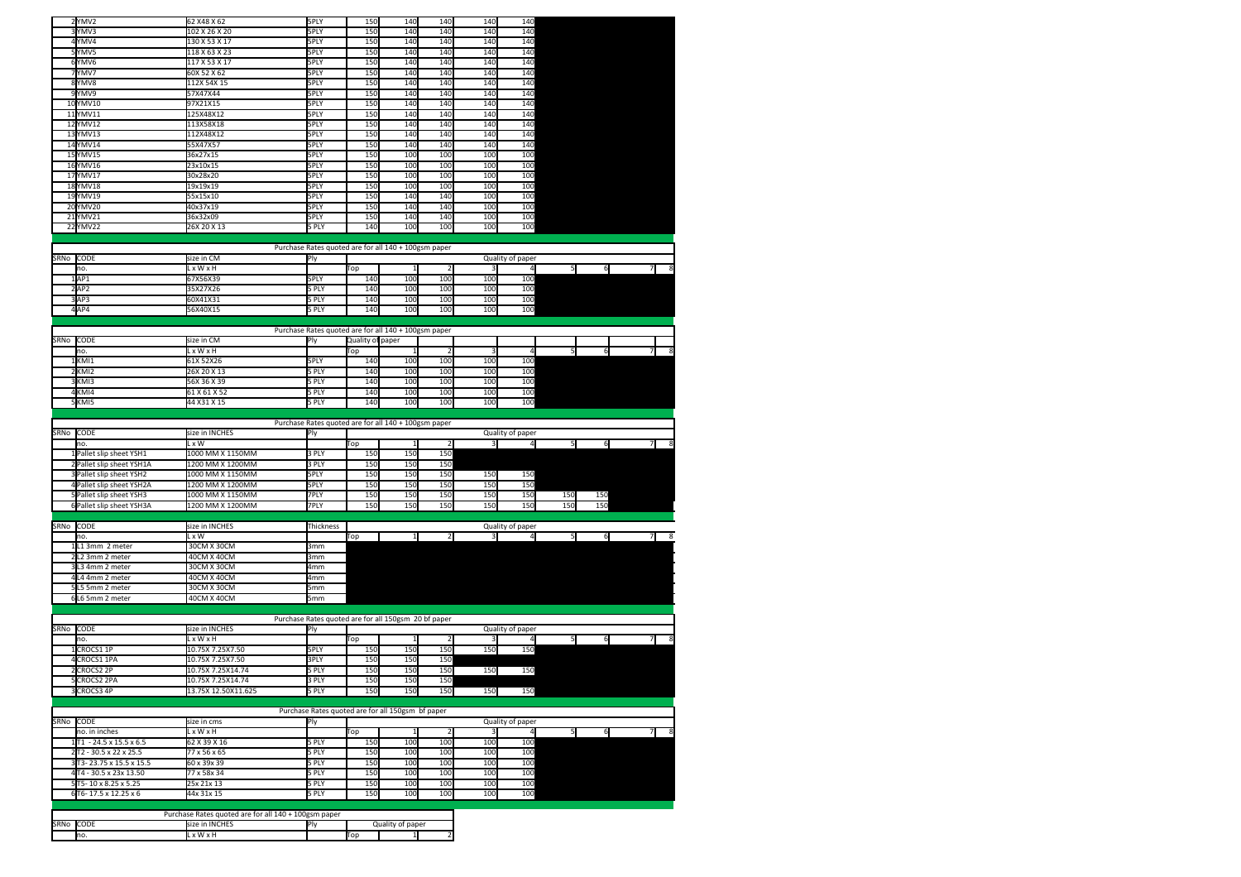| 2YMV2                     | 62 X48 X 62                                          | 5PLY                                                 | 150              | 140              | 140            | 140 | 140              |                |     |                |
|---------------------------|------------------------------------------------------|------------------------------------------------------|------------------|------------------|----------------|-----|------------------|----------------|-----|----------------|
| YMV3                      | 102 X 26 X 20                                        | 5PLY                                                 | 150              | 140              | 140            | 140 | 140              |                |     |                |
| 4YMV4                     | 130 X 53 X 17                                        | 5PLY                                                 | 150              | 140              | 140            | 140 | 140              |                |     |                |
| 5YMV5                     | 118 X 63 X 23                                        | 5PLY                                                 | 150              | 140              | 140            | 140 | 140              |                |     |                |
| 6YMV6                     | 117 X 53 X 17                                        | 5PLY                                                 | 150              | 140              | 140            | 140 | 140              |                |     |                |
| YMV7                      | 60X 52 X 62                                          | 5PLY                                                 | 150              | 140              | 140            | 140 | 140              |                |     |                |
| 8YMV8                     | 112X 54X 15                                          | 5PLY                                                 | 150              | 140              | 140            | 140 | 140              |                |     |                |
| 9YMV9                     | 57X47X44                                             | 5PLY                                                 | 150              | 140              | 140            | 140 | 140              |                |     |                |
| 10YMV10                   | 97X21X15                                             | 5PLY                                                 | 150              | 140              | 140            | 140 | 140              |                |     |                |
| 11YMV11                   | 125X48X12                                            | 5PLY                                                 | 150              | 140              | 140            | 140 | 140              |                |     |                |
| 12YMV12                   | 113X58X18                                            | 5PLY                                                 | 150              | 140              | 140            | 140 | 140              |                |     |                |
| 13YMV13                   | 112X48X12                                            | 5PLY                                                 | 150              | 140              | 140            | 140 | 140              |                |     |                |
| 14YMV14                   | 55X47X57                                             | 5PLY                                                 | 150              | 140              | 140            | 140 | 140              |                |     |                |
| 15YMV15                   | 36x27x15                                             | 5PLY                                                 | 150              | 100              | 100            | 100 | 100              |                |     |                |
| 16YMV16                   | 23x10x15                                             | 5PLY                                                 | 150              | 100              | 100            | 100 | 100              |                |     |                |
| 17YMV17                   | 30x28x20                                             | 5PLY                                                 | 150              | 100              | 100            | 100 | 100              |                |     |                |
| 18YMV18                   | 19x19x19                                             | 5PLY                                                 | 150              | 100              | 100            | 100 | 100              |                |     |                |
|                           |                                                      |                                                      |                  | 140              | 140            | 100 | 100              |                |     |                |
| 19YMV19                   | 55x15x10                                             | 5PLY                                                 | 150              |                  |                |     |                  |                |     |                |
| 20YMV20                   | 40x37x19                                             | 5PLY                                                 | 150              | 140              | 140            | 100 | 100              |                |     |                |
| 21 YMV21                  | 36x32x09                                             | 5PLY                                                 | 150              | 140              | 140            | 100 | 100              |                |     |                |
| 22YMV22                   | 26X 20 X 13                                          | 5 PLY                                                | 140              | 100              | 100            | 100 | 100              |                |     |                |
|                           |                                                      |                                                      |                  |                  |                |     |                  |                |     |                |
|                           |                                                      | Purchase Rates quoted are for all 140 + 100gsm paper |                  |                  |                |     |                  |                |     |                |
| SRNo CODE                 | size in CM                                           | Ply                                                  |                  |                  |                |     | Quality of paper |                |     |                |
| no.                       | L x W x H                                            |                                                      | Top              |                  |                |     |                  | 5 <sup>1</sup> | 6   | $\overline{7}$ |
| 1AP1                      | 67X56X39                                             | 5PLY                                                 | 140              | 100              | 100            | 100 | 100              |                |     |                |
| 2AP2                      | 35X27X26                                             | 5 PLY                                                | 140              | 100              | 100            | 100 | 100              |                |     |                |
| 3AP3                      | 60X41X31                                             | 5 PLY                                                | 140              | 100              | 100            | 100 | 100              |                |     |                |
| 4AP4                      | 56X40X15                                             | 5 PLY                                                | 140              | 100              | 100            | 100 | 100              |                |     |                |
|                           |                                                      |                                                      |                  |                  |                |     |                  |                |     |                |
|                           |                                                      | Purchase Rates quoted are for all 140 + 100gsm paper |                  |                  |                |     |                  |                |     |                |
| SRNo CODE                 | size in CM                                           | Ply                                                  | Quality of paper |                  |                |     |                  |                |     |                |
| no.                       | L x W x H                                            |                                                      | Top              |                  |                |     | 4                | 5              | 6   |                |
| 1KMI1                     | 61X 52X26                                            | 5PLY                                                 | 140              | 100              | 100            | 100 | 100              |                |     |                |
|                           |                                                      |                                                      | 140              | 100              | 100            | 100 | 100              |                |     |                |
| KMI2                      | 26X 20 X 13                                          | 5 PLY                                                |                  |                  |                |     |                  |                |     |                |
| KMI3                      | 56X 36 X 39                                          | 5 PLY                                                | 140              | 100              | 100            | 100 | 100              |                |     |                |
| KMI4                      | 61 X 61 X 52                                         | 5 PLY                                                | 140              | 100              | 100            | 100 | 100              |                |     |                |
| KMI5                      | 44 X31 X 15                                          | 5 PLY                                                | 140              | 100              | 100            | 100 | 100              |                |     |                |
|                           |                                                      |                                                      |                  |                  |                |     |                  |                |     |                |
|                           |                                                      | Purchase Rates quoted are for all 140 + 100gsm paper |                  |                  |                |     |                  |                |     |                |
| SRNo CODE                 | size in INCHES                                       | Ply                                                  |                  |                  |                |     | Quality of paper |                |     |                |
| no.                       | L x W                                                |                                                      | Тор              |                  |                | 3   | $\overline{a}$   | 5              | 6   | $\overline{7}$ |
| Pallet slip sheet YSH1    | 1000 MM X 1150MM                                     | 3 PLY                                                | 150              | 150              | 150            |     |                  |                |     |                |
| Pallet slip sheet YSH1A   | 1200 MM X 1200MM                                     | 3 PLY                                                | 150              | 150              | 150            |     |                  |                |     |                |
| Pallet slip sheet YSH2    | 1000 MM X 1150MM                                     | 5PLY                                                 | 150              | 150              | 150            | 150 | 150              |                |     |                |
| 4 Pallet slip sheet YSH2A | 1200 MM X 1200MM                                     | 5PLY                                                 | 150              | 150              | 150            | 150 | 150              |                |     |                |
| Pallet slip sheet YSH3    | 1000 MM X 1150MM                                     | 7PLY                                                 | 150              | 150              | 150            | 150 | 150              | 150            | 150 |                |
| 6 Pallet slip sheet YSH3A | 1200 MM X 1200MM                                     | 7PLY                                                 | 150              | 150              | 150            | 150 | 150              | 150            | 150 |                |
|                           |                                                      |                                                      |                  |                  |                |     |                  |                |     |                |
|                           |                                                      |                                                      |                  |                  |                |     |                  |                |     |                |
| SRNo CODE                 | size in INCHES                                       | Thickness                                            |                  |                  |                |     | Quality of paper |                |     |                |
| no.                       | L x W                                                |                                                      | Top              | $\mathbf{1}$     | 2              | 3   | $\overline{a}$   | 5              | 6   | 7<br>-8        |
| $1L1$ 3mm 2 meter         | 30CM X 30CM                                          | 3mm                                                  |                  |                  |                |     |                  |                |     |                |
| L2 3mm 2 meter            | 40CM X 40CM                                          | 3mm                                                  |                  |                  |                |     |                  |                |     |                |
| L3 4mm 2 meter            | 30CM X 30CM                                          | 4mm                                                  |                  |                  |                |     |                  |                |     |                |
| 4L4 4mm 2 meter           | 40CM X 40CM                                          | 4mm                                                  |                  |                  |                |     |                  |                |     |                |
| L5 5mm 2 meter            | 30CM X 30CM                                          | 5mm                                                  |                  |                  |                |     |                  |                |     |                |
| 6L6 5mm 2 meter           | 40CM X 40CM                                          | 5mm                                                  |                  |                  |                |     |                  |                |     |                |
|                           |                                                      |                                                      |                  |                  |                |     |                  |                |     |                |
|                           |                                                      | Purchase Rates quoted are for all 150gsm 20 bf paper |                  |                  |                |     |                  |                |     |                |
| SRNo CODE                 | size in INCHES                                       | Ply                                                  |                  |                  |                |     | Quality of paper |                |     |                |
| no.                       | L x W x H                                            |                                                      | Top              |                  |                |     |                  | 5 <sub>l</sub> | 6   | $\overline{7}$ |
| CROCS1 1P                 | 10.75X 7.25X7.50                                     | 5PLY                                                 | 150              | 150              | 150            | 150 | 150              |                |     |                |
| CROCS1 1PA<br>Δ           | 10.75X 7.25X7.50                                     | 3PLY                                                 | 150              | 150              | 150            |     |                  |                |     |                |
| 2 CROCS2 2P               | 10.75X 7.25X14.74                                    | 5 PLY                                                | 150              | 150              | 150            | 150 | 150              |                |     |                |
|                           |                                                      |                                                      |                  |                  |                |     |                  |                |     |                |
| 5CROCS2 2PA               | 10.75X 7.25X14.74                                    | 3 PLY                                                | 150<br>150       | 150<br>150       | 150            |     |                  |                |     |                |
| 3 CROCS3 4P               | 13.75X 12.50X11.625                                  | 5 PLY                                                |                  |                  | 150            | 150 | 150              |                |     |                |
|                           |                                                      |                                                      |                  |                  |                |     |                  |                |     |                |
|                           |                                                      | Purchase Rates quoted are for all 150gsm bf paper    |                  |                  |                |     |                  |                |     |                |
| SRNo CODE                 | size in cms                                          | Ply                                                  |                  |                  |                |     | Quality of paper |                |     |                |
| no. in inches             | L x W x H                                            |                                                      | Top              |                  | $\overline{2}$ | 3   |                  | 5              | 6   |                |
| 1T1 - 24.5 x 15.5 x 6.5   | 62 X 39 X 16                                         | 5 PLY                                                | 150              | 100              | 100            | 100 | 100              |                |     |                |
| 2T2 - 30.5 x 22 x 25.5    | 77 x 56 x 65                                         | 5 PLY                                                | 150              | 100              | 100            | 100 | 100              |                |     |                |
| 3 T3-23.75 x 15.5 x 15.5  | 60 x 39x 39                                          | 5 PLY                                                | 150              | 100              | 100            | 100 | 100              |                |     |                |
| 4 T4 - 30.5 x 23x 13.50   | 77 x 58x 34                                          | 5 PLY                                                | 150              | 100              | 100            | 100 | 100              |                |     |                |
| 5T5-10 x 8.25 x 5.25      | 25x 21x 13                                           | 5 PLY                                                | 150              | 100              | 100            | 100 | 100              |                |     |                |
| 6 T6-17.5 x 12.25 x 6     | 44x 31x 15                                           | 5 PLY                                                | 150              | 100              | 100            | 100 | 100              |                |     |                |
|                           |                                                      |                                                      |                  |                  |                |     |                  |                |     |                |
|                           |                                                      |                                                      |                  |                  |                |     |                  |                |     |                |
|                           |                                                      |                                                      |                  |                  |                |     |                  |                |     |                |
|                           | Purchase Rates quoted are for all 140 + 100gsm paper |                                                      |                  |                  |                |     |                  |                |     |                |
| SRNo CODE<br>no.          | size in INCHES<br>L x W x H                          | Ply                                                  | Top              | Quality of paper |                |     |                  |                |     |                |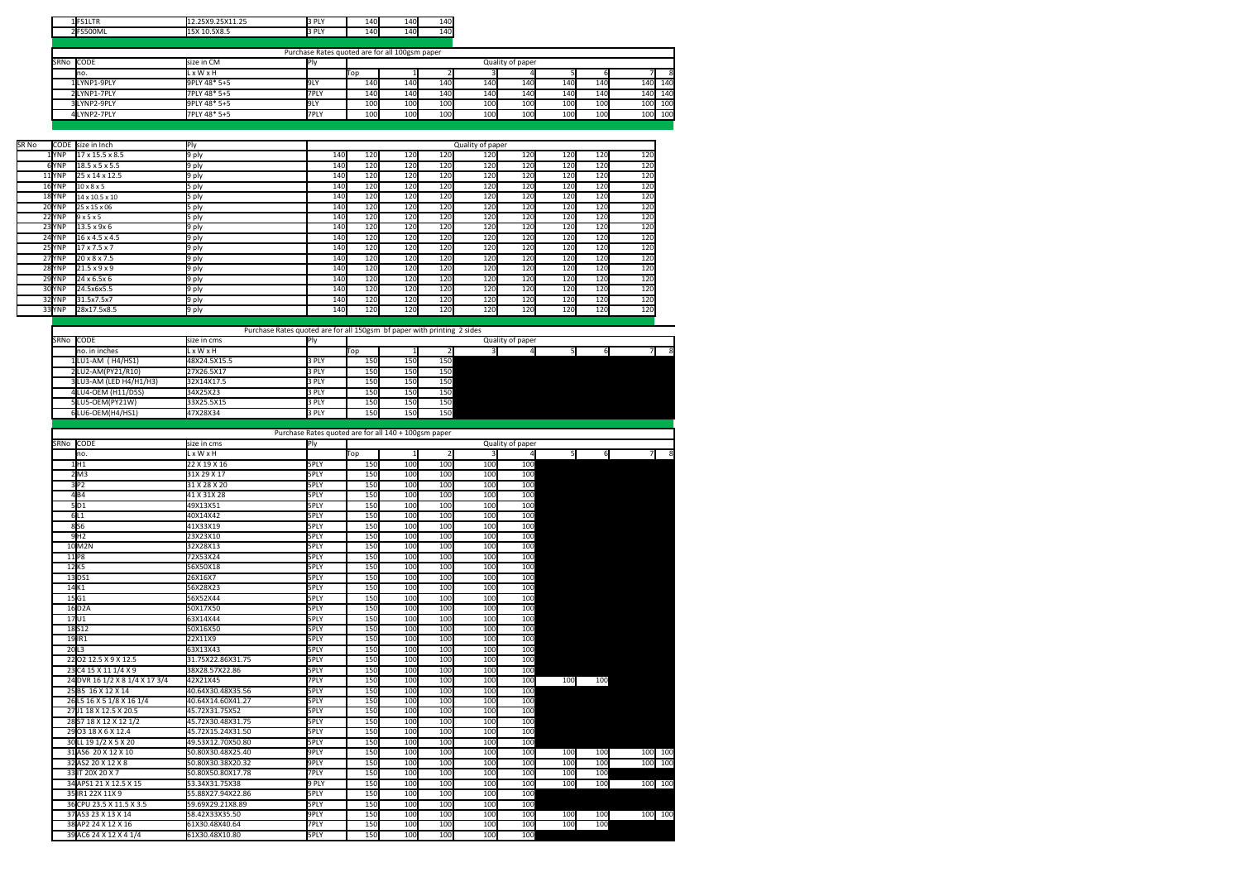|           | 1FS1LTR     | 12.25X9.25X11.25 | 3 PLY                                          | 140 | 140 | 140 |     |                  |     |     |     |     |
|-----------|-------------|------------------|------------------------------------------------|-----|-----|-----|-----|------------------|-----|-----|-----|-----|
|           | 2FS500ML    | 15X 10.5X8.5     | 3 PLY                                          | 140 | 140 | 140 |     |                  |     |     |     |     |
|           |             |                  |                                                |     |     |     |     |                  |     |     |     |     |
|           |             |                  | Purchase Rates quoted are for all 100gsm paper |     |     |     |     |                  |     |     |     |     |
| SRNo CODE |             | size in CM       | P <sub>1</sub>                                 |     |     |     |     | Quality of paper |     |     |     |     |
|           | Ino.        | L x W x H        |                                                | Top |     |     |     |                  |     |     |     |     |
|           | 1LYNP1-9PLY | 9PLY 48* 5+5     | <b>DEN</b>                                     | 140 | 140 | 140 | 140 | 140              | 140 | 140 | 140 | 140 |
|           | 2LYNP1-7PLY | 7PLY 48* 5+5     | 7PLY                                           | 140 | 140 | 140 | 140 | 140              | 140 | 140 | 140 | 140 |
|           | 3LYNP2-9PLY | 9PLY 48* 5+5     | 9LY                                            | 100 | 100 | 100 | 100 | 100              | 100 | 100 | 100 | 100 |
|           | 4LYNP2-7PLY | 7PLY 48* 5+5     | 7PLY                                           | 100 | 100 | 100 | 100 | 100              | 100 | 100 | 100 | 100 |

| SR No |        | CODE size in Inch          | Ply   |     |     |     |     | Quality of paper |     |     |     |     |
|-------|--------|----------------------------|-------|-----|-----|-----|-----|------------------|-----|-----|-----|-----|
|       | 1 YNP  | 17 x 15.5 x 8.5            | 9 ply | 140 | 120 | 120 | 120 | 120              | 120 | 120 | 120 | 120 |
|       | 6YNP   | $18.5 \times 5 \times 5.5$ | 9 ply | 140 | 120 | 120 | 120 | 120              | 120 | 120 | 120 | 120 |
|       | 11 YNP | 25 x 14 x 12.5             | 9 ply | 140 | 120 | 120 | 120 | 120              | 120 | 120 | 120 | 120 |
|       | 16YNP  | $10 \times 8 \times 5$     | 5 ply | 140 | 120 | 120 | 120 | 120              | 120 | 120 | 120 | 120 |
|       | 18YNP  | $14 \times 10.5 \times 10$ | 5 ply | 140 | 120 | 120 | 120 | 120              | 120 | 120 | 120 | 120 |
|       | 20YNP  | 25 x 15 x 06               | 5 ply | 140 | 120 | 120 | 120 | 120              | 120 | 120 | 120 | 120 |
|       | 22 YNP | 9x5x5                      | 5 ply | 140 | 120 | 120 | 120 | 120              | 120 | 120 | 120 | 120 |
|       | 23YNP  | $13.5 \times 9 \times 6$   | 9 ply | 140 | 120 | 120 | 120 | 120              | 120 | 120 | 120 | 120 |
|       | 24YNP  | $16 \times 4.5 \times 4.5$ | 9 ply | 140 | 120 | 120 | 120 | 120              | 120 | 120 | 120 | 120 |
|       | 25 YNP | $17 \times 7.5 \times 7$   | 9 ply | 140 | 120 | 120 | 120 | 120              | 120 | 120 | 120 | 120 |
|       | 27YNP  | $20 \times 8 \times 7.5$   | 9 ply | 140 | 120 | 120 | 120 | 120              | 120 | 120 | 120 | 120 |
|       | 28YNP  | $21.5 \times 9 \times 9$   | 9 ply | 140 | 120 | 120 | 120 | 120              | 120 | 120 | 120 | 120 |
|       | 29 YNP | 24 x 6.5x 6                | 9 ply | 140 | 120 | 120 | 120 | 120              | 120 | 120 | 120 | 120 |
|       | 30 YNP | 24.5x6x5.5                 | 9 ply | 140 | 120 | 120 | 120 | 120              | 120 | 120 | 120 | 120 |
|       | 32 YNP | 31.5x7.5x7                 | 9 ply | 140 | 120 | 120 | 120 | 120              | 120 | 120 | 120 | 120 |
|       | 33 YNP | 28x17.5x8.5                | 9 ply | 140 | 120 | 120 | 120 | 120              | 120 | 120 | 120 | 120 |

Purchase Rates quoted are for all 150gsm bf paper with printing 2 sides CODE Ply Quality of paper no. in inches L x W x H Top 1 2 3 4 5 6 7 8 LU1-AM ( H4/HS1) 48X24.5X15.5 3 PLY 150 150 150 2<br>2 2 LU2-AM(PY21/R10) 27X26.5X17 3 PLY 150 150<br>3 2 3 PLY 150 150 150 LU3-AM (LED H4/H1/H3) 32X14X17.5 3 PLY 150 150 150 LU4-OEM (H11/D5S) 34X25X23 3 PLY 150 150 150 5 LU5-OEM(PY21W) 6 LU6-OEM(H4/HS1) SRNo CODE<br>
no. in inches<br>
Lx W x H

|      |                                |                   | Purchase Rates quoted are for all 140 + 100gsm paper |     |     |                |     |                  |     |     |                |
|------|--------------------------------|-------------------|------------------------------------------------------|-----|-----|----------------|-----|------------------|-----|-----|----------------|
| SRNo | CODE                           | size in cms       | Ply                                                  |     |     |                |     | Quality of paper |     |     |                |
|      | no.                            | L x W x H         |                                                      | Top |     | $\overline{2}$ |     | $\overline{4}$   | 51  | 6   | $\overline{7}$ |
|      | 1H1                            | 22 X 19 X 16      | 5PLY                                                 | 150 | 100 | 100            | 100 | 100              |     |     |                |
|      | 2M3                            | 31X 29 X 17       | 5PLY                                                 | 150 | 100 | 100            | 100 | 100              |     |     |                |
|      | 3P2                            | 31 X 28 X 20      | <b>5PLY</b>                                          | 150 | 100 | 100            | 100 | 100              |     |     |                |
|      | 4B4                            | 41 X 31X 28       | 5PLY                                                 | 150 | 100 | 100            | 100 | 100              |     |     |                |
|      | 5D1                            | 49X13X51          | 5PLY                                                 | 150 | 100 | 100            | 100 | 100              |     |     |                |
|      | 6L1                            | 40X14X42          | 5PLY                                                 | 150 | 100 | 100            | 100 | 100              |     |     |                |
|      | 856                            | 41X33X19          | 5PLY                                                 | 150 | 100 | 100            | 100 | 100              |     |     |                |
|      | 9H2                            | 23X23X10          | 5PLY                                                 | 150 | 100 | 100            | 100 | 100              |     |     |                |
|      | 10M2N                          | 32X28X13          | 5PLY                                                 | 150 | 100 | 100            | 100 | 100              |     |     |                |
| 11P8 |                                | 72X53X24          | 5PLY                                                 | 150 | 100 | 100            | 100 | 100              |     |     |                |
| 12K5 |                                | 56X50X18          | 5PLY                                                 | 150 | 100 | 100            | 100 | 100              |     |     |                |
|      | $13$ <sub>DS1</sub>            | 26X16X7           | 5PLY                                                 | 150 | 100 | 100            | 100 | 100              |     |     |                |
| 14K1 |                                | 56X28X23          | 5PLY                                                 | 150 | 100 | 100            | 100 | 100              |     |     |                |
| 15G1 |                                | 56X52X44          | 5PLY                                                 | 150 | 100 | 100            | 100 | 100              |     |     |                |
|      | 16 D <sub>2</sub> A            | 50X17X50          | <b>SPLY</b>                                          | 150 | 100 | 100            | 100 | 100              |     |     |                |
| 17U1 |                                | 63X14X44          | 5PLY                                                 | 150 | 100 | 100            | 100 | 100              |     |     |                |
|      | 18 <sub>S12</sub>              | 50X16X50          | 5PLY                                                 | 150 | 100 | 100            | 100 | 100              |     |     |                |
|      | 19 IR1                         | 22X11X9           | 5PLY                                                 | 150 | 100 | 100            | 100 | 100              |     |     |                |
| 20L3 |                                | 63X13X43          | 5PLY                                                 | 150 | 100 | 100            | 100 | 100              |     |     |                |
|      | 22 02 12.5 X 9 X 12.5          | 31.75X22.86X31.75 | 5PLY                                                 | 150 | 100 | 100            | 100 | 100              |     |     |                |
|      | 23 C4 15 X 11 1/4 X 9          | 38X28.57X22.86    | 5PLY                                                 | 150 | 100 | 100            | 100 | 100              |     |     |                |
|      | 24 DVR 16 1/2 X 8 1/4 X 17 3/4 | 42X21X45          | 7PLY                                                 | 150 | 100 | 100            | 100 | 100              | 100 | 100 |                |
|      | 25 B5 16 X 12 X 14             | 40.64X30.48X35.56 | 5PLY                                                 | 150 | 100 | 100            | 100 | 100              |     |     |                |
|      | 26 L5 16 X 5 1/8 X 16 1/4      | 40.64X14.60X41.27 | 5PLY                                                 | 150 | 100 | 100            | 100 | 100              |     |     |                |
|      | 2701 18 X 12.5 X 20.5          | 45.72X31.75X52    | 5PLY                                                 | 150 | 100 | 100            | 100 | 100              |     |     |                |
|      | 28 S7 18 X 12 X 12 1/2         | 45.72X30.48X31.75 | 5PLY                                                 | 150 | 100 | 100            | 100 | 100              |     |     |                |
|      | 29 03 18 X 6 X 12.4            | 45.72X15.24X31.50 | 5PLY                                                 | 150 | 100 | 100            | 100 | 100              |     |     |                |
|      | 30 LL 19 1/2 X 5 X 20          | 49.53X12.70X50.80 | 5PLY                                                 | 150 | 100 | 100            | 100 | 100              |     |     |                |
|      | 31AS6 20 X 12 X 10             | 50.80X30.48X25.40 | 9PLY                                                 | 150 | 100 | 100            | 100 | 100              | 100 | 100 | 100 100        |
|      | 32 AS2 20 X 12 X 8             | 50.80X30.38X20.32 | 9PLY                                                 | 150 | 100 | 100            | 100 | 100              | 100 | 100 | 100<br>100     |
|      | 33 IT 20X 20 X 7               | 50.80X50.80X17.78 | 7PLY                                                 | 150 | 100 | 100            | 100 | 100              | 100 | 100 |                |
|      | 34 APS1 21 X 12.5 X 15         | 53.34X31.75X38    | 9 PLY                                                | 150 | 100 | 100            | 100 | 100              | 100 | 100 | 100 100        |
|      | 35 IR1 22X 11X 9               | 55.88X27.94X22.86 | 5PLY                                                 | 150 | 100 | 100            | 100 | 100              |     |     |                |
|      | 36 CPU 23.5 X 11.5 X 3.5       | 59.69X29.21X8.89  | 5PLY                                                 | 150 | 100 | 100            | 100 | 100              |     |     |                |
|      | 37AS3 23 X 13 X 14             | 58.42X33X35.50    | 9PLY                                                 | 150 | 100 | 100            | 100 | 100              | 100 | 100 | 100 100        |
|      | 38 AP2 24 X 12 X 16            | 61X30.48X40.64    | 7PLY                                                 | 150 | 100 | 100            | 100 | 100              | 100 | 100 |                |
|      | 39 AC6 24 X 12 X 4 1/4         | 61X30.48X10.80    | 5PLY                                                 | 150 | 100 | 100            | 100 | 100              |     |     |                |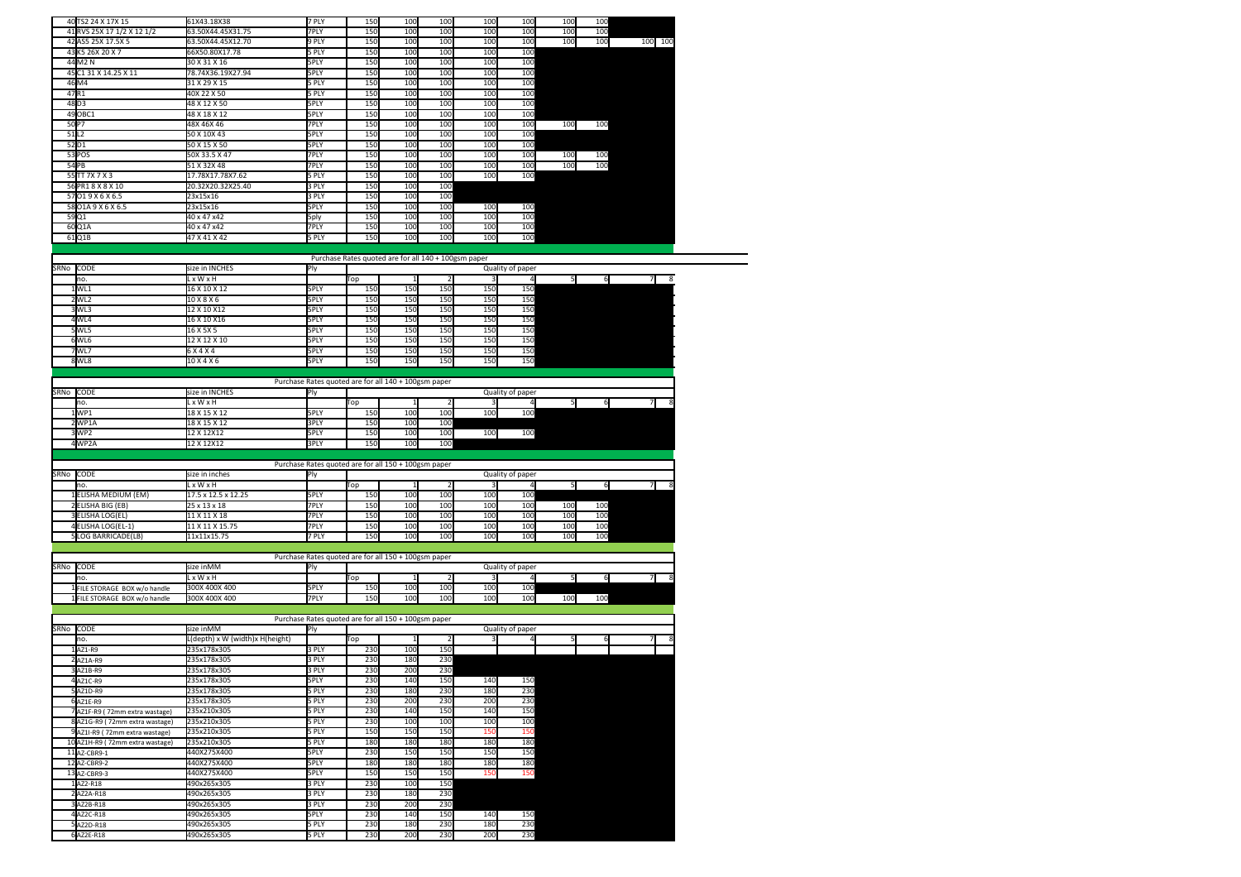|                           | 40 TS2 24 X 17X 15             | 61X43.18X38                     | 7 PLY          | 150        | 100                                                  | 100             | 100        | 100              | 100             | 100 |          |
|---------------------------|--------------------------------|---------------------------------|----------------|------------|------------------------------------------------------|-----------------|------------|------------------|-----------------|-----|----------|
|                           | 41 RVS 25X 17 1/2 X 12 1/2     | 63.50X44.45X31.75               | 7PLY           | 150        | 100                                                  | 100             | 100        | 100              | 100             | 100 |          |
|                           | 42 AS5 25X 17.5X 5             | 63.50X44.45X12.70               | 9 PLY          | 150        | 100                                                  | 100             | 100        | 100              | 100             | 100 | 100 100  |
|                           | 43 K5 26X 20 X 7               | 66X50.80X17.78                  | 5 PLY          | 150        | 100                                                  | 100             | 100        | 100              |                 |     |          |
|                           | 44 M2 N                        | 30 X 31 X 16                    | 5PLY           | 150        | 100                                                  | 100             | 100        | 100              |                 |     |          |
|                           | 45 C1 31 X 14.25 X 11          | 78.74X36.19X27.94               | 5PLY           | 150        | 100                                                  | 10 <sub>C</sub> | 100        | 100              |                 |     |          |
|                           | 46M4                           | 31 X 29 X 15                    | 5 PLY          | 150        | 100                                                  | 100             | 100        | 100              |                 |     |          |
| 47R1                      |                                | 40X 22 X 50                     |                | 150        | 100                                                  | 100             | 100        | 100              |                 |     |          |
|                           |                                |                                 | 5 PLY          |            |                                                      |                 |            |                  |                 |     |          |
| 48 D3                     |                                | 48 X 12 X 50                    | 5PLY           | 150        | 100                                                  | 100             | 100        | 100              |                 |     |          |
|                           | 49 OBC1                        | 48 X 18 X 12                    | 5PLY           | 150        | 100                                                  | 100             | 100        | 100              |                 |     |          |
| 50 <sub>P7</sub>          |                                | 48X 46X 46                      | 7PLY           | 150        | 100                                                  | 100             | 100        | 100              | 100             | 100 |          |
| 51L2                      |                                | 50 X 10X 43                     | 5PLY           | 150        | 100                                                  | 100             | 100        | 100              |                 |     |          |
| 52D1                      |                                | 50 X 15 X 50                    | 5PLY           | 150        | 100                                                  | 100             | 100        | 100              |                 |     |          |
|                           | 53 POS                         | 50X 33.5 X 47                   | 7PLY           | 150        | 100                                                  | 100             | 100        | 100              | 100             | 100 |          |
| 54 PB                     |                                | 51 X 32X 48                     | 7PLY           | 150        | 100                                                  | 100             | 100        | 100              | 100             | 100 |          |
|                           | 55TT 7X 7 X 3                  | 17.78X17.78X7.62                | 5 PLY          | 150        | 100                                                  | 100             | 100        | 100              |                 |     |          |
|                           | 56 PR1 8 X 8 X 10              | 20.32X20.32X25.40               | 3 PLY          | 150        | 100                                                  | 100             |            |                  |                 |     |          |
|                           | 57019X6X6.5                    | 23x15x16                        | 3 PLY          | 150        | 100                                                  | 100             |            |                  |                 |     |          |
|                           | 58 01A 9 X 6 X 6.5             | 23x15x16                        | 5PLY           | 150        | 100                                                  | 100             | 100        | 100              |                 |     |          |
| 59Q1                      |                                | 40 x 47 x 42                    |                | 150        | 100                                                  | 100             | 100        | 100              |                 |     |          |
|                           |                                | 40 x 47 x 42                    | 5ply           |            |                                                      |                 |            |                  |                 |     |          |
|                           | 60 Q1A                         |                                 | 7PLY           | 150        | 100                                                  | 100             | 100        | 100              |                 |     |          |
|                           | 61 Q1B                         | 47 X 41 X 42                    | 5 PLY          | 150        | 100                                                  | 100             | 100        | 100              |                 |     |          |
|                           |                                |                                 |                |            |                                                      |                 |            |                  |                 |     |          |
|                           |                                |                                 |                |            | Purchase Rates quoted are for all 140 + 100gsm paper |                 |            |                  |                 |     |          |
| SRNo                      | CODE                           | size in INCHES                  | Ply            |            |                                                      |                 |            | Quality of paper |                 |     |          |
|                           | no.                            | L x W x H                       |                | Top        | $\mathbf{1}$                                         | 2               |            | 4                | $5 \frac{1}{2}$ | 6   | 7<br>- 8 |
|                           | WL1                            | 16 X 10 X 12                    | 5PLY           | 150        | 150                                                  | 150             | 150        | 150              |                 |     |          |
|                           | 2WL2                           | 10 X 8 X 6                      | 5PLY           | 150        | 150                                                  | 150             | 150        | 150              |                 |     |          |
|                           | 3WL3                           | 12 X 10 X 12                    | 5PLY           | 150        | 150                                                  | 150             | 150        | 150              |                 |     |          |
|                           | 4WL4                           | 16 X 10 X 16                    | 5PLY           | 150        | 150                                                  | 150             | 150        | 150              |                 |     |          |
|                           |                                |                                 |                |            |                                                      |                 |            |                  |                 |     |          |
|                           | 5WL5                           | 16 X 5X 5                       | 5PLY           | 150        | 150                                                  | 150             | 150        | 150              |                 |     |          |
|                           | 6WL6                           | 12 X 12 X 10                    | 5PLY           | 150        | 150                                                  | 150             | 150        | 150              |                 |     |          |
|                           | 7 <sub>WL7</sub>               | 6 X 4 X 4                       | 5PLY           | 150        | 150                                                  | 150             | 150        | 150              |                 |     |          |
|                           | 8WL8                           | 10 X 4 X 6                      | 5PLY           | 150        | 150                                                  | 150             | 150        | 150              |                 |     |          |
|                           |                                |                                 |                |            |                                                      |                 |            |                  |                 |     |          |
|                           |                                |                                 |                |            | Purchase Rates quoted are for all 140 + 100gsm paper |                 |            |                  |                 |     |          |
|                           | SRNo CODE                      | size in INCHES                  | Ply            |            |                                                      |                 |            | Quality of paper |                 |     |          |
|                           | no.                            | L x W x H                       |                | Тор        | 1                                                    |                 |            | 4                | 5               | 6   | 7        |
|                           | WP1                            | 18 X 15 X 12                    | 5PLY           | 150        | 100                                                  | 100             | 100        | 100              |                 |     |          |
|                           |                                |                                 |                |            |                                                      |                 |            |                  |                 |     |          |
|                           |                                |                                 |                |            |                                                      |                 |            |                  |                 |     |          |
|                           | 2WP1A                          | 18 X 15 X 12                    | 3PLY           | 150        | 100                                                  | 100             |            |                  |                 |     |          |
|                           | 3WP2                           | 12 X 12X12                      | 5PLY           | 150        | 100                                                  | 100             | 100        | 100              |                 |     |          |
|                           | 4WP2A                          | 12 X 12X12                      | 3PLY           | 150        | 100                                                  | 100             |            |                  |                 |     |          |
|                           |                                |                                 |                |            |                                                      |                 |            |                  |                 |     |          |
|                           |                                |                                 |                |            | Purchase Rates quoted are for all 150 + 100gsm paper |                 |            |                  |                 |     |          |
|                           | CODE                           | size in inches                  | Ply            |            |                                                      |                 |            | Quality of paper |                 |     |          |
|                           | 10.                            | .x W x H                        |                | Top        |                                                      |                 |            |                  | 5               | 6   | 7        |
|                           | 1 ELISHA MEDIUM (EM)           | 17.5 x 12.5 x 12.25             | 5PLY           | 150        | 100                                                  | 100             | 100        | 100              |                 |     |          |
|                           |                                | 25 x 13 x 18                    |                | 150        | 100                                                  | 100             |            | 100              |                 |     |          |
|                           | 2 ELISHA BIG (EB)              |                                 | 7PLY           |            |                                                      |                 | 100        |                  | 100             | 100 |          |
|                           | 3 ELISHA LOG(EL)               | 11 X 11 X 18                    | 7PLY           | 150        | 100                                                  | 100             | 100        | 100              | 100             | 100 |          |
|                           | 4 ELISHA LOG(EL-1)             | 11 X 11 X 15.75                 | 7PLY           | 150        | 100                                                  | 100             | 100        | 100              | 100             | 100 |          |
|                           | 5LOG BARRICADE(LB)             | 11x11x15.75                     | 7 PLY          | 150        | 100                                                  | 100             | 100        | 100              | 100             | 100 |          |
|                           |                                |                                 |                |            |                                                      |                 |            |                  |                 |     |          |
|                           |                                |                                 |                |            | Purchase Rates quoted are for all 150 + 100gsm paper |                 |            |                  |                 |     |          |
|                           | CODE                           | size inMM                       | Ply            |            |                                                      |                 |            | Quality of paper |                 |     |          |
|                           | ٦Ο.                            | L x W x H                       |                | Top        |                                                      |                 |            |                  | 5               | 6   | 7        |
|                           | 1 FILE STORAGE BOX w/o handle  | 300X 400X 400                   | 5PLY           | 150        | 100                                                  | 100             | 100        | 100              |                 |     |          |
|                           | 1 FILE STORAGE BOX w/o handle  | 300X 400X 400                   | 7PLY           | 150        | 100                                                  | 100             | 100        | 100              | 100             | 100 |          |
|                           |                                |                                 |                |            |                                                      |                 |            |                  |                 |     |          |
|                           |                                |                                 |                |            |                                                      |                 |            |                  |                 |     |          |
|                           |                                | size inMM                       |                |            | Purchase Rates quoted are for all 150 + 100gsm paper |                 |            |                  |                 |     |          |
|                           |                                |                                 | Ply            |            |                                                      |                 |            | Quality of paper |                 |     |          |
|                           | no.                            | L(depth) x W (width)x H(height) |                | Top        |                                                      |                 |            |                  |                 |     |          |
|                           | AZ1-R9                         | 235x178x305                     | 3 PLY          | 230        | 100                                                  | 150             |            |                  |                 |     |          |
|                           | AZ1A-R9                        | 235x178x305                     | 3 PLY          | 230        | 180                                                  | 230             |            |                  |                 |     |          |
|                           | 3AZ1B-R9                       | 235x178x305                     | 3 PLY          | 230        | 200                                                  | 230             |            |                  |                 |     |          |
|                           | 4 AZ1C-R9                      | 235x178x305                     | 5PLY           | 230        | 140                                                  | 150             | 140        | 150              |                 |     |          |
|                           | 5AZ1D-R9                       | 235x178x305                     | 5 PLY          | 230        | 180                                                  | 230             | 180        | 230              |                 |     |          |
|                           | 6AZ1E-R9                       | 235x178x305                     | 5 PLY          | 230        | 200                                                  | 230             | 200        | 230              |                 |     |          |
|                           |                                | 235x210x305                     | 5 PLY          | 230        | 140                                                  | 150             | 140        | 150              |                 |     |          |
|                           | 7AZ1F-R9 (72mm extra wastage)  |                                 |                |            |                                                      |                 |            |                  |                 |     |          |
|                           | 8AZ1G-R9 (72mm extra wastage)  | 235x210x305                     | 5 PLY          | 230        | 100                                                  | 100             | 100        | 100              |                 |     |          |
|                           | 9AZ1I-R9 (72mm extra wastage)  | 235x210x305                     | 5 PLY          | 150        | 150                                                  | 150             | 150        | 150              |                 |     |          |
|                           | 10AZ1H-R9 (72mm extra wastage) | 235x210x305                     | 5 PLY          | 180        | 180                                                  | 180             | 180        | 180              |                 |     |          |
|                           | 11AZ-CBR9-1                    | 440X275X400                     | 5PLY           | 230        | 150                                                  | 150             | 150        | 150              |                 |     |          |
| SRNo<br>SRNo<br>SRNo CODE | 12 AZ-CBR9-2                   | 440X275X400                     | 5PLY           | 180        | 180                                                  | 180             | 180        | 180              |                 |     |          |
|                           | 13 AZ-CBR9-3                   | 440X275X400                     | 5PLY           | 150        | 150                                                  | 150             | 150        | 150              |                 |     |          |
|                           | 1AZ2-R18                       | 490x265x305                     | 3 PLY          | 230        | 100                                                  | 150             |            |                  |                 |     |          |
|                           | 2 AZ2A-R18                     | 490x265x305                     | 3 PLY          | 230        | 180                                                  | 230             |            |                  |                 |     |          |
|                           |                                | 490x265x305                     | 3 PLY          | 230        | 200                                                  | 230             |            |                  |                 |     |          |
|                           | 3AZ2B-R18                      |                                 |                |            |                                                      |                 |            |                  |                 |     |          |
|                           | 4AZ2C-R18                      | 490x265x305                     | 5PLY           | 230        | 140                                                  | 150             | 140        | 150              |                 |     |          |
|                           | 5AZ2D-R18<br>6AZ2E-R18         | 490x265x305<br>490x265x305      | 5 PLY<br>5 PLY | 230<br>230 | 180<br>200                                           | 230<br>230      | 180<br>200 | 230<br>230       |                 |     |          |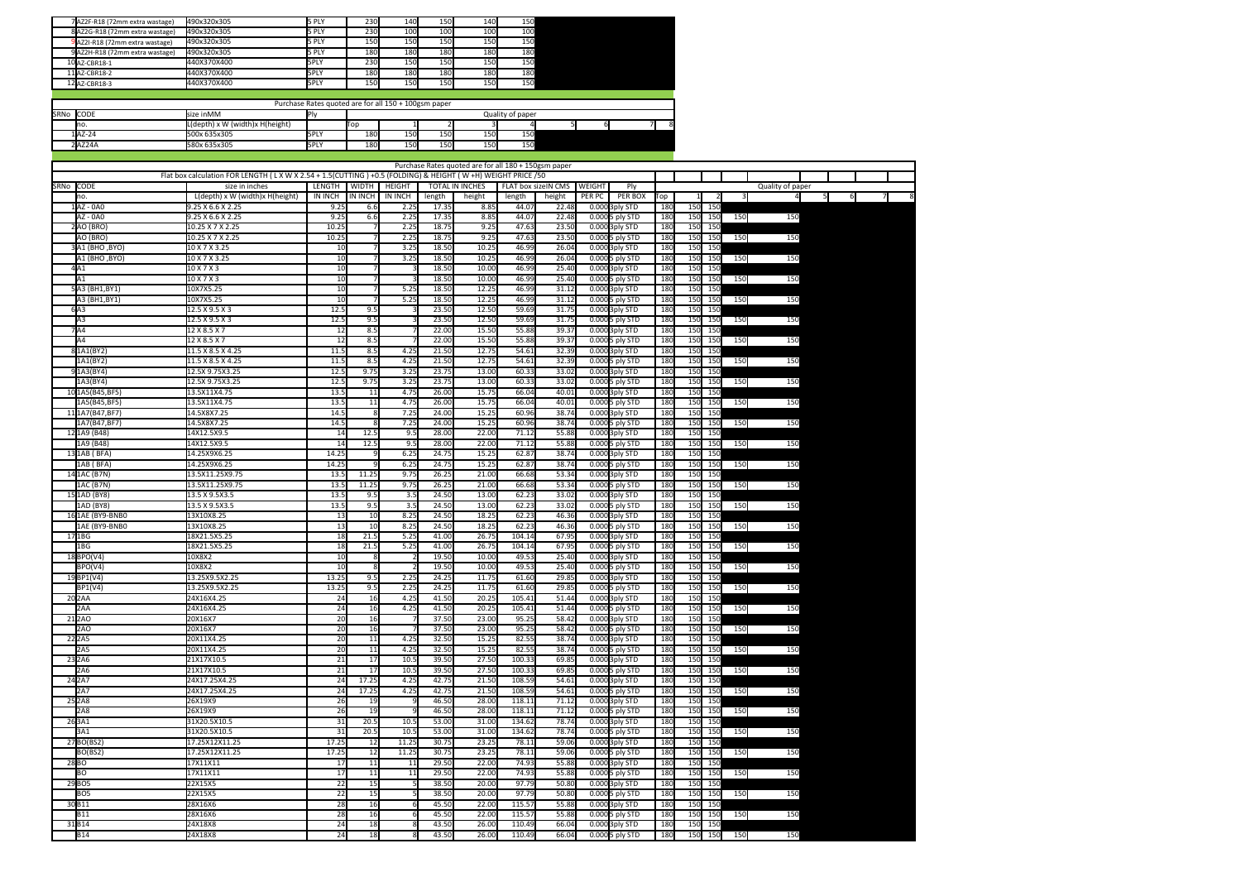| 7AZ2F-R18 (72mm extra wastage)  | 490x320x305 | 5 PLY       | 230 | 140        | 150 | 140             | 150 |  |
|---------------------------------|-------------|-------------|-----|------------|-----|-----------------|-----|--|
| 8AZ2G-R18 (72mm extra wastage)  | 490x320x305 | 5 PLY       | 230 | 100        | 100 | 10 <sup>c</sup> | 100 |  |
| 9 AZ2I-R18 (72mm extra wastage) | 490x320x305 | 5 PLY       | 150 | 150        | 150 | 150             | 150 |  |
| 9AZ2H-R18 (72mm extra wastage)  | 490x320x305 | 5 PLY       | 180 | <b>180</b> | 180 | 180             | 180 |  |
| 10AZ-CBR18-1                    | 440X370X400 | <b>SPLY</b> | 230 | 150        | 150 | 150             | 150 |  |
| 11A7-CBR18-2                    | 440X370X400 | <b>5PLY</b> | 180 | 180        | 180 | 180             | 180 |  |
| 12 AZ-CBR18-3                   | 440X370X400 | 5PLY        | 150 | 150        | 150 | 150             | 150 |  |

|                                            |                                 | Purchase Rates quoted are for all 150 + 100gsm paper |             |     |     |     |     |  |  |  |  |  |  |  |
|--------------------------------------------|---------------------------------|------------------------------------------------------|-------------|-----|-----|-----|-----|--|--|--|--|--|--|--|
| SRNo CODE<br>size inMM<br>Quality of paper |                                 |                                                      |             |     |     |     |     |  |  |  |  |  |  |  |
| Ino.                                       | L(depth) x W (width)x H(height) |                                                      | <b>ITop</b> |     |     |     |     |  |  |  |  |  |  |  |
| 1AZ-24                                     | 500x 635x305                    | <b>SPLY</b>                                          | 180         | 150 | 150 | 150 | 150 |  |  |  |  |  |  |  |
| 2AZ24A                                     | 580x 635x305                    | <b>5PLY</b>                                          | 180         | 150 | 150 | 150 | 150 |  |  |  |  |  |  |  |

|           |                                |                                                                                                      |                 |         |                |                | Purchase Rates quoted are for all 180 + 150gsm paper |        |                     |        |                              |            |            |                 |     |                  |     |   |   |        |
|-----------|--------------------------------|------------------------------------------------------------------------------------------------------|-----------------|---------|----------------|----------------|------------------------------------------------------|--------|---------------------|--------|------------------------------|------------|------------|-----------------|-----|------------------|-----|---|---|--------|
|           |                                | Flat box calculation FOR LENGTH (LXWX2.54+1.5(CUTTING)+0.5 (FOLDING) & HEIGHT (W+H) WEIGHT PRICE /50 |                 |         |                |                |                                                      |        |                     |        |                              |            |            |                 |     |                  |     |   |   |        |
| SRNo CODE |                                | size in inches                                                                                       | LENGTH          | WIDTH   | HEIGHT         |                | TOTAL IN INCHES                                      |        | FLAT box sizeIN CMS | WEIGHT | Ply                          |            |            |                 |     | Quality of paper |     |   |   |        |
|           | no.                            | L(depth) x W (width)x H(height)                                                                      | <b>IN INCH</b>  | IN INCH | <b>IN INCH</b> | length         | height                                               | length | height              | PER PC | PER BOX                      | Top        |            | $\overline{2}$  |     |                  |     | 5 | 6 | 7<br>8 |
|           | 1AZ - 0A0                      | 9.25 X 6.6 X 2.25                                                                                    | 9.2!            | 6.6     | 2.25           | 17.35          | 8.8                                                  | 44.0   | 22.48               |        | $0.000$ 3ply STD             | 180        | <b>150</b> | 150             |     |                  |     |   |   |        |
|           | $AZ - OAO$                     | 9.25 X 6.6 X 2.25                                                                                    | 9.25            | 6.6     | 2.25           | 17.35          | 8.85                                                 | 44.07  | 22.48               |        | 0.000 5 ply STD              | 180        | 150        | 150             | 150 |                  | 150 |   |   |        |
|           | 2AO (BRO)                      | 10.25 X 7 X 2.25                                                                                     | 10.25           |         | 2.25           | 18.75          | 9.25                                                 | 47.6   | 23.50               |        | 0.000 3ply STD               | 180        | 150        | 150             |     |                  |     |   |   |        |
|           | AO (BRO)                       | 10.25 X 7 X 2.25                                                                                     | 10.25           |         | 2.25           | 18.75          | 9.25                                                 | 47.6   | 23.50               |        | 0.000 5 ply STD              | 180        | 150        | 150             | 150 |                  | 150 |   |   |        |
|           | (BHO, BYO) 3A1                 | 10 X 7 X 3.25                                                                                        | 10              |         | 3.25           | 18.50          | 10.25                                                | 46.99  | 26.04               |        | 0.000 3ply STD               | 180        | 150        | 150             |     |                  |     |   |   |        |
|           | A1 (BHO, BYO)                  | 10 X 7 X 3.25                                                                                        | 10              |         | 3.25           | 18.50          | 10.25                                                | 46.99  | 26.04               |        | 0.000 5 ply STD              | 180        | 150        | 150             | 150 |                  | 150 |   |   |        |
|           | 4A1                            | $10 \times 7 \times 3$                                                                               | 10              |         |                | 18.50          | 10.00                                                | 46.9   | 25.40               |        | 0.000 3ply STD               | 180        | 150        | 150             |     |                  |     |   |   |        |
|           | A1                             | 10 X 7 X 3                                                                                           | 10              |         |                | 18.50          | 10.00                                                | 46.99  | 25.40               |        | 0.000 5 ply STD              | 180        | 150        | 150             | 150 |                  | 150 |   |   |        |
|           | 5A3 (BH1, BY1)                 | 10X7X5.25                                                                                            | 10              |         | 5.25           | 18.50          | 12.25                                                | 46.99  | 31.12               |        | 0.000 3ply STD               | 180        | 150        | 150             |     |                  |     |   |   |        |
|           | A3 (BH1,BY1)                   | 10X7X5.25                                                                                            | 10              |         | 5.25           | 18.50          | 12.25                                                | 46.99  | 31.1                |        | 0.000 5 ply STD              | 180        | 150        | 150             | 150 |                  | 150 |   |   |        |
|           | 6A3                            | 12.5 X 9.5 X 3                                                                                       | 12.5            | 9.5     |                | 23.50          | 12.50                                                | 59.6   | 31.7                |        | 0.000 3ply STD               | 180        | 150        | 150             |     |                  |     |   |   |        |
|           | A <sub>3</sub>                 | 12.5 X 9.5 X 3                                                                                       | 12.5            | 9.5     |                | 23.50          | 12.50                                                | 59.69  | 31.75               |        | 0.0005 ply STD               | 180        | 150        | 150             | 150 |                  | 150 |   |   |        |
|           | A4                             | 12 X 8.5 X 7                                                                                         | 12              | 8.5     |                | 22.00          | 15.50                                                | 55.88  | 39.3                |        | 0.000 3ply STD               | 180        | 150        | 150             |     |                  |     |   |   |        |
|           | la4                            | 12 X 8.5 X 7                                                                                         | 12              | 8.5     |                | 22.00          | 15.50                                                | 55.88  | 39.3                |        | 0.000 5 ply STD              | 180        | 150        | 150             | 150 |                  | 150 |   |   |        |
|           | 81A1(BY2)                      | 11.5 X 8.5 X 4.25                                                                                    | 11.5            | 8.5     | 4.25           | 21.50          | 12.75                                                | 54.61  | 32.39               |        | 0.000 3ply STD               | 180        | 150        | 150             |     |                  |     |   |   |        |
|           | 1A1(BY2)                       | 11.5 X 8.5 X 4.25                                                                                    | 11.5            | 8.5     | 4.25           | 21.50          | 12.75                                                | 54.61  | 32.39               |        |                              | 180        | 150        | 150             | 150 |                  | 150 |   |   |        |
|           |                                |                                                                                                      |                 | 9.75    |                |                | 13.00                                                | 60.33  |                     |        | 0.000 5 ply STD              |            | 150        |                 |     |                  |     |   |   |        |
|           | 91A3(BY4)                      | 12.5X 9.75X3.25<br>12.5X 9.75X3.25                                                                   | 12.5            | 9.75    | 3.25           | 23.75<br>23.75 | 13.00                                                | 60.3   | 33.02<br>33.0       |        | 0.000 3ply STD               | 180        | 150        | 150             |     |                  |     |   |   |        |
|           | 1A3(BY4)                       |                                                                                                      | 12.5            |         | 3.25           |                |                                                      |        | 40.01               |        | 0.000 5 ply STD              | 180<br>180 |            | 150             | 150 |                  | 150 |   |   |        |
|           | 10 1A5 (B45, BF5)              | 13.5X11X4.75                                                                                         | 13.5            | 11      | 4.75           | 26.00          | 15.75                                                | 66.04  |                     |        | 0.000 3ply STD               |            | 150        | 150             |     |                  |     |   |   |        |
|           | 1A5(B45,BF5)                   | 13.5X11X4.75                                                                                         | 13.5            | 11      | 4.75           | 26.00          | 15.75                                                | 66.04  | 40.01               |        | 0.0005 ply STD               | 180        | 150        | 150             | 150 |                  | 150 |   |   |        |
|           | 111A7(B47.BF7)                 | 14.5X8X7.25                                                                                          | 14.5            |         | 7.25           | 24.00          | 15.25                                                | 60.96  | 38.74               |        | 0.000 3ply STD               | 180        | 150        | 150             |     |                  |     |   |   |        |
|           | 1A7(B47, BF7)                  | 14.5X8X7.25                                                                                          | 14.5            |         | 7.25           | 24.00          | 15.25                                                | 60.96  | 38.74               |        | 0.000 5 ply STD              | 180        | 150        | 150             | 150 |                  | 150 |   |   |        |
|           | 12 1A9 (B48)                   | 14X12.5X9.5                                                                                          | 14              | 12.5    | 9.5            | 28.00          | 22.00                                                | 71.12  | 55.88               |        | 0.000 3ply STD               | 180        | 150        | 150             |     |                  |     |   |   |        |
|           | 1A9 (B48)                      | 14X12.5X9.5                                                                                          | 14              | 12.5    | 9.5            | 28.00          | 22.00                                                | 71.1   | 55.8                |        | 0.000 5 ply STD              | 180        | 150        | 150             | 150 |                  | 150 |   |   |        |
|           | 13 1AB (BFA)                   | 14.25X9X6.25                                                                                         | 14.25           |         | 6.25           | 24.75          | 15.25                                                | 62.8   | 38.7                |        | 0.000 3ply STD               | 180        | 150        | 15              |     |                  |     |   |   |        |
|           | 1AB (BFA)                      | 14.25X9X6.25                                                                                         | 14.2            |         | 6.25           | 24.75          | 15.25                                                | 62.87  | 38.74               |        | 0.000 5 ply STD              | 180        | 150        | 150             | 150 |                  | 150 |   |   |        |
|           | 14 1AC (B7N)                   | 13.5X11.25X9.75                                                                                      | 13.5            | 11.25   | 9.75           | 26.25          | 21.00                                                | 66.68  | 53.34               |        | 0.000 3ply STD               | 180        | 150        | 150             |     |                  |     |   |   |        |
|           | 1AC (B7N)                      | 13.5X11.25X9.75                                                                                      | 13.             | 11.25   | 9.75           | 26.25          | 21.00                                                | 66.68  | 53.34               |        | 0.000 5 ply STD              | 180        | 150        | 150             | 150 |                  | 150 |   |   |        |
|           | 15 1AD (BY8)                   | 13.5 X 9.5X3.5                                                                                       | 13.5            | 9.5     | 3.5            | 24.50          | 13.00                                                | 62.23  | 33.0                |        | 0.000 3ply STD               | 180        | 150        | 150             |     |                  |     |   |   |        |
|           | 1AD (BY8)                      | 13.5 X 9.5X3.5                                                                                       | 13.5            | 9.5     | 3.5            | 24.50          | 13.00                                                | 62.23  | 33.02               |        | 0.000 5 ply STD              | 180        | 150        | 150             | 150 |                  | 150 |   |   |        |
|           | 16 1AE (BY9-BNB0               | 13X10X8.25                                                                                           | 13              | 10      | 8.25           | 24.50          | 18.25                                                | 62.2   | 46.36               |        | 0.000 3ply STD               | 180        | 150        | 150             |     |                  |     |   |   |        |
|           | 1AE (BY9-BNB0                  | 13X10X8.25                                                                                           | 13              | 10      | 8.25           | 24.50          | 18.25                                                | 62.2   | 46.36               |        | 0.000 5 ply STD              | 180        | 150        | 150             | 150 |                  | 150 |   |   |        |
|           | 17 1BG                         | 18X21.5X5.25                                                                                         | 18              | 21.5    | 5.25           | 41.00          | 26.75                                                | 104.1  | 67.9                |        | 0.000 3ply STD               | 180        | 150        | 15              |     |                  |     |   |   |        |
|           | 1 <sub>BG</sub>                | 18X21.5X5.25                                                                                         | 18              | 21.5    | 5.25           | 41.00          | 26.75                                                | 104.14 | 67.9                |        | 0.0005 ply STD               | 180        | 150        | 150             | 150 |                  | 150 |   |   |        |
|           | 18 BPO(V4)                     | 10X8X2                                                                                               | 10              |         |                | 19.50          | 10.00                                                | 49.5   | 25.40               |        | 0.000 3ply STD               | 180        | 150        | 150             |     |                  |     |   |   |        |
|           | BPO(V4)                        | 10X8X2                                                                                               | 10              |         |                | 19.50          | 10.00                                                | 49.53  | 25.4                |        | 0.0005 ply STD               | 180        | 150        | 150             | 150 |                  | 150 |   |   |        |
|           | 19BP1(V4)                      | 13.25X9.5X2.25                                                                                       | 13.25           | 9.5     | 2.25           | 24.25          | 11.75                                                | 61.60  | 29.8                |        | $0.0003$ ply STD             | 180        | 150        | 15 <sub>C</sub> |     |                  |     |   |   |        |
|           | BP1(V4)                        | 13.25X9.5X2.25                                                                                       | 13.25           | 9.5     | 2.25           | 24.25          | 11.75                                                | 61.6   | 29.8                |        | $0.000$ <sup>5</sup> ply STD | 180        | 150        | 150             | 150 |                  | 150 |   |   |        |
|           | 20 <sub>2</sub> AA             | 24X16X4.25                                                                                           | 24              | 16      | 4.25           | 41.50          | 20.25                                                | 105.4  | 51.44               |        | 0.000 3ply STD               | 18         | 150        | 150             |     |                  |     |   |   |        |
|           | 2AA                            | 24X16X4.25                                                                                           | $\overline{24}$ | 16      | 4.25           | 41.50          | 20.25                                                | 105.41 | 51.44               |        | 0.000 5 ply STD              | 180        | 150        | 150             | 150 |                  | 150 |   |   |        |
|           | 21 <sub>2AO</sub>              | 20X16X7                                                                                              | 20              | 16      |                | 37.50          | 23.00                                                | 95.25  | 58.42               |        | 0.000 3ply STD               | 180        | 150        | 150             |     |                  |     |   |   |        |
|           | 2AO                            | 20X16X7                                                                                              | 20              | 16      |                | 37.50          | 23.00                                                | 95.25  | 58.42               |        | 0.000 5 ply STD              | 180        | 150        | 150             | 150 |                  | 150 |   |   |        |
|           | 22 2 A 5                       | 20X11X4.25                                                                                           | 20              | 11      | 4.25           | 32.50          | 15.25                                                | 82.55  | 38.74               |        | 0.000 3ply STD               | 180        | 150        | 150             |     |                  |     |   |   |        |
|           | 2A5                            | 20X11X4.25                                                                                           | 20              | 11      | 4.25           | 32.50          | 15.25                                                | 82.55  | 38.74               |        | $0.000$ <sub>5</sub> ply STD | 180        | 150        | 150             | 150 |                  | 150 |   |   |        |
|           | $2\overline{3}$ <sub>2A6</sub> | 21X17X10.5                                                                                           | $\overline{21}$ | 17      | 10.5           | 39.50          | 27.50                                                | 100.33 | 69.8                |        | $0.0003$ ply STD             | 180        | 150        | 15 <sub>C</sub> |     |                  |     |   |   |        |
|           | 2A6                            | 21X17X10.5                                                                                           | 21              | 17      | 10.5           | 39.50          | 27.50                                                | 100.33 | 69.8                |        | 0.000 5 ply STD              | 180        | 150        | 150             | 150 |                  | 150 |   |   |        |
|           | 24 2 A 7                       | 24X17.25X4.25                                                                                        | 24              | 17.25   | 4.25           | 42.75          | 21.50                                                | 108.59 | 54.6                |        | 0.000 3ply STD               | 180        | 150        | 150             |     |                  |     |   |   |        |
|           | <b>2A7</b>                     | 24X17.25X4.25                                                                                        | 24              | 17.25   | 4.25           | 42.75          | 21.50                                                | 108.59 | 54.61               |        | 0.000 5 ply STD              | 180        | 150        | 150             | 150 |                  | 150 |   |   |        |
|           | 25 2A8                         | 26X19X9                                                                                              | 26              | 19      |                | 46.50          | 28.00                                                | 118.1  | 71.1                |        | 0.000 3ply STD               | 180        | 150        | 150             |     |                  |     |   |   |        |
|           | 2A8                            | 26X19X9                                                                                              |                 | 19      |                | 46.50          | 28.00                                                | 118.1  |                     |        |                              |            | 150        | 150             |     |                  |     |   |   |        |
|           |                                |                                                                                                      | 26              |         |                |                |                                                      |        | 71.1                |        | 0.0005 ply STD               | 180        |            |                 | 150 |                  | 150 |   |   |        |
|           | 263A1                          | 31X20.5X10.5                                                                                         | 31              | 20.5    | 10.5           | 53.00          | 31.00                                                | 134.62 | 78.74               |        | 0.000 3ply STD               | 180        | 150        | 150             |     |                  |     |   |   |        |
|           | 3A1                            | 31X20.5X10.5                                                                                         | $\overline{31}$ | 20.5    | 10.5           | 53.00          | 31.00                                                | 134.62 | 78.74               |        | 0.0005 ply STD               | <b>180</b> | 150        | 150             | 150 |                  | 150 |   |   |        |
|           | 27 BO(BS2)                     | 17.25X12X11.25                                                                                       | 17.25           | 12      | 11.25          | 30.75          | 23.25                                                | 78.11  | 59.0                |        | 0.000 3ply STD               | 180        | 150        | 150             |     |                  |     |   |   |        |
|           | BO(BS2)                        | 17.25X12X11.25                                                                                       | 17.25           | 12      | 11.25          | 30.75          | 23.25                                                | 78.1   | 59.0                |        | 0.000 5 ply STD              | 180        | 150        | 150             | 150 |                  | 150 |   |   |        |
|           | 28BO                           | 17X11X11                                                                                             | 17              | 11      | 11             | 29.50          | 22.00                                                | 74.9   | 55.88               |        | 0.000 3ply STD               | 180        | 150        | 150             |     |                  |     |   |   |        |
|           | BO                             | 17X11X11                                                                                             | 17              | 11      | 11             | 29.50          | 22.00                                                | 74.9   | 55.88               |        | 0.000 5 ply STD              | 180        | 150        | 150             | 150 |                  | 150 |   |   |        |
|           | 29 BO5                         | 22X15X5                                                                                              | 22              | 15      |                | 38.50          | 20.00                                                | 97.79  | 50.80               |        | 0.000 3ply STD               | 180        | 150        | 150             |     |                  |     |   |   |        |
|           | BO <sub>5</sub>                | 22X15X5                                                                                              | 22              | 15      |                | 38.50          | 20.00                                                | 97.79  | 50.80               |        | 0.000 5 ply STD              | 180        | 150        | 150             | 150 |                  | 150 |   |   |        |
|           | 30B11                          | 28X16X6                                                                                              | 28              | 16      |                | 45.50          | 22.00                                                | 115.57 | 55.88               |        | 0.000 3ply STD               | 180        | 150        | 150             |     |                  |     |   |   |        |
|           | <b>B11</b>                     | 28X16X6                                                                                              | 28              | 16      |                | 45.50          | 22.00                                                | 115.5  | 55.88               |        | 0.000 5 ply STD              | 180        | 150        | 150             | 150 |                  | 150 |   |   |        |
|           | 31B14                          | 24X18X8                                                                                              | 24              | 18      |                | 43.50          | 26.00                                                | 110.49 | 66.0                |        | 0.000 3ply STD               | 180        | 150        | 150             |     |                  |     |   |   |        |
|           | <b>B14</b>                     | 24X18X8                                                                                              | 24              | 18      |                | 43.50          | 26.00                                                | 110.49 | 66.04               |        | 0.000 5 ply STD              | 180        | 150        | 150             | 150 |                  | 150 |   |   |        |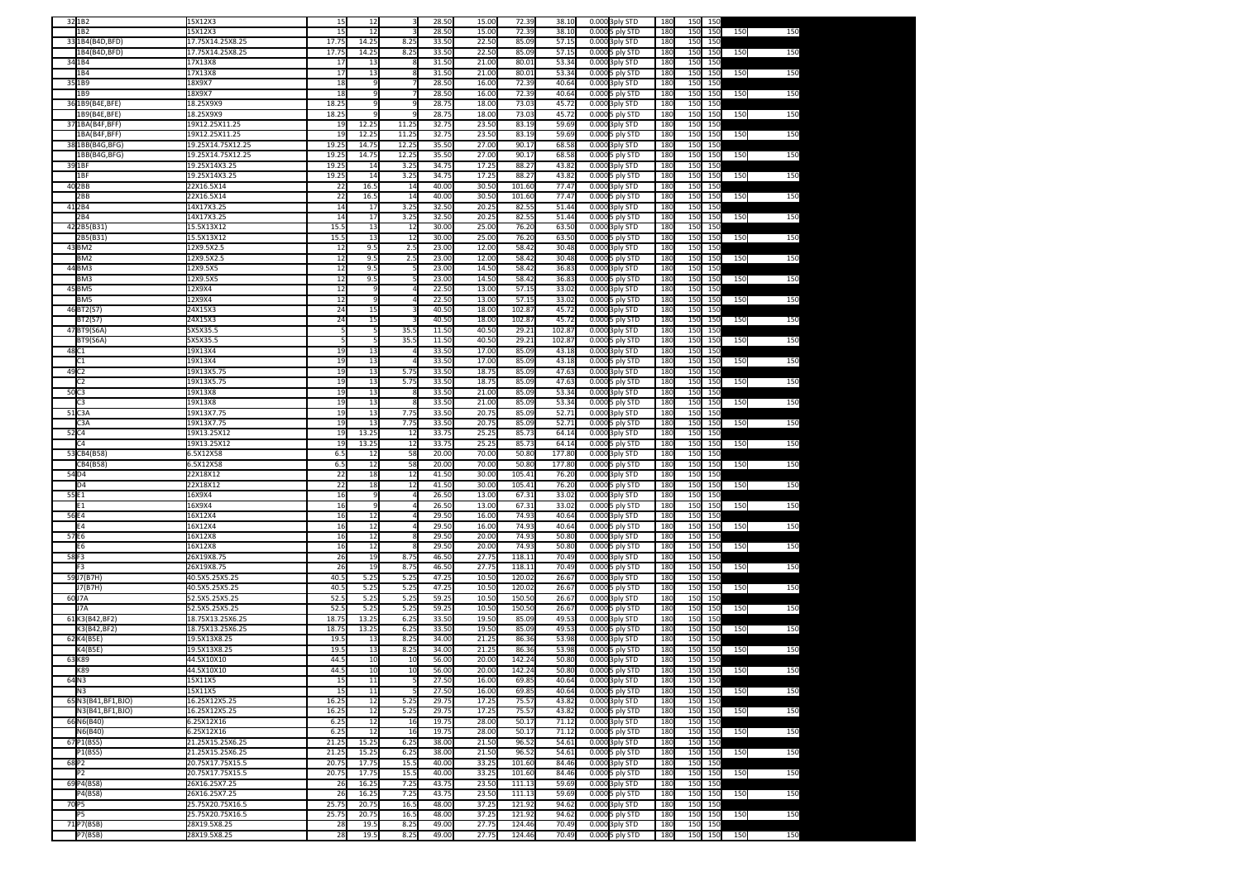|                   | 32 1B <sub>2</sub>           | 15X12X3                          | 15          | 12            | 3              | 28.50          | 15.00          | 72.39            | 38.10          | 0.000 3ply STD                       | 180        | 150        | 150        |     |     |
|-------------------|------------------------------|----------------------------------|-------------|---------------|----------------|----------------|----------------|------------------|----------------|--------------------------------------|------------|------------|------------|-----|-----|
|                   | 1B2                          | 15X12X3                          | 15          | 12            |                | 28.50          | 15.00          | 72.39            | 38.10          | 0.000 5 ply STD                      | 180        | 150        | 150        | 150 | 150 |
|                   | 33 1B4(B4D, BFD)             | 17.75X14.25X8.25                 | 17.75       | 14.25         | 8.25           | 33.50          | 22.50          | 85.09            | 57.15          | 0.000<br>3ply STD                    | 180        | 150        | 150        |     |     |
|                   | 1B4(B4D,BFD)                 | 17.75X14.25X8.25                 | 17.75       | 14.25         | 8.25           | 33.50          | 22.50          | 85.09            | 57.15          | 0.000 5 ply STD                      | 18         | 150        | 150        | 150 | 150 |
|                   | 34 1B4                       | 17X13X8                          | 17          | 13            |                | 31.50          | 21.00          | 80.01            | 53.34          | 0.000 3ply STD                       | 18         | 150        | 150        |     |     |
|                   | 1B4                          | 17X13X8                          | 17          | 13            |                | 31.50          | 21.00          | 80.01            | 53.34          | 0.000<br>5 ply STD                   | 180        | 150        | 150        | 150 | 150 |
|                   | 35 1B9                       | 18X9X7                           | 18          |               |                | 28.50          | 16.00          | 72.39            | 40.64          | 0.000 3ply STD                       | 180        | 150        | 150        |     |     |
|                   | 1B9                          | 18X9X7                           | 18          |               |                | 28.50          | 16.00          | 72.39            | 40.64          | 0.000<br>5 ply STD                   | 180        | 150        | 150        | 150 | 150 |
|                   | 36 1B9(B4E, BFE)             | 18.25X9X9                        | 18.25       |               |                | 28.75          | 18.00          | 73.03            | 45.72          | 0.000<br>3ply STD                    | 180        | 150        | 150        |     |     |
|                   | 1B9(B4E.BFE)                 | 18.25X9X9                        | 18.25       |               |                | 28.75          | 18.00          | 73.03            | 45.72          | 0.000 5 ply STD                      | 180        | 150        | 150        | 150 | 150 |
|                   | 37 1BA(B4F, BFF)             | 19X12.25X11.25                   | 19          | 12.25         | 11.25          | 32.75          | 23.50          | 83.19            | 59.69          | 0.000 3ply STD                       | 180        | 150        | 150        |     |     |
|                   | 1BA(B4F,BFF)                 | 19X12.25X11.25                   | 19          | 12.25         | 11.25          | 32.75          | 23.50          | 83.19            | 59.69          | 0.000<br>5 ply STD                   | 18         | 150        | 150        | 150 | 150 |
|                   | 38 1BB(B4G, BFG)             | 19.25X14.75X12.25                | 19.2        | 14.75         | 12.25          | 35.50          | 27.00          | 90.17            | 68.58          | 0.000<br>3ply STD                    | 180        | 150        | 150        |     |     |
|                   | 1BB(B4G,BFG)                 | 19.25X14.75X12.25                | 19.2        | 14.75         | 12.25          | 35.50          | 27.00          | 90.17            | 68.58          | 0.000<br>5 ply STD                   | 180        | 150        | 150        | 150 | 150 |
| 39 1BF            |                              | 19.25X14X3.25                    | 19.2        | 14            | 3.25           | 34.75          | 17.25          | 88.27            | 43.82          | 0.000<br>3ply STD                    | 18         | 150        | 150        |     |     |
|                   | LBF                          | 19.25X14X3.25                    | 19.25       | 14            | 3.25           | 34.75          | 17.25          | 88.27            | 43.82          | 0.000 5 ply STD                      | 18         | 150        | 150        | 150 | 150 |
|                   | 40 2BB                       | 22X16.5X14                       | 22          | 16.5          | 14             | 40.00          | 30.50          | 101.60           | 77.47          | 0.000 3ply STD                       | 180        | 150        | 150        |     |     |
|                   | 2BB                          | 22X16.5X14                       | 22          | 16.5          | 14             | 40.00          | 30.50          | 101.60           | 77.47          | 0.000<br>5 ply STD                   | 180        | 150        | 150        | 150 | 150 |
|                   | 412B4                        | 14X17X3.25                       | 14          | 17            | 3.25           | 32.50          | 20.25          | 82.55            | 51.44          | 0.000<br>3ply STD                    | 180        | 150        | 150        |     |     |
|                   | 2B4                          | 14X17X3.25                       | 14<br>15.5  | 17            | 3.25           | 32.50<br>30.00 | 20.25<br>25.00 | 82.5<br>76.20    | 51.44          | 0.000 5 ply STD<br>0.000             | 180<br>18  | 150<br>150 | 150        | 150 | 150 |
|                   | 42 2 B 5 (B 3 1)<br>2B5(B31) | 15.5X13X12<br>15.5X13X12         | 15.5        | 13<br>13      | 12<br>12       | 30.00          | 25.00          | 76.20            | 63.50<br>63.50 | 3ply STD<br>0.000<br>5 ply STD       | 180        | 150        | 150<br>150 | 150 | 150 |
|                   | 43 BM2                       | 12X9.5X2.5                       | 12          | 9.5           | 2.5            | 23.00          | 12.00          | 58.42            | 30.48          | 0.000<br>3ply STD                    | 180        | 150        | 150        |     |     |
|                   | BM <sub>2</sub>              | 12X9.5X2.5                       | 12          | 9.5           | 2.5            | 23.00          | 12.00          | 58.42            | 30.48          | 0.000<br>5 ply STD                   | 18         | 150        | 150        | 150 | 150 |
|                   | 44BM3                        | 12X9.5X5                         | 12          | 9.5           |                | 23.00          | 14.50          | 58.42            | 36.8           | 0.000<br>3ply STD                    | 180        | 150        | 150        |     |     |
|                   | BM3                          | 12X9.5X5                         | 12          | 9.5           |                | 23.00          | 14.50          | 58.42            | 36.83          | 0.000 5 ply STD                      | 180        | 150        | 150        | 150 | 150 |
|                   | 45 BM5                       | 12X9X4                           | 12          | q             |                | 22.50          | 13.00          | 57.15            | 33.02          | 0.000<br>3ply STD                    | 18         | 150        | 150        |     |     |
|                   | BM5                          | 12X9X4                           | 12          |               |                | 22.50          | 13.00          | 57.15            | 33.02          | 0.000 5 ply STD                      | 18         | 150        | 150        | 150 | 150 |
|                   | 46BT2(S7)                    | 24X15X3                          | 24          | 15            |                | 40.50          | 18.00          | 102.87           | 45.72          | 0.000 3ply STD                       | 180        | 150        | 150        |     |     |
|                   | BT2(S7)                      | 24X15X3                          | 24          | 15            |                | 40.50          | 18.00          | 102.87           | 45.72          | 0.000<br>5 ply STD                   | 18         | 150        | 150        | 150 | 150 |
|                   | 47BT9(S6A                    | 5X5X35.5                         |             |               | 35.            | 11.50          | 40.50          | 29.21            | 102.87         | 0.000<br>3ply STD                    | 180        | 150        | 150        |     |     |
|                   | <b>BT9(S6A)</b>              | 5X5X35.5                         |             | 5             | 35.            | 11.50          | 40.50          | 29.21            | 102.87         | 0.000 5 ply STD                      | 180        | 150        | 150        | 150 | 150 |
| 48 C1             |                              | 19X13X4                          | 19          | 13            |                | 33.50          | 17.00          | 85.09            | 43.18          | 0.000<br>3ply STD                    | 18         | 150        | 150        |     |     |
|                   | ٠.                           | 19X13X4                          | 19          | 13            |                | 33.50          | 17.00          | 85.09            | 43.18          | 0.000 5 ply STD                      | 18         | 150        | 150        | 150 | 150 |
| 49 C <sub>2</sub> |                              | 19X13X5.75                       | 19          | 13            | 5.75           | 33.50          | 18.75          | 85.09            | 47.63          | 0.000 3ply STD                       | 180        | 150        | 150        |     |     |
|                   | Ĝ.                           | 19X13X5.75                       | 19          | 13            | 5.75           | 33.50          | 18.75          | 85.09            | 47.6           | 0.000<br>5 ply STD                   | 180        | 150        | 150        | 150 | 150 |
| 50C3              |                              | 19X13X8                          | 19          | 13            |                | 33.50          | 21.00          | 85.09            | 53.34          | 0.000<br>3ply STD                    | 18         | 150        | 150        |     |     |
|                   | C3                           | 19X13X8                          | 19          | 13            | 8              | 33.50          | 21.00          | 85.09            | 53.34          | 0.000 5 ply STD                      | 180        | 150        | 150        | 150 | 150 |
|                   | 51C3A                        | 19X13X7.75                       | 19          | 13            | 7.75           | 33.50          | 20.75          | 85.09            | 52.71          | 0.000<br>3ply STD                    | 18         | 150        | 150        |     |     |
|                   | C3A                          | 19X13X7.75<br>19X13.25X12        | 19<br>19    | 13<br>13.25   | 7.75           | 33.50<br>33.75 | 20.75<br>25.25 | 85.09<br>85.7    | 52.71<br>64.14 | 0.000<br>5 ply STD                   | 180        | 150        | 150        | 150 | 150 |
| 52 C <sub>4</sub> | C4                           | 19X13.25X12                      | 19          | 13.25         | 12<br>12       | 33.75          | 25.25          | 85.73            | 64.1           | 0.000 3ply STD<br>0.000<br>5 ply STD | 180<br>180 | 150<br>150 | 150<br>150 | 150 | 150 |
|                   | 53 CB4 (B58)                 | 6.5X12X58                        | 6.5         | 12            | 58             | 20.00          | 70.00          | 50.80            | 177.80         | 0.000<br>3ply STD                    | 180        | 150        | 150        |     |     |
|                   | CB4(B58)                     | 6.5X12X58                        | 6.5         | 12            | 58             | 20.00          | 70.00          | 50.80            | 177.80         | 5 ply STD<br>0.000                   | 180        | 150        | 150        | 150 | 150 |
| 54 <sub>D4</sub>  |                              | 22X18X12                         | 22          | 18            | 12             | 41.50          | 30.00          | 105.41           | 76.20          | 0.000<br>3ply STD                    | 18         | 150        | 150        |     |     |
|                   | D <sub>4</sub>               | 22X18X12                         | 22          | 18            | 12             | 41.50          | 30.00          | 105.41           | 76.20          | 0.000<br>5 ply STD                   | 18         | 150        | 150        | 150 | 150 |
| 55E1              |                              | 16X9X4                           | 16          |               |                | 26.50          | 13.00          | 67.31            | 33.02          | 0.000<br>3ply STD                    | 18         | 150        | 150        |     |     |
|                   | F <sub>1</sub>               | 16X9X4                           | 16          | q             |                | 26.50          | 13.00          | 67.31            | 33.0           | 0.000<br>5 ply STD                   | 18         | 150        | 150        | 150 | 150 |
| 56 <sub>E4</sub>  |                              | 16X12X4                          | 16          | 12            | $\overline{4}$ | 29.50          | 16.00          | 74.93            | 40.64          | 0.000<br>3ply STD                    | 180        | 150        | 150        |     |     |
|                   | E4                           | 16X12X4                          | 16          | 12            |                | 29.50          | 16.00          | 74.93            | 40.64          | 0.000<br>5 ply STD                   | 180        | 150        | 150        | 150 | 150 |
| 57 E6             |                              | 16X12X8                          | 16          | 12            |                | 29.50          | 20.00          | 74.9             | 50.80          | 0.000<br>3ply STD                    | 18         | 150        | 150        |     |     |
|                   | E6                           | 16X12X8                          | 16          | 12            |                | 29.50          | 20.00          | 74.93            | 50.80          | 0.000<br>5 ply STD                   | 180        | 150        | 150        | 150 | 150 |
| 58F3              |                              | 26X19X8.75                       | 26          | 19            | 8.75           | 46.50          | 27.75          | 118.11           | 70.49          | 0.000<br>3ply STD                    | 18         | 150        | 150        |     |     |
|                   | F <sub>3</sub>               | 26X19X8.75                       | 26          | 19            | 8.75           | 46.50          | 27.75          | 118.11           | 70.49          | 0.000<br>5 ply STD                   | 18         | 150        | 150        | 150 | 150 |
|                   | 59J7(B7H)                    | 40.5X5.25X5.25                   | 40.5        | 5.25          | 5.25           | 47.25          | 10.50          | 120.02           | 26.67          | 0.000<br>3ply STD                    | 180        | 150        | 150        |     |     |
|                   | J7(B7H)                      | 40.5X5.25X5.25                   | 40.         | 5.25          | 5.25           | 47.25          | 10.50          | 120.0            | 26.67          | 0.000<br>5 ply STD                   | 180        | 150        | 150        | 150 | 150 |
| 60J7A             | J7A                          | 52.5X5.25X5.25<br>52.5X5.25X5.25 | 52.<br>52.  | 5.25<br>5.25  | 5.25<br>5.25   | 59.2<br>59.25  | 10.50<br>10.50 | 150.50<br>150.50 | 26.67<br>26.67 | 0.000<br>3ply STD<br>0.000           | 18<br>18   | 150<br>150 | 150<br>150 | 150 |     |
|                   | 61K3(B42,BF2)                | 18.75X13.25X6.25                 | 18.7        | 13.25         | 6.25           | 33.50          | 19.50          | 85.09            | 49.53          | 5 ply STD<br>0.000 3ply STD          | 18         | 150        | 150        |     | 150 |
|                   | (3(B42,BF2)                  | 18.75X13.25X6.25                 | 18.7        | 13.25         | 6.2!           | 33.50          | 19.50          | 85.0             | 49.53          | 0.000<br>5 ply STD                   | 18         | 150        | 150        | 150 | 150 |
|                   | 62 K4(B5E)                   | 19.5X13X8.25                     | 19.         | 13            | 8.25           | 34.00          | 21.25          | 86.36            | 53.98          | 0.000<br>3ply STD                    | 180        | 150        | 150        |     |     |
|                   | (4(B5E)                      | 19.5X13X8.25                     | 19.         | 13            | 8.25           | 34.00          | 21.25          | 86.36            | 53.98          | 0.000<br>5 ply STD                   | 180        | 150        | 150        | 150 | 150 |
| 63 K89            |                              | 44.5X10X10                       | 44.         | 10            | 10             | 56.0           | 20.0           | 142.24           | 50.8           | <b>Bply STD</b><br>0.000             | 18         | 150        | 150        |     |     |
|                   | K89                          | 44.5X10X10                       | 44.5        | 10            | 10             | 56.00          | 20.00          | 142.24           | 50.80          | 0.000 5 ply STD                      | 180        | 150        | 150        | 150 | 150 |
| 64 N 3            |                              | 15X11X5                          | 15          | 11            |                | 27.50          | 16.00          | 69.85            | 40.64          | 0.000 3ply STD                       | 180        | 150        | -150       |     |     |
|                   | N <sub>3</sub>               | 15X11X5                          | 15          | 11            | 5              | 27.50          | 16.00          | 69.85            | 40.64          | 0.000 5 ply STD                      | 180        |            | 150 150    | 150 | 150 |
|                   | 65N3(B41,BF1,BJO)            | 16.25X12X5.25                    | 16.25       | 12            | 5.25           | 29.75          | 17.25          | 75.57            | 43.82          | 0.000 3ply STD                       | 180        | 150        | 150        |     |     |
|                   | N3(B41, BF1, BJO)            | 16.25X12X5.25                    | 16.25       | 12            | 5.25           | 29.75          | 17.25          | 75.57            | 43.82          | 0.000 5 ply STD                      | 180        | 150        | 150        | 150 | 150 |
|                   | 66N6(B40)                    | 6.25X12X16                       | 6.25        | 12            | 16             | 19.75          | 28.00          | 50.17            | 71.12          | 0.000 3ply STD                       | 180        | 150        | 150        |     |     |
|                   | N6(B40)                      | 6.25X12X16                       | 6.25        | 12            | 16             | 19.75          | 28.00          | 50.17            | 71.12          | 0.000 5 ply STD                      | 180        | 150        | 150        | 150 | 150 |
|                   | 67 P1(BS5)                   | 21.25X15.25X6.25                 | 21.25       | 15.25         | 6.25           | 38.00          | 21.50          | 96.52            | 54.61          | 0.000 3ply STD                       | 180        | 150        | 150        |     |     |
|                   |                              | 21.25X15.25X6.25                 | 21.2!       | 15.25         | 6.25<br>15.    | 38.00          | 21.50          | 96.52            | 54.61          | 0.000 5 ply STD                      | 180        | 150        | 150        | 150 | 150 |
|                   | P1(BS5)                      |                                  |             |               |                | 40.00          | 33.25          | 101.60           | 84.46          | 0.000 3ply STD                       | 180        | 150        | 150        |     |     |
| 68P2              |                              | 20.75X17.75X15.5                 | 20.75       | 17.75         |                |                |                |                  |                |                                      |            |            |            |     |     |
|                   | P <sub>2</sub>               | 20.75X17.75X15.5                 | 20.75       | 17.75         | 15.5           | 40.00          | 33.25          | 101.60           | 84.46          | 0.000 5 ply STD                      | 180        | 150        | 150        | 150 | 150 |
|                   | 69 P4(BS8)                   | 26X16.25X7.25                    | 26          | 16.25         | 7.25           | 43.75          | 23.50          | 111.13           | 59.69          | 0.000 3ply STD                       | 180        | 150        | 150        |     |     |
|                   | P4(BS8)                      | 26X16.25X7.25                    | 26          | 16.25         | 7.25           | 43.75          | 23.50          | 111.13           | 59.69          | 0.000 5 ply STD                      | 180        | 150        | 150        | 150 | 150 |
| 70 P5             |                              | 25.75X20.75X16.5                 | 25.75       | 20.75         | 16.5           | 48.00          | 37.25          | 121.92           | 94.62          | 0.000 3ply STD                       | 180        | 150        | 150        |     |     |
|                   | P <sub>5</sub><br>71 P7(BSB) | 25.75X20.75X16.5<br>28X19.5X8.25 | 25.75<br>28 | 20.75<br>19.5 | 16.5<br>8.25   | 48.00<br>49.00 | 37.25<br>27.75 | 121.92<br>124.46 | 94.62<br>70.49 | 0.000 5 ply STD<br>0.000 3ply STD    | 180<br>180 | 150<br>150 | 150<br>150 | 150 | 150 |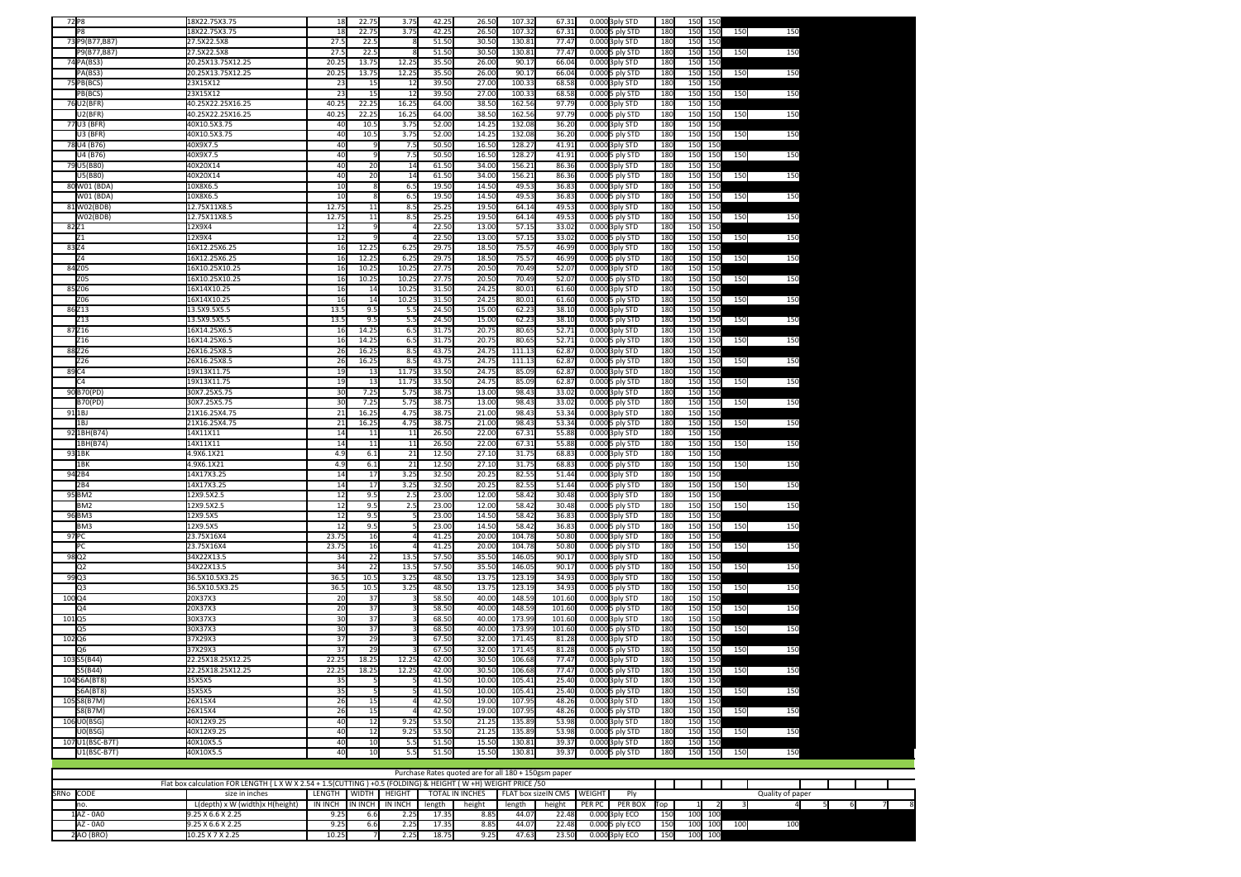| 72 P8             |                                | 18X22.75X3.75                          | 18              | 22.75                 | 3.75                  | 42.25          | 26.50          | 107.32           | 67.31          |                | 0.000 3ply STD                    | 180             | 150        | -150       |     |     |
|-------------------|--------------------------------|----------------------------------------|-----------------|-----------------------|-----------------------|----------------|----------------|------------------|----------------|----------------|-----------------------------------|-----------------|------------|------------|-----|-----|
|                   | P <sub>8</sub>                 | 18X22.75X3.75                          | 18              | 22.75                 | 3.75                  | 42.25          | 26.50          | 107.32           | 67.31          |                | 0.000 5 ply STD                   | 180             | 150        | 150        | 150 | 150 |
|                   | 73 P9(B77,B87)                 | 27.5X22.5X8                            | 27.5            | 22.5                  |                       | 51.5(          | 30.5           | 130.81           | 77.47          |                | 0.000 3ply STD                    | 180             | 150        | 150        |     |     |
|                   | P9(B77,B87)                    | 27.5X22.5X8                            | 27.5            | 22.5                  |                       | 51.50          | 30.5           | 130.81           | 77.47          |                | 0.000 5 ply STD                   | 180             | 150        | 150        | 150 | 150 |
|                   | 74 PA(BS3)<br>PA(BS3)          | 20.25X13.75X12.25<br>20.25X13.75X12.25 | 20.2<br>20.2    | 13.7 <sup>1</sup>     | 12.25<br>12.25        | 35.50<br>35.50 | 26.00<br>26.00 | 90.17<br>90.17   | 66.04<br>66.04 |                | 0.000 3ply STD                    | 180<br>180      | 150<br>150 | 150<br>150 | 150 |     |
|                   | 75 PB(BCS)                     | 23X15X12                               | $\mathcal{L}$   | 13.75<br>15           | 12                    | 39.50          | 27.00          | 100.3            | 68.58          |                | 0.000 5 ply STD<br>0.000 3ply STD | 180             | 150        | 150        |     | 150 |
|                   | PB(BCS)                        | 23X15X12                               | $\overline{23}$ | 15                    | 12                    | 39.5(          | 27.00          | 100.33           | 68.58          |                | 0.000 5 ply STD                   | 180             | 150        | 150        | 150 | 150 |
|                   | 76 U2(BFR)                     | 40.25X22.25X16.25                      | 40.25           | 22.25                 | 16.25                 | 64.00          | 38.50          | 162.56           | 97.79          |                | 0.000 3ply STD                    | 180             | 150        | 150        |     |     |
|                   | U2(BFR)                        | 40.25X22.25X16.25                      | 40.25           | 22.25                 | 16.25                 | 64.00          | 38.50          | 162.56           | 97.79          |                | 0.000 5 ply STD                   | 180             | 150        | 150        | 150 | 150 |
|                   | 77 U3 (BFR)                    | 40X10.5X3.75                           | 40              | 10.5                  | 3.75                  | 52.00          | 14.2!          | 132.08           | 36.20          |                | 0.000 3ply STD                    | 180             | 150        | 150        |     |     |
|                   | U3 (BFR                        | 40X10.5X3.75                           | 40              | 10.5                  | 3.75                  | 52.00          | 14.2!          | 132.08           | 36.20          |                | 0.000 5 ply STD                   | 180             | 150        | 150        | 150 | 150 |
|                   | 78 U4 (B76)                    | 40X9X7.5                               | 40              |                       | 7.5                   | 50.50          | 16.5           | 128.2            | 41.91          |                | 0.000 3ply STD                    | 180             | 150        | 150        |     |     |
|                   | U4 (B76)                       | 40X9X7.5                               | 40              |                       | 7.5                   | 50.5(          | 16.50          | 128.27           | 41.91          |                | 0.000 5 ply STD                   | 180             | 150        | 150        | 150 | 150 |
|                   | 79 U5(B80)                     | 40X20X14                               | 40              | 20                    | 14                    | 61.50          | 34.00          | 156.21           | 86.36          | 0.000          | 3ply STD                          | 180             | 150        | 150        |     |     |
|                   | U5(B80)                        | 40X20X14                               | 40              | 20                    | 14                    | 61.50          | 34.00          | 156.21           | 86.36          | 0.000          | 5 ply STD                         | 180             | 150        | 150        | 150 | 150 |
|                   | 80 W01 (BDA                    | 10X8X6.5                               | 10              |                       | 6.5                   | 19.50          | 14.5(          | 49.53            | 36.8           | 0.000          | 3ply STD                          | 180             | 150        | 150        |     |     |
|                   | W01 (BDA)                      | 10X8X6.5                               | 10              |                       | 6.5                   | 19.50          | 14.50          | 49.5             | 36.8           | 0.000          | 5 ply STD                         | 180             | 150        | 150        | 150 | 150 |
|                   | 81W02(BDB)<br>WO2(BDB)         | 12.75X11X8.5<br>12.75X11X8.5           | 12.75<br>12.75  | 11<br>$\overline{11}$ | 8.5<br>8.5            | 25.25<br>25.25 | 19.50<br>19.50 | 64.14<br>64.14   | 49.5<br>49.53  | 0.000<br>0.000 | 3ply STD<br>5 ply STD             | 180<br>180      | 150<br>150 | 150<br>150 | 150 | 150 |
| 82Z1              |                                | 12X9X4                                 | 12              |                       |                       | 22.5(          | 13.00          | 57.15            | 33.02          | 0.000          | 3ply STD                          | 180             | 150        | 150        |     |     |
|                   | 71                             | 12X9X4                                 | $\overline{12}$ |                       |                       | 22.5(          | 13.00          | 57.15            | 33.02          | 0.000          | 5 ply STD                         | 180             | 150        | 150        | 150 | 150 |
| 83Z4              |                                | 16X12.25X6.25                          | 16              | 12.25                 | 6.25                  | 29.75          | 18.50          | 75.57            | 46.99          | 0.000          | 3ply STD                          | 180             | 150        | 150        |     |     |
|                   | Z4                             | 16X12.25X6.25                          | 16              | 12.25                 | 6.25                  | 29.79          | 18.50          | 75.57            | 46.99          |                | 0.000 5 ply STD                   | 180             | 150        | 150        | 150 | 150 |
|                   | 84 Z05                         | 16X10.25X10.25                         | 16              | 10.25                 | 10.25                 | 27.75          | 20.50          | 70.49            | 52.07          |                | 0.000 3ply STD                    | 180             | 150        | 150        |     |     |
|                   | Z05                            | 16X10.25X10.25                         | 16              | 10.25                 | 10.25                 | 27.75          | 20.50          | 70.49            | 52.07          |                | 0.000 5 ply STD                   | 180             | 150        | 150        | 150 | 150 |
|                   | 85 Z06                         | 16X14X10.25                            | 16              | 14                    | 10.25                 | 31.5(          | 24.25          | 80.01            | 61.60          |                | 0.000 3ply STD                    | 180             | 150        | 150        |     |     |
|                   | Z06                            | 16X14X10.25                            | 16              | 14                    | 10.25                 | 31.5(          | 24.25          | 80.01            | 61.60          |                | 0.000 5 ply STD                   | 180             | 150        | 150        | 150 | 150 |
|                   | 86Z13                          | 13.5X9.5X5.5                           | 13.5            | 9.5                   | 5.5                   | 24.5(          | 15.00          | 62.23            | 38.10          |                | 0.000 3ply STD                    | 180             | 150        | 150        |     |     |
|                   | 713                            | 13.5X9.5X5.5                           | 13.5            | 9.5                   | 5.5                   | 24.50          | 15.00          | 62.23            | 38.10          |                | 0.000 5 ply STD                   | 180             | 150        | 150        | 150 | 150 |
|                   | 87Z16                          | 16X14.25X6.5                           | 16<br>16        | 14.25<br>14.25        | 6.5<br>6.5            | 31.7<br>31.75  | 20.75<br>20.75 | 80.65<br>80.65   | 52.71<br>52.71 |                | 0.000 3ply STD                    | 180<br>180      | 150<br>150 | 15         | 150 | 150 |
|                   | Z <sub>16</sub><br>88 Z26      | 16X14.25X6.5<br>26X16.25X8.5           | 26              | 16.2!                 | 8.5                   | 43.75          | 24.75          | 111.13           | 62.87          |                | 0.000 5 ply STD<br>0.000 3ply STD | 180             | 150        | 150<br>150 |     |     |
|                   | Z26                            | 26X16.25X8.5                           | 26              | 16.25                 | 8.5                   | 43.79          | 24.7           | 111.13           | 62.87          |                | 0.000 5 ply STD                   | 180             | 150        | 150        | 150 | 150 |
| 89 C4             |                                | 19X13X11.75                            | 19              | 13                    | 11.75                 | 33.50          | 24.75          | 85.09            | 62.87          |                | 0.000 3ply STD                    | 180             | 150        | 150        |     |     |
|                   | C4                             | 19X13X11.75                            | 19              | $\overline{13}$       | 11.75                 | 33.50          | 24.75          | 85.09            | 62.87          |                | 0.000 5 ply STD                   | 18 <sub>C</sub> | 150        | 150        | 150 | 150 |
|                   | 90 B70(PD)                     | 30X7.25X5.75                           | 30              | 7.25                  | 5.75                  | 38.75          | 13.00          | 98.4             | 33.02          | 0.000          | 3ply STD                          | 180             | 150        | 150        |     |     |
|                   | <b>B70(PD)</b>                 | 30X7.25X5.75                           | 30              | 7.25                  | 5.75                  | 38.75          | 13.00          | 98.43            | 33.02          |                | 0.0005 ply STD                    | 180             | 150        | 150        | 150 | 150 |
|                   | 91 <sub>1BJ</sub>              | 21X16.25X4.75                          | 21              | 16.25                 | 4.75                  | 38.7           | 21.00          | 98.43            | 53.34          |                | 0.000 3ply STD                    | 180             | 150        | 150        |     |     |
|                   | 1BJ                            | 21X16.25X4.75                          | 21              | 16.25                 | 4.75                  | 38.7           | 21.00          | 98.43            | 53.34          |                | 0.000 5 ply STD                   | 180             | 150        | 150        | 150 | 150 |
|                   | 92 1BH(B74)                    | 14X11X11                               | 14              | 11                    | 11                    | 26.50          | 22.00          | 67.31            | 55.8           |                | 0.000 3ply STD                    | 180             | 150        | 150        |     |     |
|                   | 1BH(B74)                       | 14X11X11                               | 14<br>4.9       | 11                    | 11                    | 26.50          | 22.00          | 67.31            | 55.8           |                | 0.000 5 ply STD                   | 180             | 150        | 150        | 150 | 150 |
|                   | 93 1BK<br>1BK                  | 4.9X6.1X21<br>4.9X6.1X21               | 4.9             | 6.1<br>6.1            | 21<br>$\overline{21}$ | 12.50<br>12.50 | 27.10<br>27.10 | 31.75<br>31.75   | 68.8<br>68.8   |                | 0.000 3ply STD<br>0.000 5 ply STD | 180<br>180      | 150<br>150 | 150<br>150 | 150 | 150 |
|                   | 94 <sub>2</sub> B4             | 14X17X3.25                             | 14              | 17                    | 3.25                  | 32.50          | 20.25          | 82.55            | 51.44          | 0.000          | <b>3ply STD</b>                   | 180             | 150        | 150        |     |     |
|                   | 2 <sub>B4</sub>                | 14X17X3.25                             | 14              | 17                    | 3.25                  | 32.50          | 20.25          | 82.55            | 51.44          |                | 0.000 5 ply STD                   | 180             | 150        | 150        | 150 | 150 |
|                   | 95 BM2                         | 12X9.5X2.5                             | 12              | 9.5                   | 2.5                   | 23.00          | 12.00          | 58.42            | 30.48          | 0.000          | 3ply STD                          | 180             | 150        | 150        |     |     |
|                   | BM <sub>2</sub>                | 12X9.5X2.5                             | 12              | 9.5                   | 2.5                   | 23.00          | 12.00          | 58.42            | 30.48          | 0.000          | 5 ply STD                         | 180             | 150        | 150        | 150 | 150 |
|                   | 96 BM3                         | 12X9.5X5                               | 12              | 9.5                   |                       | 23.00          | 14.50          | 58.42            | 36.8           | 0.000          | 3ply STD                          | 180             | 150        | 150        |     |     |
|                   | BM <sub>3</sub>                | 12X9.5X5                               | 12              | 9.5                   |                       | 23.00          | 14.50          | 58.42            | 36.83          | 0.000          | 5 ply STD                         | 180             | 150        | 150        | 150 | 150 |
| 97 PC             |                                | 23.75X16X4                             | 23.75           | 16                    |                       | 41.25          | 20.00          | 104.78           | 50.80          | 0.000          | <b>3ply STD</b>                   | 180             | 150        | 150        |     |     |
|                   | PC.                            | 23.75X16X4                             | 23.75           | 16                    |                       | 41.25          | 20.00          | 104.78           | 50.80          | 0.000          | 5 ply STD                         | 180             | 150        | 150        | 150 | 150 |
| 98 Q <sub>2</sub> |                                | 34X22X13.5                             | 34              | 22                    | 13.5                  | 57.5(          | 35.50          | 146.05           | 90.17          |                | 0.000 3ply STD                    | 180             | 150        | 150<br>150 |     |     |
| 99Q3              | Q2                             | 34X22X13.5<br>36.5X10.5X3.25           | 34<br>36.5      | 22<br>10.5            | 13.<br>3.25           | 57.50<br>48.50 | 35.50<br>13.75 | 146.05<br>123.19 | 90.17<br>34.9  |                | 0.000 5 ply STD                   | 180<br>180      | 150<br>150 | 150        | 150 | 150 |
|                   | Q3                             | 36.5X10.5X3.25                         | 36.5            | 10.5                  | 3.25                  | 48.50          | 13.75          | 123.19           | 34.9           |                | 0.000 3ply STD<br>0.000 5 ply STD | 180             | 150        | 150        | 150 | 150 |
| 100Q4             |                                | 20X37X3                                | 20              | 37                    |                       | 58.50          | 40.00          | 148.59           | 101.6          |                | 0.000 3ply STD                    | 180             | 150        | 150        |     |     |
|                   | O <sub>4</sub>                 | 20X37X3                                | $\overline{20}$ | 37                    |                       | 58.5           | 40.00          | 148.59           | 101.6          |                | 0.0005 ply STD                    | 180             | 150        | 150        | 150 | 150 |
| 10105             |                                | 30X37X3                                | 30              | $\overline{37}$       |                       | 68.50          | 40.00          | 173.99           | 101.60         |                | 0.000 3ply STD                    | 180             | 150        | 150        |     |     |
|                   | O5                             | 30X37X3                                | 30              | 37                    |                       | 68.50          | 40.00          | 173.99           | 101.60         |                | 0.000 5 ply STD                   | 180             | 150        | 150        | 150 | 150 |
| 102 Q6            |                                | 37X29X3                                | $\overline{37}$ | 29                    |                       | 67.50          | 32.00          | 171.45           | 81.28          |                | 0.000 3ply STD                    | 180             | 150        | 150        |     |     |
|                   | Q6                             | 37X29X3                                | $\overline{37}$ | 29                    |                       | 67.50          | 32.00          | 171.45           | 81.28          |                | 0.000 5 ply STD                   | 180             | 150        | 150        | 150 | 150 |
|                   | 103 S5(B44)                    | 22.25X18.25X12.25                      | 22.2            | 18.2                  | 12.25                 | 42.00          | 30.5           | 106.68           | 77.47          |                | 0.000 3ply STD                    | 180             | 150        | 150        |     |     |
|                   | S5(B44)                        | 22.25X18.25X12.25                      | 22.2            | 18.25                 | 12.25                 | 42.00          | 30.5           | 106.68           | 77.47          |                | 0.000 5 ply STD                   | 180             | 150        | 150        | 150 | 150 |
|                   | 104 S6A(BT8<br><b>S6A(BT8)</b> | 35X5X5<br>35X5X5                       | 35<br>35        |                       |                       | 41.50<br>41.50 | 10.0<br>10.00  | 105.41<br>105.41 | 25.40<br>25.40 |                | 0.000 3ply STD                    | 180<br>180      | 150<br>150 | 150<br>150 |     |     |
|                   | 105 S8(B7M)                    | 26X15X4                                | $\overline{26}$ | 15                    |                       | 42.50          | 19.00          | 107.95           | 48.26          |                | 0.000 5 ply STD<br>0.000 3ply STD | 180             | 150        | 150        | 150 | 150 |
|                   | <b>S8(B7M)</b>                 | 26X15X4                                | 26              | 15                    | $\Delta$              | 42.50          | 19.00          | 107.95           | 48.26          |                | 0.000 5 ply STD                   | 180             | 150        | 150        | 150 | 150 |
|                   | 106 U0(BSG)                    | 40X12X9.25                             | 40              | 12                    | 9.25                  | 53.50          | 21.25          | 135.89           | 53.98          |                | 0.000 3ply STD                    | 180             | 150        | 150        |     |     |
|                   | U0(BSG)                        | 40X12X9.25                             | 40              | 12                    | 9.25                  | 53.50          | 21.25          | 135.89           | 53.98          |                | 0.000 5 ply STD                   | 180             | 150        | 150        | 150 | 150 |
|                   | 107 U1(BSC-B7T)                | 40X10X5.5                              | 40              | 10                    | 5.5                   | 51.5(          | 15.5(          | 130.8            | 39.3           |                | 0.000 3ply STD                    | 180             | 150        | 150        |     |     |
|                   | U1(BSC-B7T)                    | 40X10X5.5                              | 40              | 10                    | 5.5                   | 51.50          | 15.50          | 130.81           | 39.37          |                | 0.0005 ply STD                    | 180             | 150        | 150        | 150 | 150 |
|                   |                                |                                        |                 |                       |                       |                |                |                  |                |                |                                   |                 |            |            |     |     |

| Purchase Rates quoted are for all 180 + 150gsm paper                                                  |                                 |                   |                |         |        |                                               |        |        |        |                 |             |                  |     |     |     |  |  |  |
|-------------------------------------------------------------------------------------------------------|---------------------------------|-------------------|----------------|---------|--------|-----------------------------------------------|--------|--------|--------|-----------------|-------------|------------------|-----|-----|-----|--|--|--|
| Flat box calculation FOR LENGTH (LXWX2.54+1.5(CUTTING) +0.5 (FOLDING) & HEIGHT (W+H) WEIGHT PRICE /50 |                                 |                   |                |         |        |                                               |        |        |        |                 |             |                  |     |     |     |  |  |  |
| SRNo CODE                                                                                             | size in inches                  | LENGTH            | I WIDTH        | HEIGHT  |        | FLAT box sizelN CMS WEIGHT<br>TOTAL IN INCHES |        |        |        |                 |             | Quality of paper |     |     |     |  |  |  |
| no.                                                                                                   | L(depth) x W (width)x H(height) | IN INCH           | <b>IN INCH</b> | IN INCH | length | height                                        | length | height | PER PC | PER BOX         | <b>T</b> op |                  |     |     |     |  |  |  |
| $1AZ - OAO$                                                                                           | $9.25 \times 6.6 \times 2.25$   | 9.25              |                |         | 17.35  | 8.85                                          |        | 22.48  |        | 0.000 3ply ECO  | 150         | 100              | 100 |     |     |  |  |  |
| AZ - 0A0                                                                                              | $9.25 \times 6.6 \times 2.25$   | 9.25 <sub>h</sub> |                | 2.25    | 17.35  | 8.85                                          |        | 22.48  |        | 0.000 5 ply ECO | 150         | 100              | 100 | 100 | 100 |  |  |  |
| 2AO (BRO)                                                                                             | 10.25 X 7 X 2.25                | 10.25             |                | 2.25    | 18.75  | .25                                           |        | 23.50  |        | 0.000 3ply ECO  | 150         | 100              | 100 |     |     |  |  |  |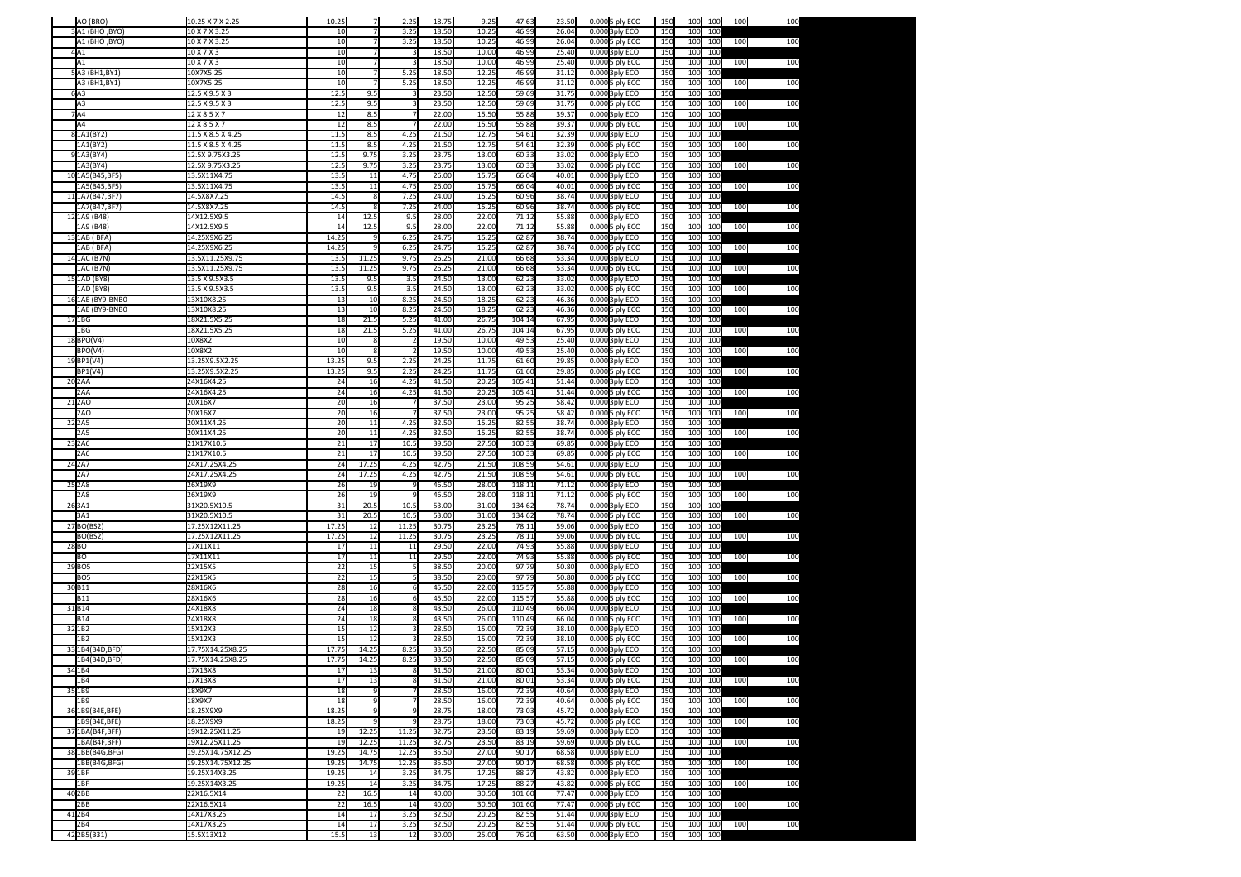|      | AO (BRO)           | 10.25 X 7 X 2.25  | 10.25 |       | 2.25  | 18.75 | 9.25  | 47.63  | 23.50 | 0.000 5 ply ECO | 150 | 100 | 100 | 100 | 100 |
|------|--------------------|-------------------|-------|-------|-------|-------|-------|--------|-------|-----------------|-----|-----|-----|-----|-----|
|      | 3A1 (BHO, BYO)     | 10 X 7 X 3.25     | 10    |       | 3.25  | 18.50 | 10.25 | 46.99  | 26.04 | 0.000 3ply ECO  | 150 | 100 | 100 |     |     |
|      | A1 (BHO ,BYO)      | 10 X 7 X 3.25     | 10    |       | 3.25  | 18.50 | 10.25 | 46.99  | 26.04 | 0.000 5 ply ECO | 150 | 100 | 100 | 100 | 100 |
|      |                    |                   |       |       |       | 18.50 |       | 46.99  |       |                 |     |     |     |     |     |
|      | 4A1                | 10 X 7 X 3        | 10    |       |       |       | 10.00 |        | 25.40 | 0.000 3ply ECO  | 150 | 100 | 100 |     |     |
|      | A1                 | 10 X 7 X 3        | 10    |       |       | 18.50 | 10.00 | 46.99  | 25.40 | 0.000 5 ply ECO | 150 | 100 | 100 | 100 | 100 |
|      | 5A3 (BH1,BY1)      | 10X7X5.25         | 10    |       | 5.25  | 18.50 | 12.25 | 46.99  | 31.12 | 0.000 3ply ECO  | 150 | 100 | 100 |     |     |
|      | A3 (BH1,BY1)       | 10X7X5.25         | 10    |       | 5.25  | 18.50 | 12.25 | 46.99  | 31.12 | 0.000 5 ply ECO | 150 | 100 | 100 | 100 | 100 |
|      | 6A3                | 12.5 X 9.5 X 3    | 12.5  | 9.5   |       | 23.50 | 12.50 | 59.69  | 31.75 | 0.000 3ply ECO  | 150 | 100 | 100 |     |     |
|      | A3                 | 12.5 X 9.5 X 3    | 12.5  | 9.5   |       | 23.50 | 12.50 | 59.69  | 31.75 | 0.000 5 ply ECO | 150 | 100 | 100 | 100 | 100 |
|      | 7A4                | 12 X 8.5 X 7      | 12    | 8.5   |       | 22.00 | 15.50 | 55.88  | 39.37 | 0.000 3ply ECO  | 150 | 100 | 100 |     |     |
|      | A4                 | 12 X 8.5 X 7      | 12    | 8.5   |       | 22.00 | 15.50 | 55.88  | 39.37 | 0.000 5 ply ECO | 150 | 100 | 100 | 100 | 100 |
|      | 81A1(BY2)          | 11.5 X 8.5 X 4.25 | 11.5  | 8.5   | 4.25  | 21.50 | 12.75 | 54.61  | 32.39 | 0.000 3ply ECO  | 150 | 100 | 100 |     |     |
|      | 1A1(BY2)           | 11.5 X 8.5 X 4.25 | 11.5  | 8.5   | 4.25  | 21.50 | 12.75 | 54.61  | 32.39 | 0.000 5 ply ECO | 150 | 100 | 100 | 100 | 100 |
|      | 91A3(BY4)          | 12.5X 9.75X3.25   | 12.5  | 9.75  | 3.25  | 23.75 | 13.00 | 60.33  | 33.02 |                 | 150 | 100 | 100 |     |     |
|      |                    |                   |       |       |       |       |       |        |       | 0.000 3ply ECO  |     |     |     |     |     |
|      | 1A3(BY4)           | 12.5X 9.75X3.25   | 12.5  | 9.75  | 3.25  | 23.75 | 13.00 | 60.33  | 33.02 | 0.000 5 ply ECO | 150 | 100 | 100 | 100 | 100 |
|      | 101A5(B45,BF5)     | 13.5X11X4.75      | 13.5  | 11    | 4.75  | 26.00 | 15.75 | 66.04  | 40.01 | 0.000 3ply ECO  | 150 | 100 | 100 |     |     |
|      | 1A5(B45,BF5)       | 13.5X11X4.75      | 13.5  | 11    | 4.75  | 26.00 | 15.75 | 66.04  | 40.01 | 0.000 5 ply ECO | 150 | 100 | 100 | 100 | 100 |
|      | 11 1A7 (B47, BF7)  | 14.5X8X7.25       | 14.5  | 8     | 7.25  | 24.00 | 15.25 | 60.96  | 38.74 | 0.000 3ply ECO  | 150 | 100 | 100 |     |     |
|      | 1A7(B47,BF7)       | 14.5X8X7.25       | 14.5  | 8     | 7.25  | 24.00 | 15.25 | 60.96  | 38.74 | 0.000 5 ply ECO | 150 | 100 | 100 | 100 | 100 |
|      | 12 1A9 (B48)       | 14X12.5X9.5       | 14    | 12.5  | 9.5   | 28.00 | 22.00 | 71.12  | 55.88 | 0.000 3ply ECO  | 150 | 100 | 100 |     |     |
|      | 1A9 (B48)          | 14X12.5X9.5       | 14    | 12.5  | 9.5   | 28.00 | 22.00 | 71.12  | 55.88 | 0.000 5 ply ECO | 150 | 100 | 100 | 100 | 100 |
|      | 13 1AB (BFA)       | 14.25X9X6.25      | 14.25 |       | 6.25  | 24.75 | 15.25 | 62.87  | 38.74 | 0.000 3ply ECO  | 150 | 100 | 100 |     |     |
|      | 1AB (BFA)          | 14.25X9X6.25      | 14.25 |       | 6.25  | 24.75 | 15.25 | 62.87  | 38.74 | 0.000 5 ply ECO | 150 | 100 | 100 | 100 | 100 |
|      |                    |                   |       | 11.25 | 9.75  | 26.25 | 21.00 |        |       |                 |     |     | 100 |     |     |
|      | 14 1AC (B7N)       | 13.5X11.25X9.75   | 13.5  |       |       |       |       | 66.68  | 53.34 | 0.000 3ply ECO  | 150 | 100 |     |     |     |
|      | 1AC (B7N)          | 13.5X11.25X9.75   | 13.   | 11.25 | 9.75  | 26.25 | 21.00 | 66.68  | 53.34 | 0.000 5 ply ECO | 150 | 100 | 100 | 100 | 100 |
|      | 15 1AD (BY8)       | 13.5 X 9.5X3.5    | 13.   | 9.5   | 3.5   | 24.50 | 13.00 | 62.23  | 33.02 | 0.000 3ply ECO  | 150 | 100 | 100 |     |     |
|      | 1AD (BY8)          | 13.5 X 9.5X3.5    | 13.5  | 9.5   | 3.5   | 24.50 | 13.00 | 62.23  | 33.02 | 0.000 5 ply ECO | 150 | 100 | 100 | 100 | 100 |
|      | 16 1AE (BY9-BNB0   | 13X10X8.25        | 13    | 10    | 8.25  | 24.50 | 18.25 | 62.23  | 46.36 | 0.000 3ply ECO  | 150 | 100 | 100 |     |     |
|      | 1AE (BY9-BNB0      | 13X10X8.25        | 13    | 10    | 8.25  | 24.50 | 18.25 | 62.23  | 46.36 | 0.000 5 ply ECO | 150 | 100 | 100 | 100 | 100 |
|      | 17 1BG             | 18X21.5X5.25      | 18    | 21.5  | 5.25  | 41.00 | 26.75 | 104.14 | 67.95 | 0.000 3ply ECO  | 150 | 100 | 100 |     |     |
|      | 1BG                | 18X21.5X5.25      | 18    | 21.5  | 5.25  | 41.00 | 26.75 | 104.14 | 67.95 | 0.000 5 ply ECO | 150 | 100 | 100 | 100 | 100 |
|      | 18 BPO(V4)         | 10X8X2            | 10    |       |       | 19.50 | 10.00 | 49.53  | 25.40 | 0.000 3ply ECO  | 150 | 100 | 100 |     |     |
|      | BPO(V4)            | 10X8X2            | 10    |       |       | 19.50 | 10.00 | 49.53  | 25.40 | 0.000 5 ply ECO | 150 | 100 | 100 | 100 | 100 |
|      | 19BP1(V4)          | 13.25X9.5X2.25    | 13.25 | 9.5   | 2.25  | 24.25 | 11.75 | 61.60  | 29.85 | 0.000 3ply ECO  | 150 | 100 | 100 |     |     |
|      |                    |                   |       |       |       |       |       |        |       |                 |     |     |     |     |     |
|      | BP1(V4)            | 13.25X9.5X2.25    | 13.25 | 9.5   | 2.25  | 24.25 | 11.75 | 61.60  | 29.85 | 0.000 5 ply ECO | 150 | 100 | 100 | 100 | 100 |
|      | 20 <sub>2</sub> AA | 24X16X4.25        | 24    | 16    | 4.25  | 41.50 | 20.25 | 105.41 | 51.44 | 0.000 3ply ECO  | 150 | 100 | 100 |     |     |
|      | 2AA                | 24X16X4.25        | 24    | 16    | 4.25  | 41.50 | 20.25 | 105.41 | 51.44 | 0.000 5 ply ECO | 150 | 100 | 100 | 100 | 100 |
|      | 21 <sub>2</sub> AO | 20X16X7           | 20    | 16    |       | 37.50 | 23.00 | 95.25  | 58.42 | 0.000 3ply ECO  | 150 | 100 | 100 |     |     |
|      | 2AO                | 20X16X7           | 20    | 16    |       | 37.50 | 23.00 | 95.25  | 58.42 | 0.000 5 ply ECO | 150 | 100 | 100 | 100 | 100 |
|      | 22 <sub>2</sub> A5 | 20X11X4.25        | 20    | 11    | 4.25  | 32.50 | 15.25 | 82.55  | 38.74 | 0.000 3ply ECO  | 150 | 100 | 100 |     |     |
|      | 2A5                | 20X11X4.25        | 20    | 11    | 4.25  | 32.50 | 15.25 | 82.55  | 38.74 | 0.000 5 ply ECO | 150 | 100 | 100 | 100 | 100 |
|      | 23 2A6             | 21X17X10.5        | 21    | 17    | 10.5  | 39.50 | 27.50 | 100.33 | 69.85 | 0.000 3ply ECO  | 150 | 100 | 100 |     |     |
|      | 2A6                | 21X17X10.5        | 21    | 17    | 10.5  | 39.50 | 27.50 | 100.33 | 69.8  | 0.000 5 ply ECO | 150 | 100 | 100 | 100 | 100 |
|      | 24 <sub>2A7</sub>  | 24X17.25X4.25     | 24    | 17.25 | 4.25  | 42.7  | 21.50 | 108.59 | 54.61 | 0.000 3ply ECO  | 150 | 100 | 100 |     |     |
|      | 2A7                | 24X17.25X4.25     | 24    | 17.25 | 4.25  | 42.7  | 21.50 | 108.59 | 54.61 |                 | 150 | 100 | 100 | 100 |     |
|      |                    |                   |       |       |       |       |       |        |       | 0.000 5 ply ECO |     |     |     |     | 100 |
|      | 25 2A8             | 26X19X9           | 26    | 19    |       | 46.50 | 28.00 | 118.11 | 71.12 | 0.000 3ply ECO  | 150 | 100 | 100 |     |     |
|      | 2A8                | 26X19X9           | 26    | 19    |       | 46.50 | 28.00 | 118.11 | 71.12 | 0.000 5 ply ECO | 150 | 100 | 100 | 100 | 100 |
|      | 263A1              | 31X20.5X10.5      | 31    | 20.5  | 10.5  | 53.0  | 31.00 | 134.62 | 78.74 | 0.000 3ply ECO  | 150 | 100 | 100 |     |     |
|      | 3A1                | 31X20.5X10.5      | 31    | 20.5  | 10.   | 53.00 | 31.00 | 134.62 | 78.74 | 0.000 5 ply ECO | 150 | 100 | 100 | 100 | 100 |
|      | 27 BO(BS2)         | 17.25X12X11.25    | 17.25 | 12    | 11.25 | 30.7  | 23.25 | 78.11  | 59.06 | 0.000 3ply ECO  | 150 | 100 | 100 |     |     |
|      | BO(BS2)            | 17.25X12X11.25    | 17.25 | 12    | 11.25 | 30.7  | 23.25 | 78.11  | 59.06 | 0.000 5 ply ECO | 150 | 100 | 100 | 100 | 100 |
| 28BO |                    | 17X11X11          | 17    | 11    | 11    | 29.50 | 22.00 | 74.93  | 55.88 | 0.000 3ply ECO  | 150 | 100 | 100 |     |     |
|      | ВO                 | 17X11X11          | 17    | 11    | 11    | 29.50 | 22.00 | 74.93  | 55.88 | 0.000 5 ply ECO | 150 | 100 | 100 | 100 | 100 |
|      | 29BO5              | 22X15X5           | 22    | 15    |       | 38.5  | 20.00 | 97.79  | 50.80 | 0.000 3ply ECO  | 150 | 100 | 100 |     |     |
|      | BO <sub>5</sub>    | 22X15X5           | 22    | 15    |       | 38.50 | 20.00 | 97.79  | 50.80 | 0.000 5 ply ECO | 150 | 100 | 100 | 100 | 100 |
|      | 30B11              | 28X16X6           | 28    | 16    |       | 45.5  | 22.00 | 115.57 | 55.88 | 0.000 3ply ECO  | 150 | 100 | 100 |     |     |
|      | <b>B11</b>         | 28X16X6           | 28    | 16    |       | 45.5  | 22.00 | 115.57 | 55.88 | 0.000 5 ply ECO | 150 | 100 | 100 | 100 | 100 |
|      |                    |                   |       |       |       |       |       |        |       |                 |     |     |     |     |     |
|      | 31B14              | 24X18X8           | 24    | 18    |       | 43.50 | 26.00 | 110.49 | 66.04 | 0.000 3ply ECO  | 150 | 100 | 100 |     |     |
|      | <b>B14</b>         | 24X18X8           | 24    | 18    |       | 43.50 | 26.00 | 110.49 | 66.04 | 0.000 5 ply ECO | 150 | 100 | 100 | 100 | 100 |
|      | 321B2              | 15X12X3           | 15    | 12    |       | 28.50 | 15.00 | 72.39  | 38.10 | 0.000 3ply ECO  | 150 | 100 | 100 |     |     |
|      | 1B2                | 15X12X3           | 15    | 12    |       | 28.50 | 15.00 | 72.39  | 38.10 | 0.000 5 ply ECO | 150 | 100 | 100 | 100 | 100 |
|      | 33 1B4(B4D, BFD)   | 17.75X14.25X8.25  | 17.75 | 14.25 | 8.25  | 33.50 | 22.50 | 85.09  | 57.15 | 0.000 3ply ECO  | 150 | 100 | 100 |     |     |
|      | 1B4(B4D,BFD)       | 17.75X14.25X8.25  | 17.75 | 14.25 | 8.25  | 33.5  | 22.50 | 85.09  | 57.1  | 0.000 5 ply ECO | 150 | 100 | 100 | 100 | 100 |
|      | 34 1B4             | 17X13X8           | 17    | 13    |       | 31.50 | 21.00 | 80.01  | 53.34 | 0.000 3ply ECO  | 150 | 100 | 100 |     |     |
|      | 1B4                | 17X13X8           | 17    | 13    |       | 31.50 | 21.00 | 80.01  | 53.34 | 0.000 5 ply ECO | 150 | 100 | 100 | 100 | 100 |
|      | 35 1B9             | 18X9X7            | 18    |       |       | 28.50 | 16.00 | 72.39  | 40.64 | 0.000 3ply ECO  | 150 | 100 | 100 |     |     |
|      | 1B9                | 18X9X7            | 18    |       |       | 28.50 | 16.00 | 72.39  | 40.64 | 0.000 5 ply ECO | 150 | 100 | 100 | 100 | 100 |
|      | 36 1B9 (B4E, BFE)  | 18.25X9X9         | 18.25 |       |       | 28.75 | 18.00 | 73.03  | 45.72 | 0.000 3ply ECO  | 150 | 100 | 100 |     |     |
|      | 1B9(B4E, BFE)      | 18.25X9X9         | 18.25 |       |       | 28.7  | 18.00 | 73.03  | 45.72 | 0.000 5 ply ECO | 150 | 100 | 100 | 100 | 100 |
|      | 37 1BA(B4F, BFF)   | 19X12.25X11.25    | 19    | 12.25 | 11.25 | 32.75 | 23.50 | 83.19  | 59.69 | 0.000 3ply ECO  | 150 | 100 | 100 |     |     |
|      |                    |                   |       |       |       |       |       |        |       |                 |     |     |     |     |     |
|      | 1BA(B4F,BFF)       | 19X12.25X11.25    | 19    | 12.25 | 11.25 | 32.75 | 23.50 | 83.19  | 59.69 | 0.0005 ply ECO  | 150 | 100 | 100 | 100 | 100 |
|      | 38 1BB(B4G, BFG)   | 19.25X14.75X12.25 | 19.25 | 14.75 | 12.25 | 35.50 | 27.00 | 90.17  | 68.58 | 0.000 3ply ECO  | 150 | 100 | 100 |     |     |
|      | 1BB(B4G,BFG)       | 19.25X14.75X12.25 | 19.25 | 14.75 | 12.25 | 35.50 | 27.00 | 90.17  | 68.58 | 0.0005 ply ECO  | 150 | 100 | 100 | 100 | 100 |
|      | 39 1BF             | 19.25X14X3.25     | 19.25 | 14    | 3.25  | 34.75 | 17.25 | 88.27  | 43.82 | 0.000 3ply ECO  | 150 | 100 | 100 |     |     |
|      | 1BF                | 19.25X14X3.25     | 19.25 | 14    | 3.25  | 34.7  | 17.25 | 88.27  | 43.82 | 0.000 5 ply ECO | 150 | 100 | 100 | 100 | 100 |
|      | 40 2BB             | 22X16.5X14        | 22    | 16.5  | 14    | 40.00 | 30.50 | 101.60 | 77.47 | 0.000 3ply ECO  | 150 | 100 | 100 |     |     |
|      | 2BB                | 22X16.5X14        | 22    | 16.5  | 14    | 40.00 | 30.50 | 101.60 | 77.47 | 0.000 5 ply ECO | 150 | 100 | 100 | 100 | 100 |
|      | 412B4              | 14X17X3.25        | 14    | 17    | 3.25  | 32.50 | 20.25 | 82.55  | 51.44 | 0.000 3ply ECO  | 150 | 100 | 100 |     |     |
|      | 2B4                | 14X17X3.25        | 14    | 17    | 3.25  | 32.50 | 20.25 | 82.55  | 51.44 | 0.000 5 ply ECO | 150 | 100 | 100 | 100 | 100 |
|      |                    |                   |       |       |       |       |       |        |       |                 |     |     |     |     |     |
|      | 42 2 B 5 (B 3 1)   | 15.5X13X12        | 15.5  | 13    | 12    | 30.00 | 25.00 | 76.20  | 63.50 | 0.000 3ply ECO  | 150 | 100 | 100 |     |     |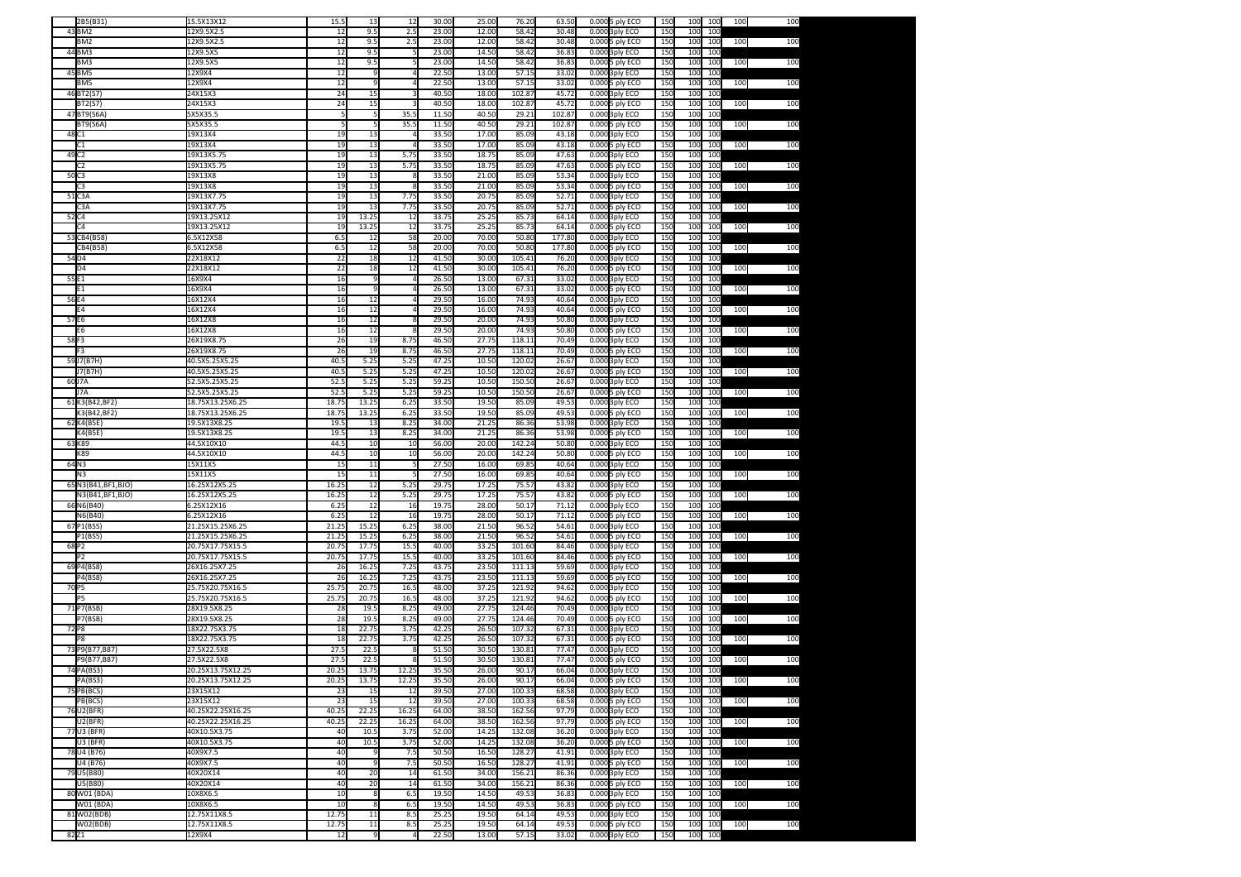|                   | 2B5(B31)             | 15.5X13X12        | 15.5  | 13             | 12             | 30.00 | 25.00 | 76.20  | 63.50  | 0.000 5 ply ECO | 150 | 100             | 100     | 100 | 100 |
|-------------------|----------------------|-------------------|-------|----------------|----------------|-------|-------|--------|--------|-----------------|-----|-----------------|---------|-----|-----|
|                   | 43 BM2               | 12X9.5X2.5        | 12    | 9.5            | 2.5            | 23.00 | 12.00 | 58.42  | 30.48  | 0.000 3ply ECO  | 150 | 100             | 100     |     |     |
|                   | BM2                  | 12X9.5X2.5        | 12    | 9.5            | 2.5            | 23.00 | 12.00 | 58.42  | 30.48  | 0.000 5 ply ECO | 150 | 100             | 100     | 100 | 100 |
|                   |                      |                   |       |                |                | 23.00 |       |        |        |                 |     |                 | 100     |     |     |
|                   | 44 BM3               | 12X9.5X5          | 12    | 9.5            |                |       | 14.50 | 58.42  | 36.83  | 0.000 3ply ECO  | 150 | 100             |         |     |     |
|                   | BM3                  | 12X9.5X5          | 12    | 9.5            |                | 23.00 | 14.50 | 58.42  | 36.83  | 0.000 5 ply ECO | 150 | 100             | 100     | 100 | 100 |
|                   | 45 BM5               | 12X9X4            | 12    | 9              |                | 22.50 | 13.00 | 57.15  | 33.02  | 0.000 3ply ECO  | 150 | 100             | 100     |     |     |
|                   | BM5                  | 12X9X4            | 12    | q              |                | 22.50 | 13.00 | 57.15  | 33.02  | 0.000 5 ply ECO | 150 | 100             | 100     | 100 | 100 |
|                   | 46BT2(S7             | 24X15X3           | 24    | 15             |                | 40.50 | 18.00 | 102.87 | 45.72  | 0.000 3ply ECO  | 150 | 100             | 100     |     |     |
|                   | BT2(S7)              | 24X15X3           | 24    | 15             |                | 40.50 | 18.00 | 102.87 | 45.72  | 0.000 5 ply ECO | 150 | 100             | 100     | 100 | 100 |
|                   | 47BT9(S6A)           | 5X5X35.5          |       | 5              | 35.            | 11.50 | 40.50 | 29.21  | 102.87 | 0.000 3ply ECO  | 150 | 100             | 100     |     |     |
|                   | <b>BT9(S6A)</b>      | 5X5X35.5          |       | 5              | 35.            | 11.50 | 40.50 | 29.21  | 102.87 |                 | 150 | 100             | 100     | 100 | 100 |
|                   |                      |                   |       |                |                |       |       |        |        | 0.000 5 ply ECO |     |                 |         |     |     |
| 48 C <sub>1</sub> |                      | 19X13X4           | 19    | 13             |                | 33.50 | 17.00 | 85.09  | 43.18  | 0.000 3ply ECO  | 150 | 100             | 100     |     |     |
|                   | C1                   | 19X13X4           | 19    | 13             |                | 33.50 | 17.00 | 85.09  | 43.18  | 0.000 5 ply ECO | 150 | 100             | 100     | 100 | 100 |
| 49 C <sub>2</sub> |                      | 19X13X5.75        | 19    | 13             | 5.75           | 33.50 | 18.75 | 85.09  | 47.63  | 0.000 3ply ECO  | 150 | 100             | 100     |     |     |
|                   | C2                   | 19X13X5.75        | 19    | 13             | 5.75           | 33.50 | 18.75 | 85.09  | 47.63  | 0.0005 ply ECO  | 150 | 100             | 100     | 100 | 100 |
| 50C3              |                      | 19X13X8           | 19    | 13             |                | 33.50 | 21.00 | 85.09  | 53.34  | 0.000 3ply ECO  | 150 | 100             | 100     |     |     |
|                   | C3                   | 19X13X8           | 19    | 13             |                | 33.50 | 21.00 | 85.09  | 53.34  | 0.000 5 ply ECO | 150 | 100             | 100     | 100 | 100 |
| 51C3A             |                      | 19X13X7.75        | 19    | 13             | 7.75           | 33.50 | 20.75 | 85.09  | 52.71  | 0.000 3ply ECO  | 150 | 100             | 100     |     |     |
|                   | C3A                  | 19X13X7.75        | 19    | 13             | 7.75           | 33.50 | 20.75 | 85.09  | 52.71  | 0.000 5 ply ECO | 150 | 100             | 100     | 100 | 100 |
|                   |                      |                   |       |                |                |       |       |        |        |                 |     |                 |         |     |     |
| 52 C <sub>4</sub> |                      | 19X13.25X12       | 19    | 13.25          | 12             | 33.7  | 25.25 | 85.73  | 64.14  | 0.000 3ply ECO  | 150 | 100             | 100     |     |     |
|                   | C4                   | 19X13.25X12       | 19    | 13.25          | 12             | 33.75 | 25.25 | 85.73  | 64.14  | 0.000 5 ply ECO | 150 | 100             | 100     | 100 | 100 |
|                   | 53 CB4 (B58)         | 6.5X12X58         | 6.5   | 12             | 58             | 20.00 | 70.00 | 50.80  | 177.80 | 0.000 3ply ECO  | 150 | 100             | 100     |     |     |
|                   | CB4(B58)             | 6.5X12X58         | 6.5   | 12             | 58             | 20.00 | 70.00 | 50.80  | 177.80 | 0.000 5 ply ECO | 150 | 100             | 100     | 100 | 100 |
| 54 <sub>D4</sub>  |                      | 22X18X12          | 22    | 18             | 12             | 41.50 | 30.00 | 105.41 | 76.20  | 0.000 3ply ECO  | 150 | 100             | 100     |     |     |
|                   | D <sub>4</sub>       | 22X18X12          | 22    | 18             | 12             | 41.50 | 30.00 | 105.41 | 76.20  | 0.000 5 ply ECO | 150 | 100             | 100     | 100 | 100 |
| 55 E1             |                      | 16X9X4            | 16    | 9              |                | 26.50 | 13.00 | 67.31  | 33.02  | 0.000 3ply ECO  | 150 | 100             | 100     |     |     |
|                   |                      |                   |       | q              |                |       |       |        |        |                 |     |                 |         |     |     |
|                   | E1                   | 16X9X4            | 16    |                |                | 26.50 | 13.00 | 67.31  | 33.02  | 0.000 5 ply ECO | 150 | 100             | 100     | 100 | 100 |
| 56E4              |                      | 16X12X4           | 16    | 12             |                | 29.50 | 16.00 | 74.93  | 40.64  | 0.000 3ply ECO  | 150 | 100             | 100     |     |     |
|                   | E4                   | 16X12X4           | 16    | 12             |                | 29.50 | 16.00 | 74.93  | 40.64  | 0.000 5 ply ECO | 150 | 100             | 100     | 100 | 100 |
| 57E6              |                      | 16X12X8           | 16    | 12             |                | 29.50 | 20.00 | 74.93  | 50.80  | 0.000 3ply ECO  | 150 | 10 <sub>C</sub> | 100     |     |     |
|                   | F6.                  | 16X12X8           | 16    | 12             |                | 29.50 | 20.00 | 74.93  | 50.80  | 0.000 5 ply ECO | 150 | 100             | 100     | 100 | 100 |
| 58F3              |                      | 26X19X8.75        | 26    | 19             | 8.75           | 46.50 | 27.75 | 118.11 | 70.49  | 0.000 3ply ECO  | 150 | 100             | 100     |     |     |
|                   | F3                   | 26X19X8.75        | 26    | 19             | 8.75           | 46.50 | 27.75 | 118.11 | 70.49  | 0.000 5 ply ECO | 150 | 100             | 100     | 100 | 100 |
|                   |                      |                   |       |                |                |       |       |        |        |                 |     |                 |         |     |     |
|                   | 59J7(B7H)            | 40.5X5.25X5.25    | 40.5  | 5.25           | 5.25           | 47.25 | 10.50 | 120.02 | 26.67  | 0.000 3ply ECO  | 150 | 100             | 100     |     |     |
|                   | J7(B7H)              | 40.5X5.25X5.25    | 40.   | 5.25           | 5.25           | 47.25 | 10.50 | 120.02 | 26.6   | 0.000 5 ply ECO | 150 | 100             | 100     | 100 | 100 |
| 60J7A             |                      | 52.5X5.25X5.25    | 52.   | 5.25           | 5.25           | 59.25 | 10.50 | 150.50 | 26.67  | 0.000 3ply ECO  | 150 | 10 <sub>C</sub> | 100     |     |     |
|                   | J7A                  | 52.5X5.25X5.25    | 52.5  | 5.25           | 5.25           | 59.2  | 10.50 | 150.50 | 26.6   | 0.000 5 ply ECO | 150 | 100             | 100     | 100 | 100 |
|                   | 61K3(B42,BF2)        | 18.75X13.25X6.25  | 18.7  | 13.25          | 6.25           | 33.50 | 19.50 | 85.09  | 49.53  | 0.000 3ply ECO  | 150 | 100             | 100     |     |     |
|                   | K3(B42,BF2)          | 18.75X13.25X6.25  | 18.75 | 13.25          | 6.25           | 33.50 | 19.50 | 85.09  | 49.53  | 0.000 5 ply ECO | 150 | 100             | 100     | 100 | 100 |
|                   | 62 K4(B5E)           | 19.5X13X8.25      | 19.   | 13             | 8.25           | 34.00 | 21.25 | 86.36  | 53.98  | 0.000 3ply ECO  | 150 | 100             | 100     |     |     |
|                   | K4(B5E)              | 19.5X13X8.25      | 19.   | 13             | 8.25           | 34.00 | 21.25 | 86.36  | 53.98  | 0.000 5 ply ECO | 150 | 100             | 100     | 100 | 100 |
| 63K89             |                      | 44.5X10X10        | 44.   | 10             | 10             | 56.0  | 20.00 | 142.24 | 50.80  | 0.000 3ply ECO  | 150 | 100             | 100     |     |     |
|                   |                      |                   |       |                |                |       | 20.00 | 142.24 | 50.80  |                 |     |                 | 100     | 100 | 100 |
|                   |                      |                   |       |                |                |       |       |        |        | 0.0005 ply ECO  | 150 | 100             |         |     |     |
|                   | K89                  | 44.5X10X10        | 44.5  | 10             | 10             | 56.00 |       |        |        |                 |     |                 |         |     |     |
| 64N3              |                      | 15X11X5           | 15    | 11             |                | 27.50 | 16.00 | 69.85  | 40.64  | 0.000 3ply ECO  | 150 | 100             | 100     |     |     |
|                   | N <sub>3</sub>       | 15X11X5           | 15    | 11             |                | 27.50 | 16.00 | 69.85  | 40.64  | 0.000 5 ply ECO | 150 | 100             | 100     | 100 | 100 |
|                   | 65 N3(B41, BF1, BJO) | 16.25X12X5.25     | 16.25 | 12             | 5.25           | 29.75 | 17.25 | 75.57  | 43.82  | 0.000 3ply ECO  | 150 | 100             | 100     |     |     |
|                   | N3(B41, BF1, BJO)    | 16.25X12X5.25     | 16.25 | 12             | 5.25           | 29.7  | 17.25 | 75.5   | 43.8   | 0.000 5 ply ECO | 150 | 100             | 100     | 100 | 100 |
|                   |                      | 6.25X12X16        | 6.25  | 12             | 16             | 19.7  | 28.00 | 50.17  | 71.12  |                 | 150 | 100             | 100     |     |     |
|                   | 66N6(B40)            |                   |       |                |                |       |       |        |        | 0.000 3ply ECO  |     |                 |         |     |     |
|                   | N6(B40)              | 6.25X12X16        | 6.25  | 12             | 16             | 19.75 | 28.00 | 50.17  | 71.12  | 0.000 5 ply ECO | 150 | 100             | 100     | 100 | 100 |
|                   | 67 P1(BS5)           | 21.25X15.25X6.25  | 21.2! | 15.25          | 6.25           | 38.00 | 21.50 | 96.52  | 54.61  | 0.000 3ply ECO  | 150 | 100             | 100     |     |     |
|                   | P1(BS5)              | 21.25X15.25X6.25  | 21.25 | 15.25          | 6.25           | 38.0  | 21.50 | 96.52  | 54.61  | 0.000 5 ply ECO | 150 | 100             | 100     | 100 | 100 |
| 68P2              |                      | 20.75X17.75X15.5  | 20.75 | 17.75          | 15.            | 40.00 | 33.25 | 101.60 | 84.46  | 0.000 3ply ECO  | 150 | 100             | 100     |     |     |
|                   | P2                   | 20.75X17.75X15.5  | 20.75 | 17.75          | 15.            | 40.00 | 33.25 | 101.60 | 84.46  | 0.000 5 ply ECO | 150 | 100             | 100     | 100 | 100 |
|                   | 69 P4 (BS8)          | 26X16.25X7.25     | 26    | 16.25          | 7.25           | 43.7  | 23.50 | 111.13 | 59.69  | 0.000 3ply ECO  | 150 | 100             | 100     |     |     |
|                   | P4(BS8)              | 26X16.25X7.25     | 26    | 16.25          | 7.25           | 43.75 | 23.50 | 111.13 | 59.69  | 0.000 5 ply ECO | 150 | 100             | 100     | 100 | 100 |
| 70 P5             |                      | 25.75X20.75X16.5  | 25.75 | 20.75          | 16.            | 48.0  | 37.25 | 121.92 | 94.6   | 0.000 3ply ECO  | 150 | 100             | 100     |     |     |
|                   | P5.                  |                   |       |                |                |       |       |        |        |                 |     |                 |         |     |     |
|                   |                      | 25.75X20.75X16.5  | 25.75 | 20.75          | 16.            | 48.0  | 37.25 | 121.92 | 94.62  | 0.000 5 ply ECO | 150 | 100             | 100     | 100 | 100 |
|                   | 71 P7(BSB)           | 28X19.5X8.25      | 28    | 19.5           | 8.25           | 49.00 | 27.75 | 124.46 | 70.49  | 0.000 3ply ECO  | 150 | 100             | 100     |     |     |
|                   | P7(BSB)              | 28X19.5X8.25      | 28    | 19.5           | 8.25           | 49.00 | 27.75 | 124.46 | 70.49  | 0.000 5 ply ECO | 150 | 100             | 100     | 100 | 100 |
| 72 P8             |                      | 18X22.75X3.75     | 18    | 22.75          | 3.75           | 42.2  | 26.50 | 107.32 | 67.31  | 0.000 3ply ECO  | 150 | 100             | 100     |     |     |
|                   | P8                   | 18X22.75X3.75     | 18    | 22.75          | 3.75           | 42.25 | 26.50 | 107.32 | 67.31  | 0.000 5 ply ECO | 150 | 100             | 100     | 100 | 100 |
|                   | 73 P9(B77,B87)       | 27.5X22.5X8       | 27.5  | 22.5           |                | 51.5  | 30.50 | 130.81 | 77.47  | 0.000 3ply ECO  | 150 | 100             | 100     |     |     |
|                   | P9(B77,B87)          | 27.5X22.5X8       | 27.5  | 22.5           |                | 51.5  | 30.50 | 130.81 | 77.4   | 0.000 5 ply ECO | 150 | 100             | 100     | 100 | 100 |
|                   | 74 PA(BS3)           | 20.25X13.75X12.25 | 20.25 | 13.75          | 12.25          | 35.50 | 26.00 | 90.17  | 66.04  | 0.000 3ply ECO  | 150 | 100             | 100     |     |     |
|                   | PA(BS3)              | 20.25X13.75X12.25 | 20.25 |                | 12.25          | 35.50 | 26.00 | 90.17  | 66.04  |                 | 15C |                 | 100 100 |     |     |
|                   |                      |                   |       | 13.75          |                |       |       |        |        | 0.000 5 ply ECO |     |                 |         | 100 | 100 |
|                   | 75 PB(BCS)           | 23X15X12          | 23    | 15             | 12             | 39.50 | 27.00 | 100.33 | 68.58  | 0.000 3ply ECO  | 150 | 100             | 100     |     |     |
|                   | PB(BCS)              | 23X15X12          | 23    | 15             | 12             | 39.50 | 27.00 | 100.33 | 68.58  | 0.000 5 ply ECO | 150 | 100             | 100     | 100 | 100 |
|                   | 76 U2(BFR)           | 40.25X22.25X16.25 | 40.25 | 22.25          | 16.25          | 64.00 | 38.50 | 162.56 | 97.79  | 0.000 3ply ECO  | 150 | 100             | 100     |     |     |
|                   | U2(BFR)              | 40.25X22.25X16.25 | 40.25 | 22.25          | 16.25          | 64.0  | 38.50 | 162.56 | 97.79  | 0.000 5 ply ECO | 150 | 100             | 100     | 100 | 100 |
|                   | 77 U3 (BFR)          | 40X10.5X3.75      | 40    | 10.5           | 3.75           | 52.00 | 14.25 | 132.08 | 36.20  | 0.000 3ply ECO  | 150 | 100             | 100     |     |     |
|                   | U3 (BFR)             | 40X10.5X3.75      | 40    | 10.5           | 3.75           | 52.00 | 14.25 | 132.08 | 36.20  | 0.0005 ply ECO  | 150 | 100             | 100     | 100 | 100 |
|                   | 78 U4 (B76)          | 40X9X7.5          | 40    |                | 7.5            | 50.50 | 16.50 | 128.27 | 41.91  | 0.000 3ply ECO  | 150 | 100             | 100     |     |     |
|                   |                      |                   |       | 9              |                |       |       |        |        |                 |     |                 |         |     |     |
|                   | U4 (B76)             | 40X9X7.5          | 40    |                | 7.5            | 50.50 | 16.50 | 128.27 | 41.91  | 0.000 5 ply ECO | 150 | 100             | 100     | 100 | 100 |
|                   | 79 U5(B80)           | 40X20X14          | 40    | 20             | 14             | 61.50 | 34.00 | 156.21 | 86.36  | 0.000 3ply ECO  | 150 | 100             | 100     |     |     |
|                   | U5(B80)              | 40X20X14          | 40    | 20             | 14             | 61.50 | 34.00 | 156.21 | 86.36  | 0.000 5 ply ECO | 150 | 100             | 100     | 100 | 100 |
|                   | 80 W01 (BDA)         | 10X8X6.5          | 10    | 8              | 6.5            | 19.50 | 14.50 | 49.53  | 36.83  | 0.000 3ply ECO  | 150 | 100             | 100     |     |     |
|                   | W01 (BDA)            | 10X8X6.5          | 10    | 8              | 6.5            | 19.50 | 14.50 | 49.53  | 36.83  | 0.000 5 ply ECO | 150 | 100             | 100     | 100 | 100 |
|                   | 81W02(BDB)           | 12.75X11X8.5      | 12.75 | 11             | 8.5            | 25.25 | 19.50 | 64.14  | 49.53  | 0.000 3ply ECO  | 150 | 100             | 100     |     |     |
|                   | W02(BDB)             | 12.75X11X8.5      | 12.75 | 11             | 8.5            | 25.25 | 19.50 | 64.14  | 49.53  | 0.000 5 ply ECO | 150 | 100             | 100     | 100 | 100 |
| 82 Z <sub>1</sub> |                      | 12X9X4            | 12    | $\overline{9}$ | $\overline{4}$ | 22.50 | 13.00 | 57.15  | 33.02  | 0.000 3ply ECO  | 150 |                 | 100 100 |     |     |